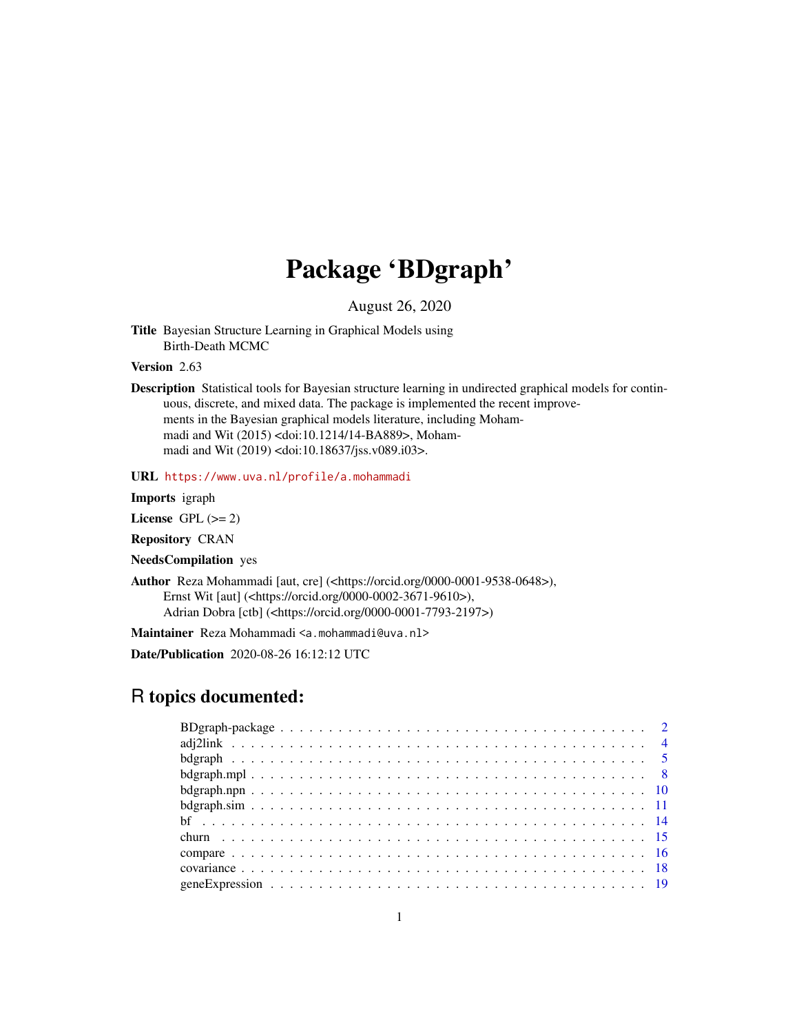# Package 'BDgraph'

August 26, 2020

<span id="page-0-0"></span>Title Bayesian Structure Learning in Graphical Models using Birth-Death MCMC

Version 2.63

Description Statistical tools for Bayesian structure learning in undirected graphical models for continuous, discrete, and mixed data. The package is implemented the recent improvements in the Bayesian graphical models literature, including Mohammadi and Wit (2015) <doi:10.1214/14-BA889>, Mohammadi and Wit (2019) <doi:10.18637/jss.v089.i03>.

URL <https://www.uva.nl/profile/a.mohammadi>

#### Imports igraph

License GPL  $(>= 2)$ 

Repository CRAN

NeedsCompilation yes

Author Reza Mohammadi [aut, cre] (<https://orcid.org/0000-0001-9538-0648>), Ernst Wit [aut] (<https://orcid.org/0000-0002-3671-9610>), Adrian Dobra [ctb] (<https://orcid.org/0000-0001-7793-2197>)

Maintainer Reza Mohammadi <a.mohammadi@uva.nl>

Date/Publication 2020-08-26 16:12:12 UTC

## R topics documented: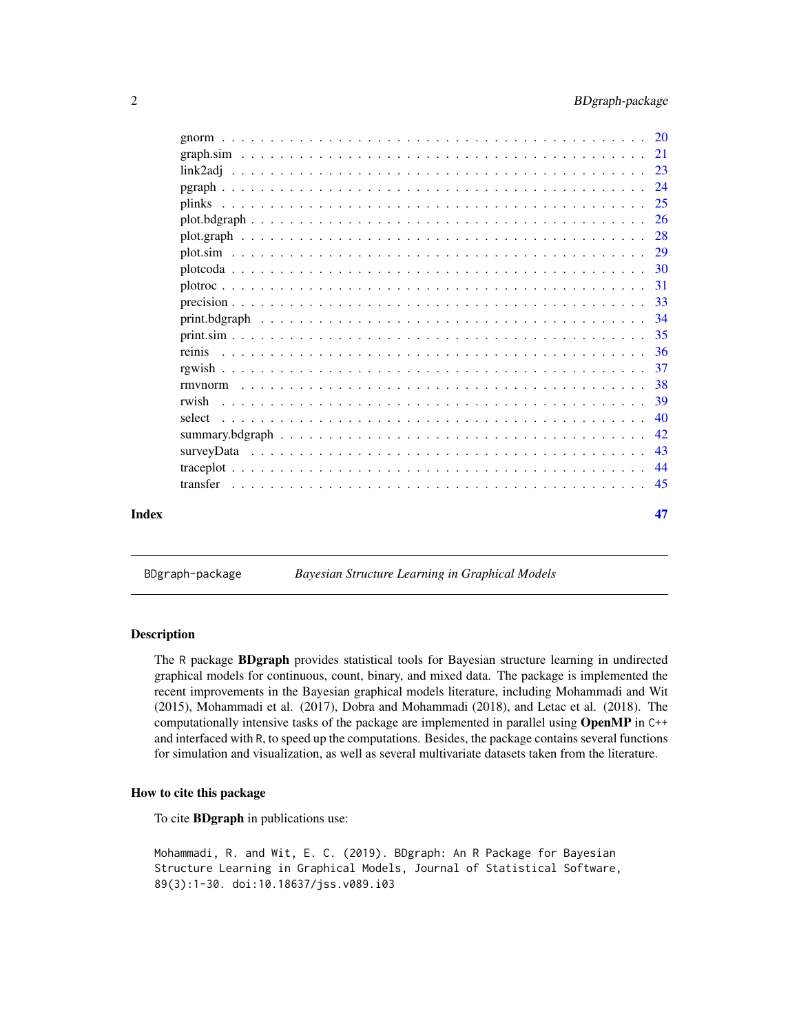<span id="page-1-0"></span>

| 40              |
|-----------------|
|                 |
|                 |
|                 |
| -36             |
|                 |
| 34              |
|                 |
|                 |
|                 |
|                 |
|                 |
|                 |
|                 |
|                 |
|                 |
|                 |
|                 |
| rwish<br>select |

BDgraph-package *Bayesian Structure Learning in Graphical Models*

#### <span id="page-1-1"></span>Description

The R package BDgraph provides statistical tools for Bayesian structure learning in undirected graphical models for continuous, count, binary, and mixed data. The package is implemented the recent improvements in the Bayesian graphical models literature, including Mohammadi and Wit (2015), Mohammadi et al. (2017), Dobra and Mohammadi (2018), and Letac et al. (2018). The computationally intensive tasks of the package are implemented in parallel using OpenMP in C++ and interfaced with R, to speed up the computations. Besides, the package contains several functions for simulation and visualization, as well as several multivariate datasets taken from the literature.

#### How to cite this package

To cite BDgraph in publications use:

Mohammadi, R. and Wit, E. C. (2019). BDgraph: An R Package for Bayesian Structure Learning in Graphical Models, Journal of Statistical Software, 89(3):1-30. doi:10.18637/jss.v089.i03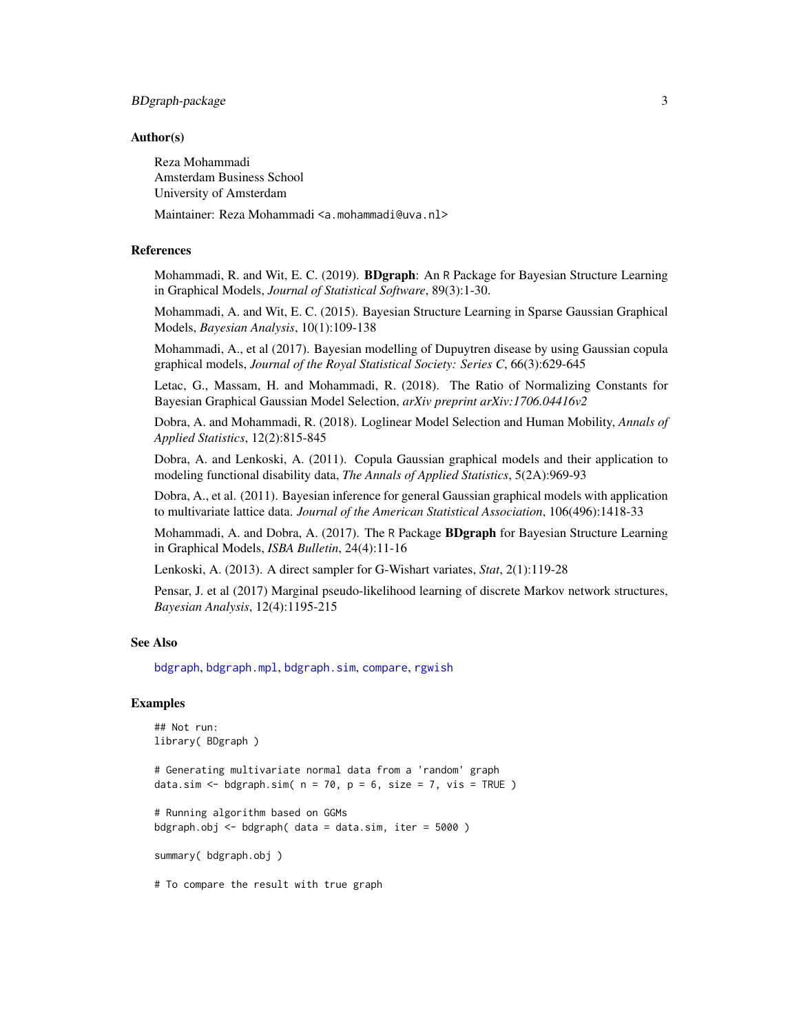## <span id="page-2-0"></span>BDgraph-package 3

#### Author(s)

Reza Mohammadi Amsterdam Business School University of Amsterdam

Maintainer: Reza Mohammadi <a.mohammadi@uva.nl>

## References

Mohammadi, R. and Wit, E. C. (2019). **BDgraph**: An R Package for Bayesian Structure Learning in Graphical Models, *Journal of Statistical Software*, 89(3):1-30.

Mohammadi, A. and Wit, E. C. (2015). Bayesian Structure Learning in Sparse Gaussian Graphical Models, *Bayesian Analysis*, 10(1):109-138

Mohammadi, A., et al (2017). Bayesian modelling of Dupuytren disease by using Gaussian copula graphical models, *Journal of the Royal Statistical Society: Series C*, 66(3):629-645

Letac, G., Massam, H. and Mohammadi, R. (2018). The Ratio of Normalizing Constants for Bayesian Graphical Gaussian Model Selection, *arXiv preprint arXiv:1706.04416v2*

Dobra, A. and Mohammadi, R. (2018). Loglinear Model Selection and Human Mobility, *Annals of Applied Statistics*, 12(2):815-845

Dobra, A. and Lenkoski, A. (2011). Copula Gaussian graphical models and their application to modeling functional disability data, *The Annals of Applied Statistics*, 5(2A):969-93

Dobra, A., et al. (2011). Bayesian inference for general Gaussian graphical models with application to multivariate lattice data. *Journal of the American Statistical Association*, 106(496):1418-33

Mohammadi, A. and Dobra, A. (2017). The R Package **BDgraph** for Bayesian Structure Learning in Graphical Models, *ISBA Bulletin*, 24(4):11-16

Lenkoski, A. (2013). A direct sampler for G-Wishart variates, *Stat*, 2(1):119-28

Pensar, J. et al (2017) Marginal pseudo-likelihood learning of discrete Markov network structures, *Bayesian Analysis*, 12(4):1195-215

#### See Also

[bdgraph](#page-4-1), [bdgraph.mpl](#page-7-1), [bdgraph.sim](#page-10-1), [compare](#page-15-1), [rgwish](#page-36-1)

#### Examples

```
## Not run:
library( BDgraph )
# Generating multivariate normal data from a 'random' graph
data.sim \leq bdgraph.sim( n = 70, p = 6, size = 7, vis = TRUE )
# Running algorithm based on GGMs
bdgraph.obj \leq bdgraph( data = data.sim, iter = 5000 )
summary( bdgraph.obj )
# To compare the result with true graph
```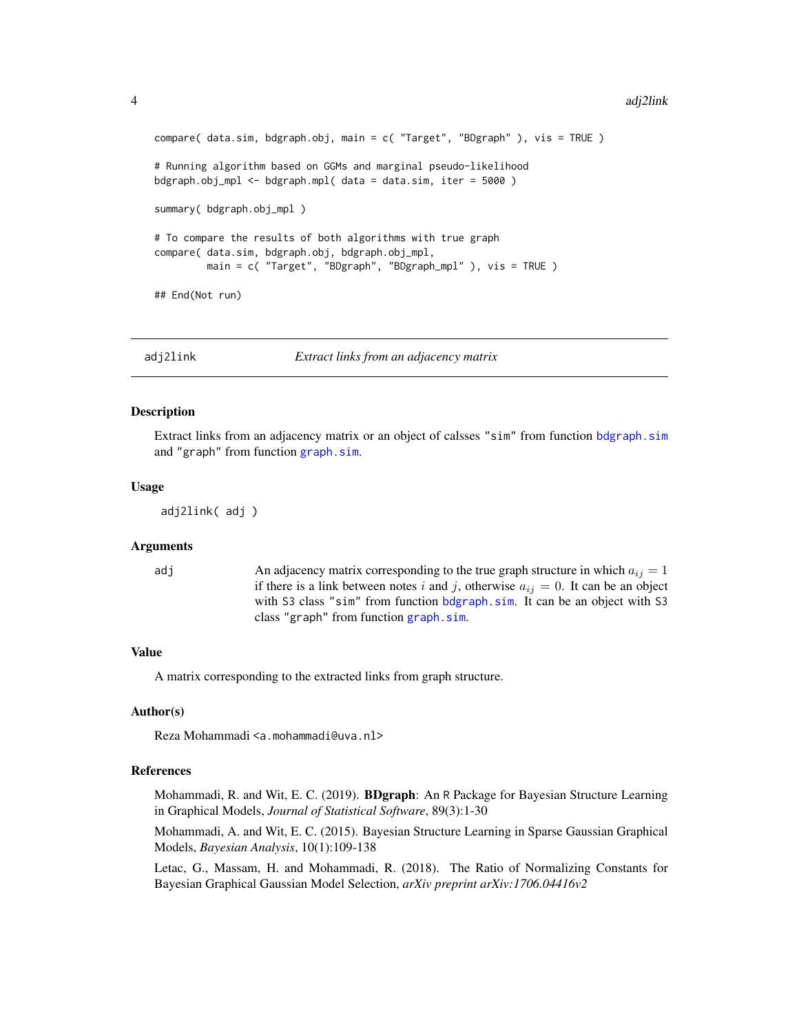```
compare( data.sim, bdgraph.obj, main = c( "Target", "BDgraph" ), vis = TRUE )
# Running algorithm based on GGMs and marginal pseudo-likelihood
bdgraph.obj_mpl <- bdgraph.mpl( data = data.sim, iter = 5000 )
summary( bdgraph.obj_mpl )
# To compare the results of both algorithms with true graph
compare( data.sim, bdgraph.obj, bdgraph.obj_mpl,
        main = c( "Target", "BDgraph", "BDgraph_mpl" ), vis = TRUE )
## End(Not run)
```
<span id="page-3-1"></span>adj2link *Extract links from an adjacency matrix*

#### **Description**

Extract links from an adjacency matrix or an object of calsses "sim" from function [bdgraph.sim](#page-10-1) and "graph" from function [graph.sim](#page-20-1).

#### Usage

```
adj2link( adj )
```
#### Arguments

adj  $\sum_{i=1}^{\infty}$  An adjacency matrix corresponding to the true graph structure in which  $a_{ij} = 1$ if there is a link between notes i and j, otherwise  $a_{ij} = 0$ . It can be an object with S3 class "sim" from function [bdgraph.sim](#page-10-1). It can be an object with S3 class "graph" from function [graph.sim](#page-20-1).

#### Value

A matrix corresponding to the extracted links from graph structure.

#### Author(s)

Reza Mohammadi <a.mohammadi@uva.nl>

#### References

Mohammadi, R. and Wit, E. C. (2019). **BDgraph**: An R Package for Bayesian Structure Learning in Graphical Models, *Journal of Statistical Software*, 89(3):1-30

Mohammadi, A. and Wit, E. C. (2015). Bayesian Structure Learning in Sparse Gaussian Graphical Models, *Bayesian Analysis*, 10(1):109-138

Letac, G., Massam, H. and Mohammadi, R. (2018). The Ratio of Normalizing Constants for Bayesian Graphical Gaussian Model Selection, *arXiv preprint arXiv:1706.04416v2*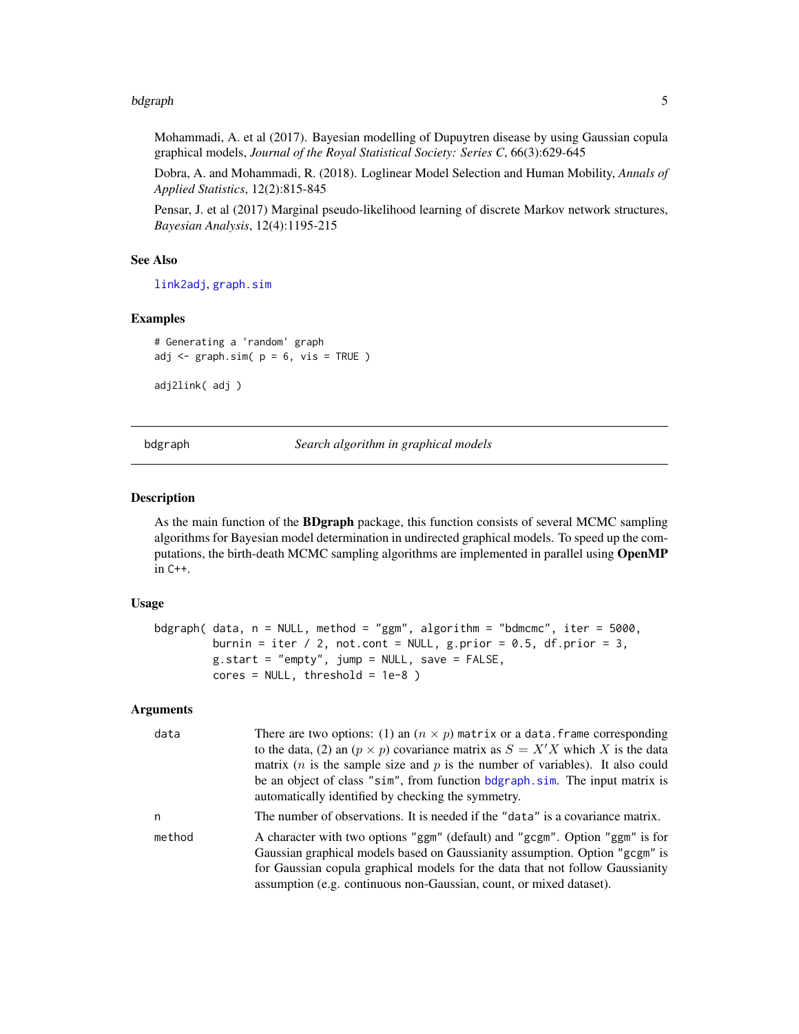#### <span id="page-4-0"></span>bdgraph 5 to 1999 and 1999 and 1999 and 1999 and 1999 and 1999 and 1999 and 1999 and 1999 and 1999 and 1999 and

Mohammadi, A. et al (2017). Bayesian modelling of Dupuytren disease by using Gaussian copula graphical models, *Journal of the Royal Statistical Society: Series C*, 66(3):629-645

Dobra, A. and Mohammadi, R. (2018). Loglinear Model Selection and Human Mobility, *Annals of Applied Statistics*, 12(2):815-845

Pensar, J. et al (2017) Marginal pseudo-likelihood learning of discrete Markov network structures, *Bayesian Analysis*, 12(4):1195-215

## See Also

[link2adj](#page-22-1), [graph.sim](#page-20-1)

#### Examples

```
# Generating a 'random' graph
adj \leq graph.sim( p = 6, vis = TRUE )
```
adj2link( adj )

bdgraph *Search algorithm in graphical models*

#### Description

As the main function of the BDgraph package, this function consists of several MCMC sampling algorithms for Bayesian model determination in undirected graphical models. To speed up the computations, the birth-death MCMC sampling algorithms are implemented in parallel using OpenMP in C++.

## Usage

```
bdgraph( data, n = NULL, method = "ggm", algorithm = "bdmcmc", iter = 5000,
        burnin = iter / 2, not.cont = NULL, g.prior = 0.5, df.prior = 3,
         g.start = "empty", jump = NULL, save = FALSE,
         cores = NULL, threshold = 1e-8)
```
#### Arguments

| data   | There are two options: (1) an $(n \times p)$ matrix or a data. frame corresponding                                                                                                                                                           |
|--------|----------------------------------------------------------------------------------------------------------------------------------------------------------------------------------------------------------------------------------------------|
|        | to the data, (2) an $(p \times p)$ covariance matrix as $S = X'X$ which X is the data                                                                                                                                                        |
|        | matrix ( <i>n</i> is the sample size and $p$ is the number of variables). It also could                                                                                                                                                      |
|        | be an object of class "sim", from function bdgraph.sim. The input matrix is<br>automatically identified by checking the symmetry.                                                                                                            |
| n      | The number of observations. It is needed if the "data" is a covariance matrix.                                                                                                                                                               |
| method | A character with two options "ggm" (default) and "gcgm". Option "ggm" is for<br>Gaussian graphical models based on Gaussianity assumption. Option "gcgm" is<br>for Gaussian copula graphical models for the data that not follow Gaussianity |
|        | assumption (e.g. continuous non-Gaussian, count, or mixed dataset).                                                                                                                                                                          |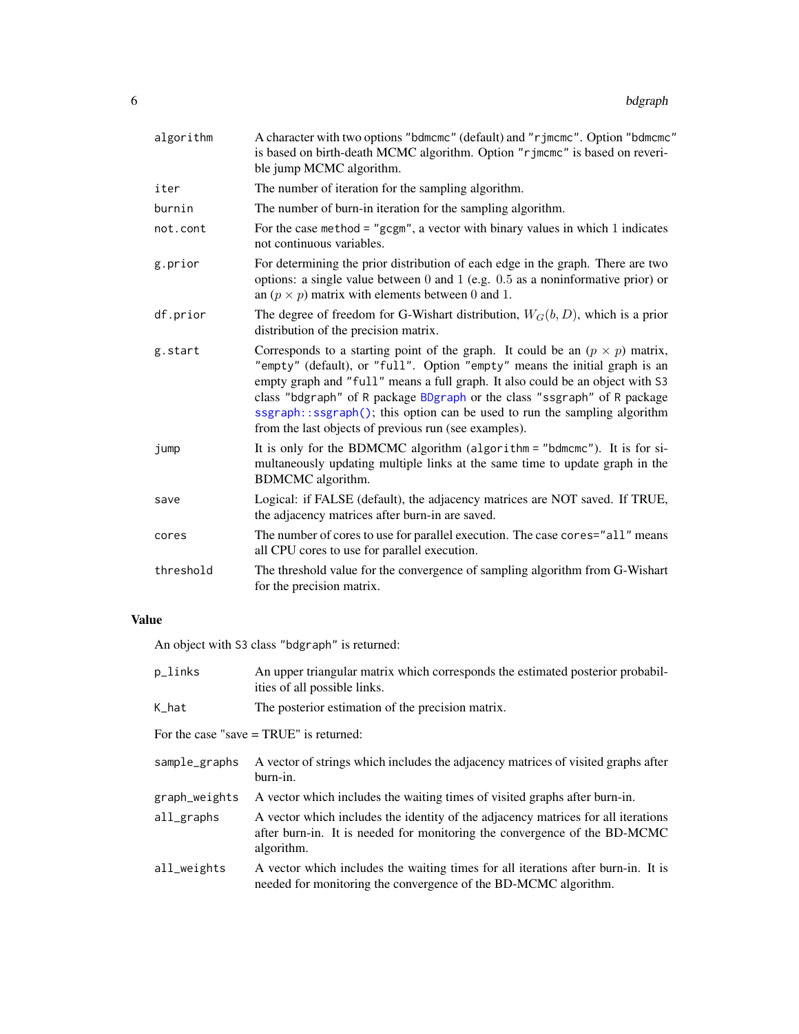<span id="page-5-0"></span>

| algorithm | A character with two options "bdmcmc" (default) and "rjmcmc". Option "bdmcmc"<br>is based on birth-death MCMC algorithm. Option "r jmcmc" is based on reveri-<br>ble jump MCMC algorithm.                                                                                                                                                                                                                                                                            |
|-----------|----------------------------------------------------------------------------------------------------------------------------------------------------------------------------------------------------------------------------------------------------------------------------------------------------------------------------------------------------------------------------------------------------------------------------------------------------------------------|
| iter      | The number of iteration for the sampling algorithm.                                                                                                                                                                                                                                                                                                                                                                                                                  |
| burnin    | The number of burn-in iteration for the sampling algorithm.                                                                                                                                                                                                                                                                                                                                                                                                          |
| not.cont  | For the case method = " $gcgm$ ", a vector with binary values in which 1 indicates<br>not continuous variables.                                                                                                                                                                                                                                                                                                                                                      |
| g.prior   | For determining the prior distribution of each edge in the graph. There are two<br>options: a single value between $0$ and $1$ (e.g. $0.5$ as a noninformative prior) or<br>an $(p \times p)$ matrix with elements between 0 and 1.                                                                                                                                                                                                                                  |
| df.prior  | The degree of freedom for G-Wishart distribution, $W_G(b, D)$ , which is a prior<br>distribution of the precision matrix.                                                                                                                                                                                                                                                                                                                                            |
| g.start   | Corresponds to a starting point of the graph. It could be an $(p \times p)$ matrix,<br>"empty" (default), or "full". Option "empty" means the initial graph is an<br>empty graph and "full" means a full graph. It also could be an object with S3<br>class "bdgraph" of R package BDgraph or the class "ssgraph" of R package<br>ssgraph::ssgraph(); this option can be used to run the sampling algorithm<br>from the last objects of previous run (see examples). |
| jump      | It is only for the BDMCMC algorithm (algorithm = "bdmcmc"). It is for si-<br>multaneously updating multiple links at the same time to update graph in the<br>BDMCMC algorithm.                                                                                                                                                                                                                                                                                       |
| save      | Logical: if FALSE (default), the adjacency matrices are NOT saved. If TRUE,<br>the adjacency matrices after burn-in are saved.                                                                                                                                                                                                                                                                                                                                       |
| cores     | The number of cores to use for parallel execution. The case cores="all" means<br>all CPU cores to use for parallel execution.                                                                                                                                                                                                                                                                                                                                        |
| threshold | The threshold value for the convergence of sampling algorithm from G-Wishart<br>for the precision matrix.                                                                                                                                                                                                                                                                                                                                                            |
|           |                                                                                                                                                                                                                                                                                                                                                                                                                                                                      |

## Value

An object with S3 class "bdgraph" is returned:

| p_links                                   | An upper triangular matrix which corresponds the estimated posterior probabil-<br>ities of all possible links.                                                               |  |  |  |  |
|-------------------------------------------|------------------------------------------------------------------------------------------------------------------------------------------------------------------------------|--|--|--|--|
| K_hat                                     | The posterior estimation of the precision matrix.                                                                                                                            |  |  |  |  |
| For the case "save $=$ TRUE" is returned: |                                                                                                                                                                              |  |  |  |  |
| sample_graphs                             | A vector of strings which includes the adjacency matrices of visited graphs after<br>burn-in.                                                                                |  |  |  |  |
| graph_weights                             | A vector which includes the waiting times of visited graphs after burn-in.                                                                                                   |  |  |  |  |
| $all$ graphs                              | A vector which includes the identity of the adjacency matrices for all iterations<br>after burn-in. It is needed for monitoring the convergence of the BD-MCMC<br>algorithm. |  |  |  |  |
| all_weights                               | A vector which includes the waiting times for all iterations after burn-in. It is<br>needed for monitoring the convergence of the BD-MCMC algorithm.                         |  |  |  |  |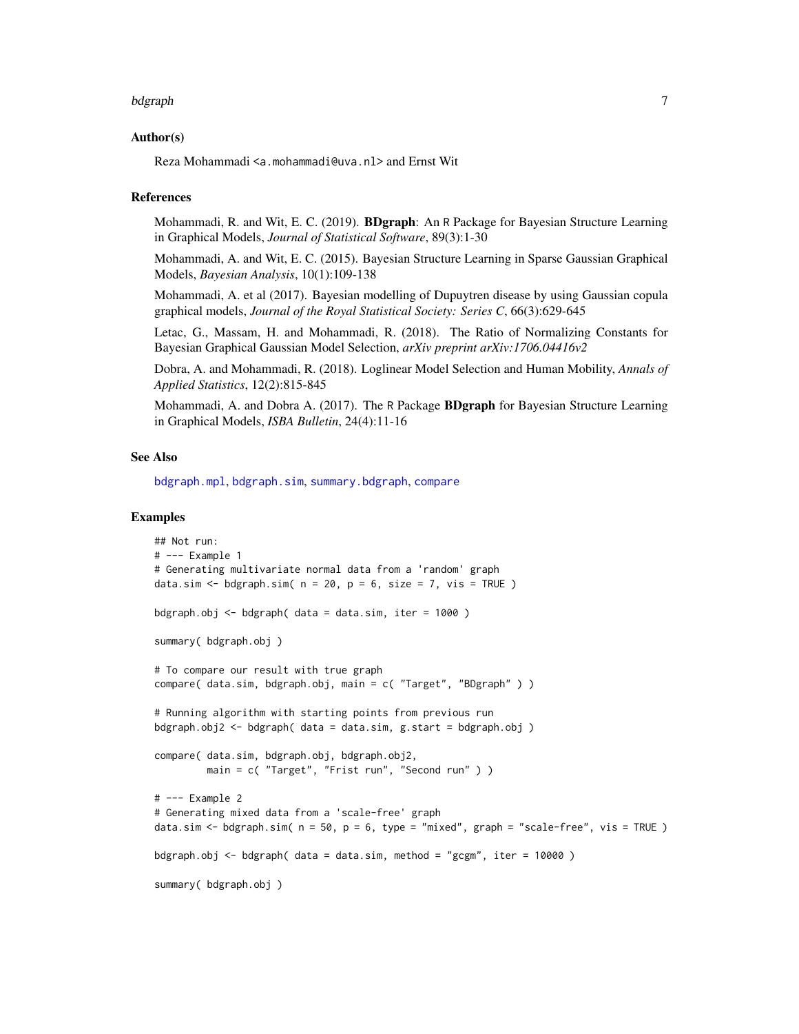#### <span id="page-6-0"></span>bdgraph 7

#### Author(s)

Reza Mohammadi <a.mohammadi@uva.nl> and Ernst Wit

#### References

Mohammadi, R. and Wit, E. C. (2019). BDgraph: An R Package for Bayesian Structure Learning in Graphical Models, *Journal of Statistical Software*, 89(3):1-30

Mohammadi, A. and Wit, E. C. (2015). Bayesian Structure Learning in Sparse Gaussian Graphical Models, *Bayesian Analysis*, 10(1):109-138

Mohammadi, A. et al (2017). Bayesian modelling of Dupuytren disease by using Gaussian copula graphical models, *Journal of the Royal Statistical Society: Series C*, 66(3):629-645

Letac, G., Massam, H. and Mohammadi, R. (2018). The Ratio of Normalizing Constants for Bayesian Graphical Gaussian Model Selection, *arXiv preprint arXiv:1706.04416v2*

Dobra, A. and Mohammadi, R. (2018). Loglinear Model Selection and Human Mobility, *Annals of Applied Statistics*, 12(2):815-845

Mohammadi, A. and Dobra A. (2017). The R Package **BDgraph** for Bayesian Structure Learning in Graphical Models, *ISBA Bulletin*, 24(4):11-16

#### See Also

[bdgraph.mpl](#page-7-1), [bdgraph.sim](#page-10-1), [summary.bdgraph](#page-41-1), [compare](#page-15-1)

## Examples

```
## Not run:
# --- Example 1
# Generating multivariate normal data from a 'random' graph
data.sim <- bdgraph.sim(n = 20, p = 6, size = 7, vis = TRUE)
bdgraph.obj \leq- bdgraph( data = data.sim, iter = 1000)
summary( bdgraph.obj )
# To compare our result with true graph
compare( data.sim, bdgraph.obj, main = c( "Target", "BDgraph" ) )
# Running algorithm with starting points from previous run
bdgraph.obj2 <- bdgraph( data = data.sim, g.start = bdgraph.obj )
compare( data.sim, bdgraph.obj, bdgraph.obj2,
        main = c( "Target", "Frist run", "Second run" ) )
# --- Example 2
# Generating mixed data from a 'scale-free' graph
data.sim <- bdgraph.sim( n = 50, p = 6, type = "mixed", graph = "scale-free", vis = TRUE )
bdgraph.obj <- bdgraph( data = data.sim, method = "gcgm", iter = 10000)
summary( bdgraph.obj )
```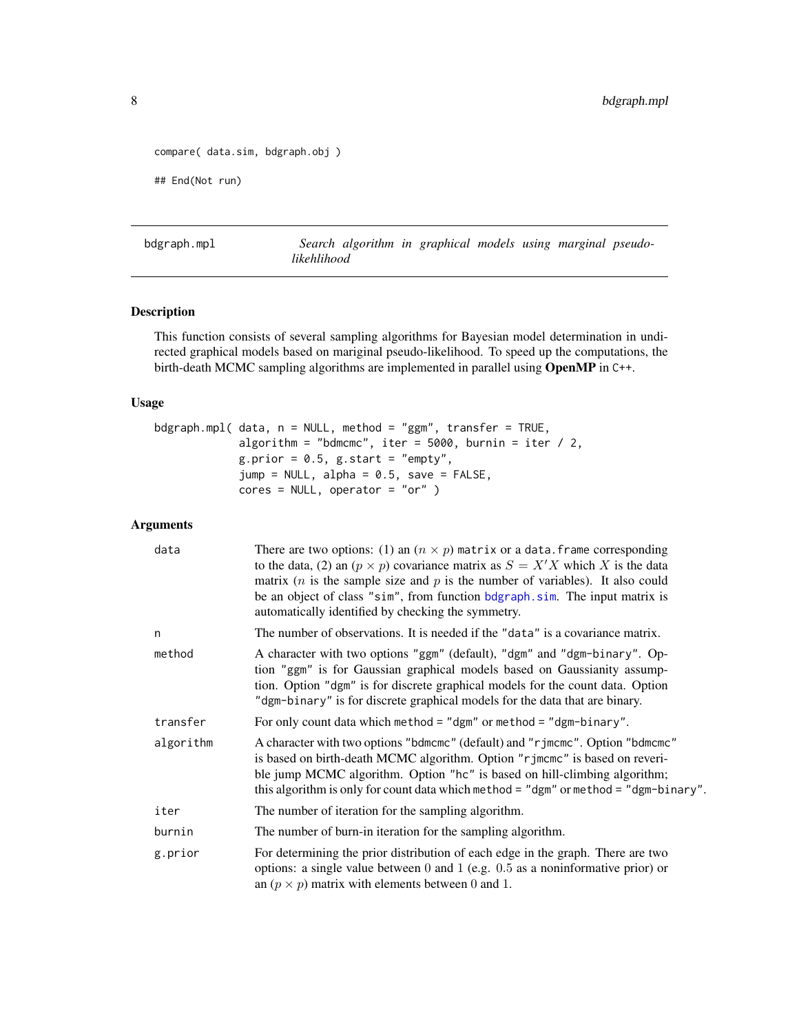```
compare( data.sim, bdgraph.obj )
## End(Not run)
```
<span id="page-7-1"></span>bdgraph.mpl *Search algorithm in graphical models using marginal pseudolikehlihood*

## Description

This function consists of several sampling algorithms for Bayesian model determination in undirected graphical models based on mariginal pseudo-likelihood. To speed up the computations, the birth-death MCMC sampling algorithms are implemented in parallel using OpenMP in C++.

## Usage

```
bdgraph.mpl( data, n = NULL, method = "ggm", transfer = TRUE,
            algorithm = "bdmcmc", iter = 5000, burnin = iter / 2,
            g.prior = 0.5, g.start = "empty",
             jump = NULL, alpha = 0.5, save = FALSE,cores = NULL, operator = "or" )
```
## Arguments

| data      | There are two options: (1) an $(n \times p)$ matrix or a data. frame corresponding<br>to the data, (2) an $(p \times p)$ covariance matrix as $S = X'X$ which X is the data<br>matrix ( <i>n</i> is the sample size and $p$ is the number of variables). It also could<br>be an object of class "sim", from function bdgraph.sim. The input matrix is<br>automatically identified by checking the symmetry. |
|-----------|-------------------------------------------------------------------------------------------------------------------------------------------------------------------------------------------------------------------------------------------------------------------------------------------------------------------------------------------------------------------------------------------------------------|
| n         | The number of observations. It is needed if the "data" is a covariance matrix.                                                                                                                                                                                                                                                                                                                              |
| method    | A character with two options "ggm" (default), "dgm" and "dgm-binary". Op-<br>tion "ggm" is for Gaussian graphical models based on Gaussianity assump-<br>tion. Option "dgm" is for discrete graphical models for the count data. Option<br>"dgm-binary" is for discrete graphical models for the data that are binary.                                                                                      |
| transfer  | For only count data which method = "dgm" or method = "dgm-binary".                                                                                                                                                                                                                                                                                                                                          |
| algorithm | A character with two options "bdmcmc" (default) and "rjmcmc". Option "bdmcmc"<br>is based on birth-death MCMC algorithm. Option "rjmcmc" is based on reveri-<br>ble jump MCMC algorithm. Option "hc" is based on hill-climbing algorithm;<br>this algorithm is only for count data which method = "dgm" or method = "dgm-binary".                                                                           |
| iter      | The number of iteration for the sampling algorithm.                                                                                                                                                                                                                                                                                                                                                         |
| burnin    | The number of burn-in iteration for the sampling algorithm.                                                                                                                                                                                                                                                                                                                                                 |
| g.prior   | For determining the prior distribution of each edge in the graph. There are two<br>options: a single value between $0$ and $1$ (e.g. $0.5$ as a noninformative prior) or<br>an $(p \times p)$ matrix with elements between 0 and 1.                                                                                                                                                                         |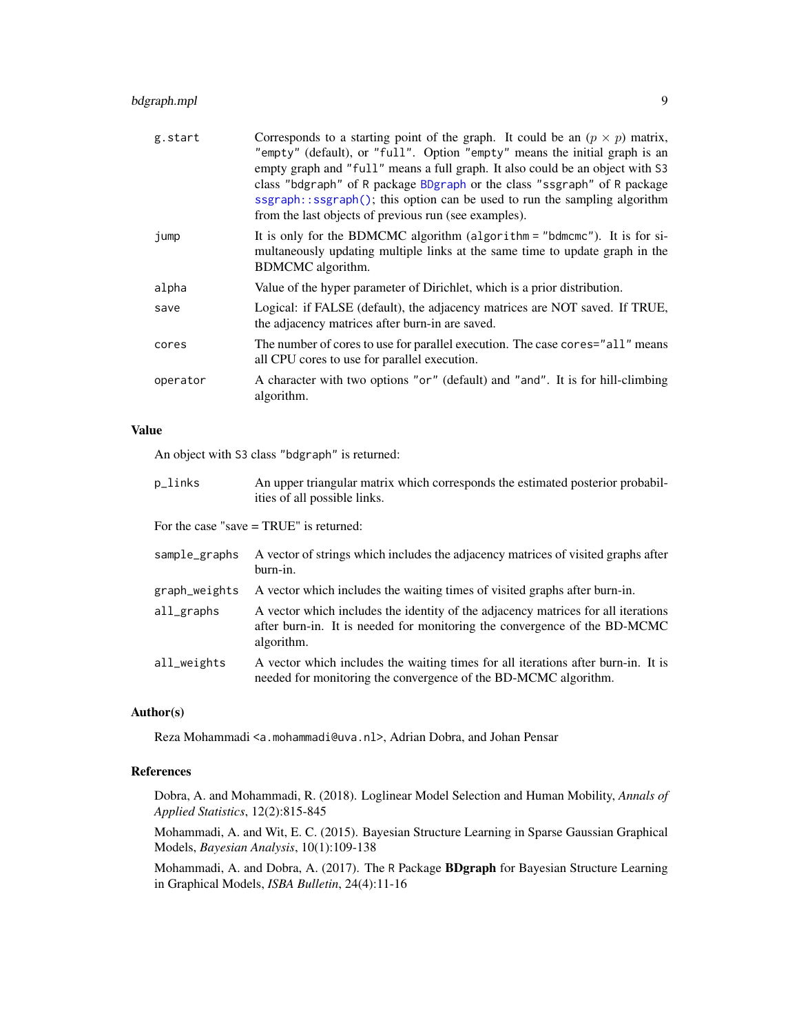## <span id="page-8-0"></span>bdgraph.mpl 9

| g.start  | Corresponds to a starting point of the graph. It could be an $(p \times p)$ matrix,<br>"empty" (default), or "full". Option "empty" means the initial graph is an<br>empty graph and "full" means a full graph. It also could be an object with S3<br>class "bdgraph" of R package BDgraph or the class "ssgraph" of R package<br>ssgraph::ssgraph(); this option can be used to run the sampling algorithm<br>from the last objects of previous run (see examples). |
|----------|----------------------------------------------------------------------------------------------------------------------------------------------------------------------------------------------------------------------------------------------------------------------------------------------------------------------------------------------------------------------------------------------------------------------------------------------------------------------|
| jump     | It is only for the BDMCMC algorithm (algorithm = "bdmcmc"). It is for si-<br>multaneously updating multiple links at the same time to update graph in the<br>BDMCMC algorithm.                                                                                                                                                                                                                                                                                       |
| alpha    | Value of the hyper parameter of Dirichlet, which is a prior distribution.                                                                                                                                                                                                                                                                                                                                                                                            |
| save     | Logical: if FALSE (default), the adjacency matrices are NOT saved. If TRUE,<br>the adjacency matrices after burn-in are saved.                                                                                                                                                                                                                                                                                                                                       |
| cores    | The number of cores to use for parallel execution. The case cores="all" means<br>all CPU cores to use for parallel execution.                                                                                                                                                                                                                                                                                                                                        |
| operator | A character with two options "or" (default) and "and". It is for hill-climbing<br>algorithm.                                                                                                                                                                                                                                                                                                                                                                         |

## Value

An object with S3 class "bdgraph" is returned:

| p_links | An upper triangular matrix which corresponds the estimated posterior probabil- |
|---------|--------------------------------------------------------------------------------|
|         | ities of all possible links.                                                   |

For the case "save = TRUE" is returned:

| sample_graphs | A vector of strings which includes the adjacency matrices of visited graphs after<br>burn-in.                                                                                |
|---------------|------------------------------------------------------------------------------------------------------------------------------------------------------------------------------|
| graph_weights | A vector which includes the waiting times of visited graphs after burn-in.                                                                                                   |
| all_graphs    | A vector which includes the identity of the adjacency matrices for all iterations<br>after burn-in. It is needed for monitoring the convergence of the BD-MCMC<br>algorithm. |
| all_weights   | A vector which includes the waiting times for all iterations after burn-in. It is<br>needed for monitoring the convergence of the BD-MCMC algorithm.                         |

## Author(s)

Reza Mohammadi <a.mohammadi@uva.nl>, Adrian Dobra, and Johan Pensar

## References

Dobra, A. and Mohammadi, R. (2018). Loglinear Model Selection and Human Mobility, *Annals of Applied Statistics*, 12(2):815-845

Mohammadi, A. and Wit, E. C. (2015). Bayesian Structure Learning in Sparse Gaussian Graphical Models, *Bayesian Analysis*, 10(1):109-138

Mohammadi, A. and Dobra, A. (2017). The R Package BDgraph for Bayesian Structure Learning in Graphical Models, *ISBA Bulletin*, 24(4):11-16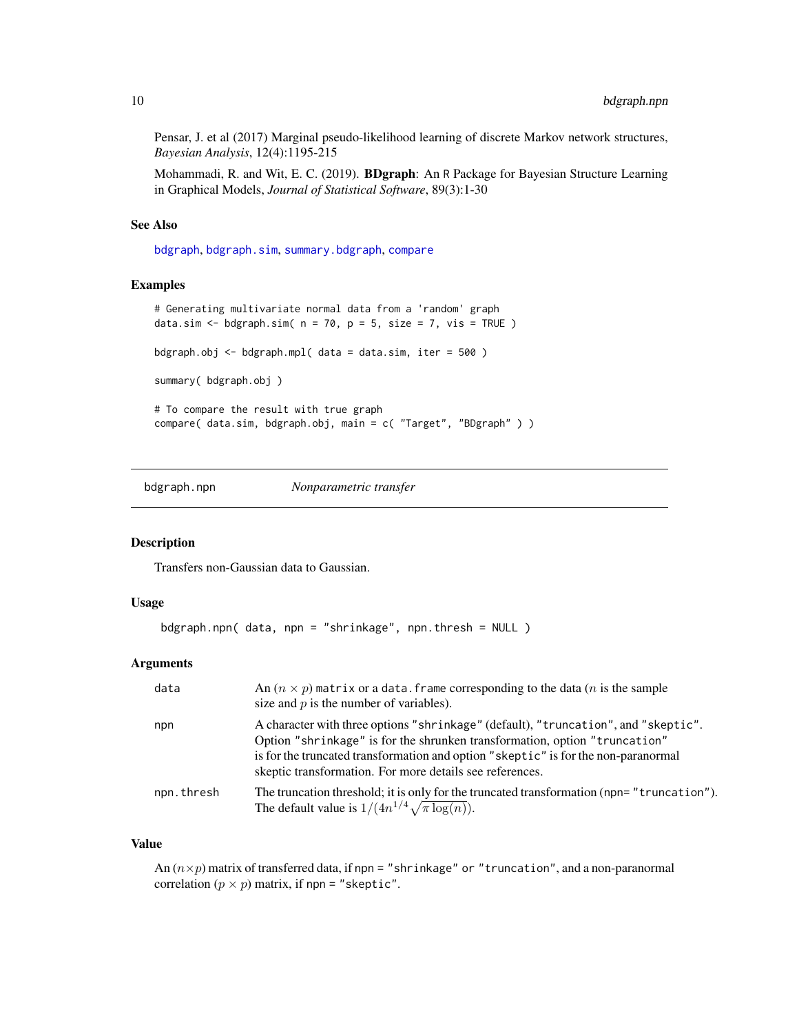<span id="page-9-0"></span>Pensar, J. et al (2017) Marginal pseudo-likelihood learning of discrete Markov network structures, *Bayesian Analysis*, 12(4):1195-215

Mohammadi, R. and Wit, E. C. (2019). BDgraph: An R Package for Bayesian Structure Learning in Graphical Models, *Journal of Statistical Software*, 89(3):1-30

## See Also

[bdgraph](#page-4-1), [bdgraph.sim](#page-10-1), [summary.bdgraph](#page-41-1), [compare](#page-15-1)

#### Examples

```
# Generating multivariate normal data from a 'random' graph
data.sim <- bdgraph.sim(n = 70, p = 5, size = 7, vis = TRUE)
bdgraph.obj <- bdgraph.mpl( data = data.sim, iter = 500 )
summary( bdgraph.obj )
# To compare the result with true graph
compare( data.sim, bdgraph.obj, main = c( "Target", "BDgraph" ) )
```
bdgraph.npn *Nonparametric transfer*

#### Description

Transfers non-Gaussian data to Gaussian.

#### Usage

```
bdgraph.npn( data, npn = "shrinkage", npn.thresh = NULL )
```
#### Arguments

| data       | An $(n \times p)$ matrix or a data. frame corresponding to the data $(n$ is the sample<br>size and $p$ is the number of variables).                                                                                                                                                                                |
|------------|--------------------------------------------------------------------------------------------------------------------------------------------------------------------------------------------------------------------------------------------------------------------------------------------------------------------|
| npn        | A character with three options "shrinkage" (default), "truncation", and "skeptic".<br>Option "shrinkage" is for the shrunken transformation, option "truncation"<br>is for the truncated transformation and option "skeptic" is for the non-paranormal<br>skeptic transformation. For more details see references. |
| npn.thresh | The truncation threshold; it is only for the truncated transformation (npn="truncation").<br>The default value is $1/(4n^{1/4}\sqrt{\pi \log(n)})$ .                                                                                                                                                               |

#### Value

An  $(n \times p)$  matrix of transferred data, if npn = "shrinkage" or "truncation", and a non-paranormal correlation  $(p \times p)$  matrix, if npn = "skeptic".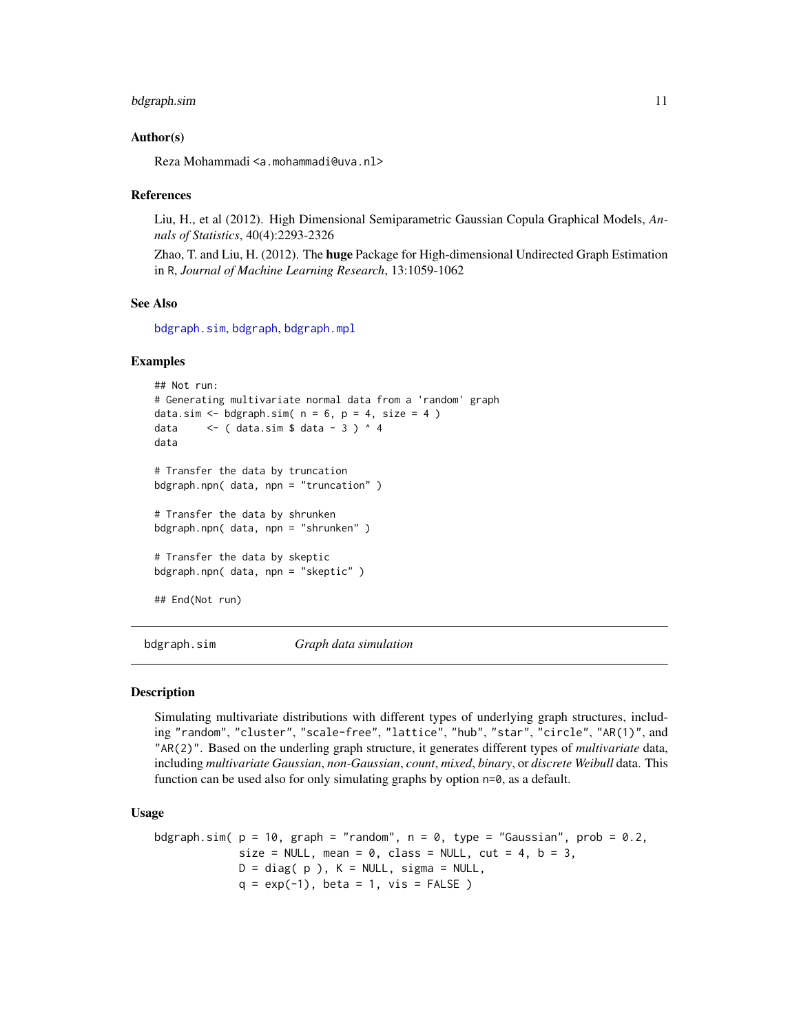#### <span id="page-10-0"></span>bdgraph.sim 11

#### Author(s)

Reza Mohammadi <a.mohammadi@uva.nl>

#### References

Liu, H., et al (2012). High Dimensional Semiparametric Gaussian Copula Graphical Models, *Annals of Statistics*, 40(4):2293-2326

Zhao, T. and Liu, H. (2012). The **huge** Package for High-dimensional Undirected Graph Estimation in R, *Journal of Machine Learning Research*, 13:1059-1062

#### See Also

[bdgraph.sim](#page-10-1), [bdgraph](#page-4-1), [bdgraph.mpl](#page-7-1)

#### Examples

```
## Not run:
# Generating multivariate normal data from a 'random' graph
data.sim \leq bdgraph.sim( n = 6, p = 4, size = 4 )
data \leq ( data.sim $ data - 3 ) ^ 4
data
# Transfer the data by truncation
bdgraph.npn( data, npn = "truncation" )
# Transfer the data by shrunken
bdgraph.npn( data, npn = "shrunken" )
# Transfer the data by skeptic
bdgraph.npn( data, npn = "skeptic" )
## End(Not run)
```
<span id="page-10-1"></span>bdgraph.sim *Graph data simulation*

#### Description

Simulating multivariate distributions with different types of underlying graph structures, including "random", "cluster", "scale-free", "lattice", "hub", "star", "circle", "AR(1)", and "AR(2)". Based on the underling graph structure, it generates different types of *multivariate* data, including *multivariate Gaussian*, *non-Gaussian*, *count*, *mixed*, *binary*, or *discrete Weibull* data. This function can be used also for only simulating graphs by option n=0, as a default.

#### Usage

```
bdgraph.sim( p = 10, graph = "random", n = 0, type = "Gaussian", prob = 0.2,
            size = NULL, mean = 0, class = NULL, cut = 4, b = 3,
            D = diag(p), K = NULL, sigma = NULL,
            q = exp(-1), beta = 1, vis = FALSE)
```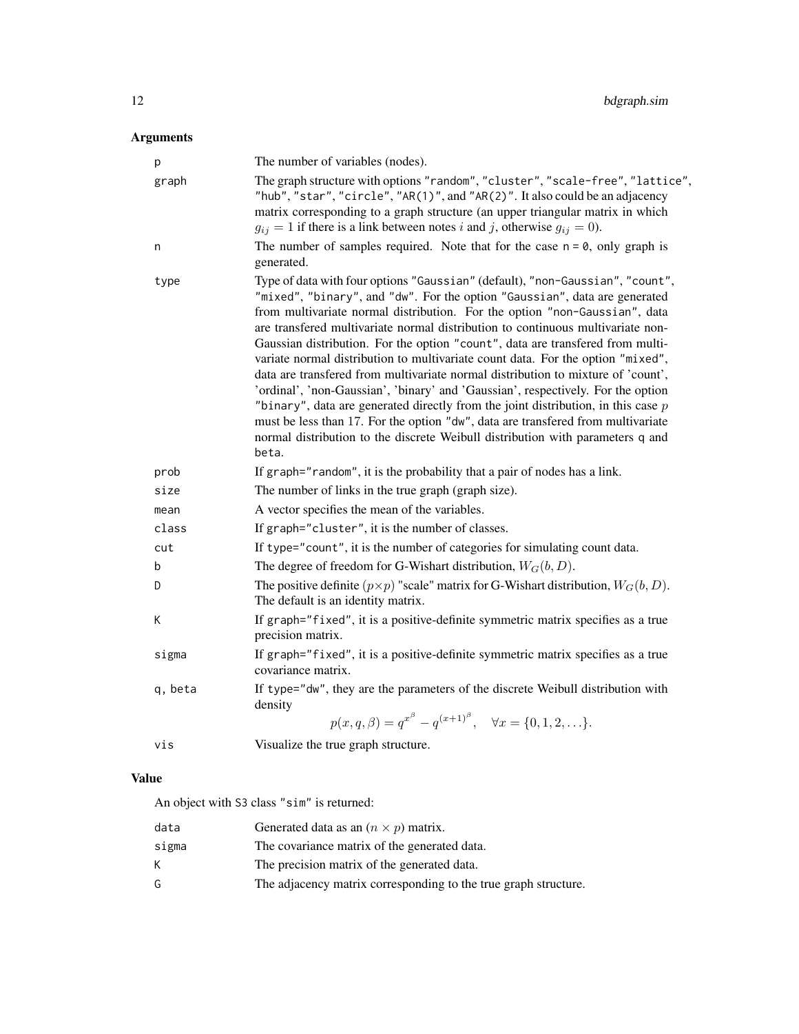## Arguments

| p       | The number of variables (nodes).                                                                                                                                                                                                                                                                                                                                                                                                                                                                                                                                                                                                                                                                                                                                                                                                                                                                                                                |
|---------|-------------------------------------------------------------------------------------------------------------------------------------------------------------------------------------------------------------------------------------------------------------------------------------------------------------------------------------------------------------------------------------------------------------------------------------------------------------------------------------------------------------------------------------------------------------------------------------------------------------------------------------------------------------------------------------------------------------------------------------------------------------------------------------------------------------------------------------------------------------------------------------------------------------------------------------------------|
| graph   | The graph structure with options "random", "cluster", "scale-free", "lattice",<br>"hub", "star", "circle", "AR(1)", and "AR(2)". It also could be an adjacency<br>matrix corresponding to a graph structure (an upper triangular matrix in which<br>$g_{ij} = 1$ if there is a link between notes i and j, otherwise $g_{ij} = 0$ ).                                                                                                                                                                                                                                                                                                                                                                                                                                                                                                                                                                                                            |
| n       | The number of samples required. Note that for the case $n = 0$ , only graph is<br>generated.                                                                                                                                                                                                                                                                                                                                                                                                                                                                                                                                                                                                                                                                                                                                                                                                                                                    |
| type    | Type of data with four options "Gaussian" (default), "non-Gaussian", "count",<br>"mixed", "binary", and "dw". For the option "Gaussian", data are generated<br>from multivariate normal distribution. For the option "non-Gaussian", data<br>are transfered multivariate normal distribution to continuous multivariate non-<br>Gaussian distribution. For the option "count", data are transfered from multi-<br>variate normal distribution to multivariate count data. For the option "mixed",<br>data are transfered from multivariate normal distribution to mixture of 'count',<br>'ordinal', 'non-Gaussian', 'binary' and 'Gaussian', respectively. For the option<br>"binary", data are generated directly from the joint distribution, in this case $p$<br>must be less than 17. For the option "dw", data are transfered from multivariate<br>normal distribution to the discrete Weibull distribution with parameters q and<br>beta. |
| prob    | If graph="random", it is the probability that a pair of nodes has a link.                                                                                                                                                                                                                                                                                                                                                                                                                                                                                                                                                                                                                                                                                                                                                                                                                                                                       |
| size    | The number of links in the true graph (graph size).                                                                                                                                                                                                                                                                                                                                                                                                                                                                                                                                                                                                                                                                                                                                                                                                                                                                                             |
| mean    | A vector specifies the mean of the variables.                                                                                                                                                                                                                                                                                                                                                                                                                                                                                                                                                                                                                                                                                                                                                                                                                                                                                                   |
| class   | If graph="cluster", it is the number of classes.                                                                                                                                                                                                                                                                                                                                                                                                                                                                                                                                                                                                                                                                                                                                                                                                                                                                                                |
| cut     | If type="count", it is the number of categories for simulating count data.                                                                                                                                                                                                                                                                                                                                                                                                                                                                                                                                                                                                                                                                                                                                                                                                                                                                      |
| b       | The degree of freedom for G-Wishart distribution, $W_G(b, D)$ .                                                                                                                                                                                                                                                                                                                                                                                                                                                                                                                                                                                                                                                                                                                                                                                                                                                                                 |
| D       | The positive definite $(p \times p)$ "scale" matrix for G-Wishart distribution, $W_G(b, D)$ .<br>The default is an identity matrix.                                                                                                                                                                                                                                                                                                                                                                                                                                                                                                                                                                                                                                                                                                                                                                                                             |
| К       | If graph="fixed", it is a positive-definite symmetric matrix specifies as a true<br>precision matrix.                                                                                                                                                                                                                                                                                                                                                                                                                                                                                                                                                                                                                                                                                                                                                                                                                                           |
| sigma   | If graph="fixed", it is a positive-definite symmetric matrix specifies as a true<br>covariance matrix.                                                                                                                                                                                                                                                                                                                                                                                                                                                                                                                                                                                                                                                                                                                                                                                                                                          |
| q, beta | If type="dw", they are the parameters of the discrete Weibull distribution with<br>density<br>$p(x, q, \beta) = q^{x^{\beta}} - q^{(x+1)^{\beta}}, \quad \forall x = \{0, 1, 2, \ldots\}.$                                                                                                                                                                                                                                                                                                                                                                                                                                                                                                                                                                                                                                                                                                                                                      |
| vis     | Visualize the true graph structure.                                                                                                                                                                                                                                                                                                                                                                                                                                                                                                                                                                                                                                                                                                                                                                                                                                                                                                             |

## Value

An object with S3 class "sim" is returned:

| data  | Generated data as an $(n \times p)$ matrix.                     |
|-------|-----------------------------------------------------------------|
| sigma | The covariance matrix of the generated data.                    |
| K.    | The precision matrix of the generated data.                     |
| G.    | The adjacency matrix corresponding to the true graph structure. |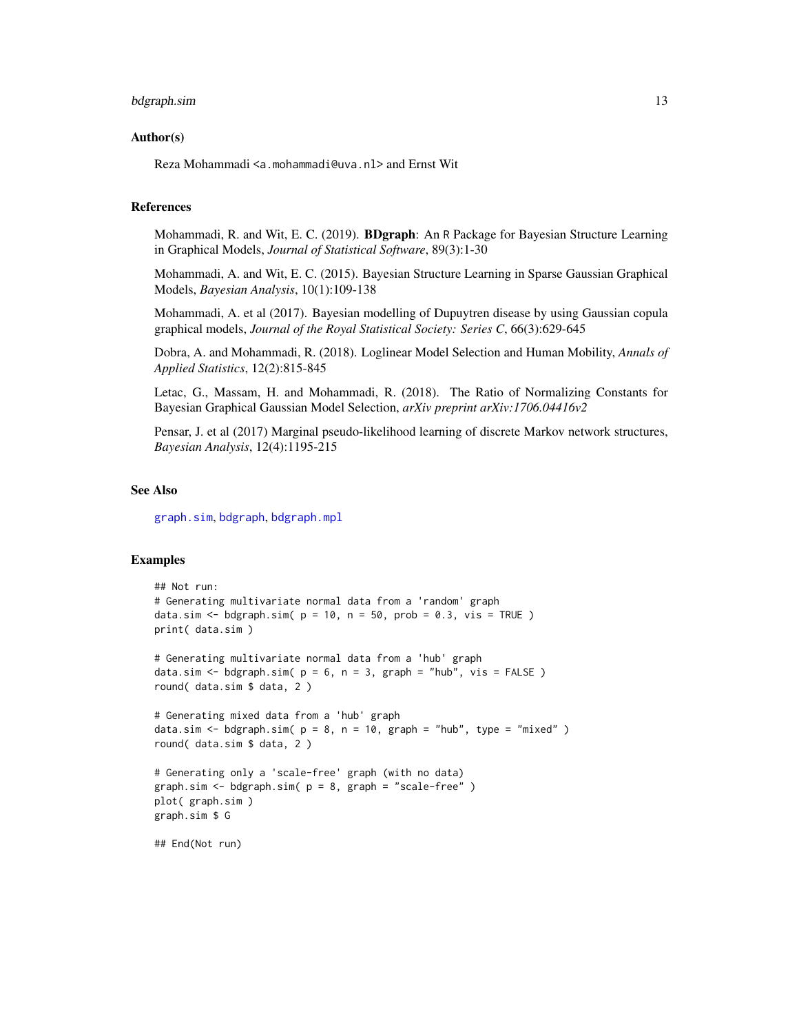## <span id="page-12-0"></span>bdgraph.sim 13

#### Author(s)

Reza Mohammadi <a.mohammadi@uva.nl> and Ernst Wit

## References

Mohammadi, R. and Wit, E. C. (2019). BDgraph: An R Package for Bayesian Structure Learning in Graphical Models, *Journal of Statistical Software*, 89(3):1-30

Mohammadi, A. and Wit, E. C. (2015). Bayesian Structure Learning in Sparse Gaussian Graphical Models, *Bayesian Analysis*, 10(1):109-138

Mohammadi, A. et al (2017). Bayesian modelling of Dupuytren disease by using Gaussian copula graphical models, *Journal of the Royal Statistical Society: Series C*, 66(3):629-645

Dobra, A. and Mohammadi, R. (2018). Loglinear Model Selection and Human Mobility, *Annals of Applied Statistics*, 12(2):815-845

Letac, G., Massam, H. and Mohammadi, R. (2018). The Ratio of Normalizing Constants for Bayesian Graphical Gaussian Model Selection, *arXiv preprint arXiv:1706.04416v2*

Pensar, J. et al (2017) Marginal pseudo-likelihood learning of discrete Markov network structures, *Bayesian Analysis*, 12(4):1195-215

## See Also

[graph.sim](#page-20-1), [bdgraph](#page-4-1), [bdgraph.mpl](#page-7-1)

## Examples

```
## Not run:
# Generating multivariate normal data from a 'random' graph
data.sim <- bdgraph.sim(p = 10, n = 50, prob = 0.3, vis = TRUE)
print( data.sim )
# Generating multivariate normal data from a 'hub' graph
data.sim \leq bdgraph.sim( p = 6, n = 3, graph = "hub", vis = FALSE)
round( data.sim $ data, 2 )
# Generating mixed data from a 'hub' graph
data.sim <- bdgraph.sim(p = 8, n = 10, graph = "hub", type = "mixed")
round( data.sim $ data, 2 )
# Generating only a 'scale-free' graph (with no data)
graph.sim \leq bdgraph.sim( p = 8, graph = "scale-free" )
plot( graph.sim )
graph.sim $ G
```
## End(Not run)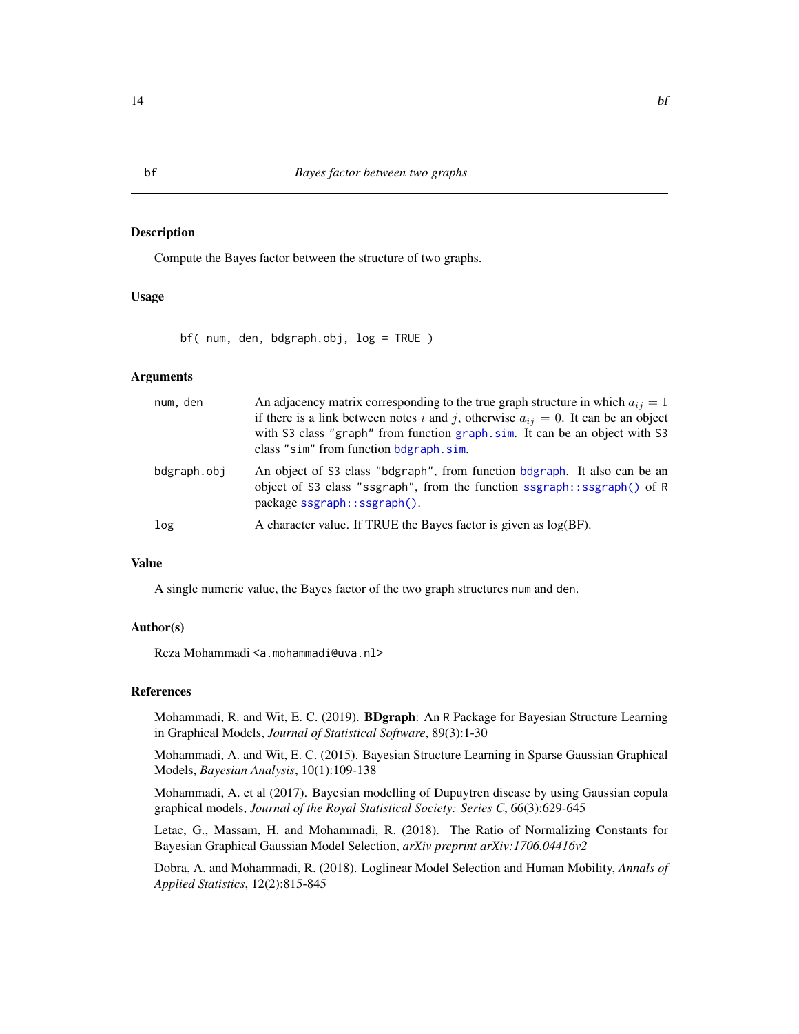#### Description

Compute the Bayes factor between the structure of two graphs.

## Usage

bf( num, den, bdgraph.obj, log = TRUE )

## Arguments

| num, den    | An adjacency matrix corresponding to the true graph structure in which $a_{ij} = 1$<br>if there is a link between notes i and j, otherwise $a_{ij} = 0$ . It can be an object<br>with S3 class "graph" from function graph.sim. It can be an object with S3<br>class "sim" from function bdgraph.sim. |
|-------------|-------------------------------------------------------------------------------------------------------------------------------------------------------------------------------------------------------------------------------------------------------------------------------------------------------|
| bdgraph.obj | An object of S3 class "bdgraph", from function bdgraph. It also can be an<br>object of S3 class "ssgraph", from the function ssgraph::ssgraph() of R<br>package ssgraph::ssgraph().                                                                                                                   |
| log         | A character value. If TRUE the Bayes factor is given as log(BF).                                                                                                                                                                                                                                      |

## Value

A single numeric value, the Bayes factor of the two graph structures num and den.

#### Author(s)

Reza Mohammadi <a.mohammadi@uva.nl>

## References

Mohammadi, R. and Wit, E. C. (2019). BDgraph: An R Package for Bayesian Structure Learning in Graphical Models, *Journal of Statistical Software*, 89(3):1-30

Mohammadi, A. and Wit, E. C. (2015). Bayesian Structure Learning in Sparse Gaussian Graphical Models, *Bayesian Analysis*, 10(1):109-138

Mohammadi, A. et al (2017). Bayesian modelling of Dupuytren disease by using Gaussian copula graphical models, *Journal of the Royal Statistical Society: Series C*, 66(3):629-645

Letac, G., Massam, H. and Mohammadi, R. (2018). The Ratio of Normalizing Constants for Bayesian Graphical Gaussian Model Selection, *arXiv preprint arXiv:1706.04416v2*

Dobra, A. and Mohammadi, R. (2018). Loglinear Model Selection and Human Mobility, *Annals of Applied Statistics*, 12(2):815-845

<span id="page-13-0"></span>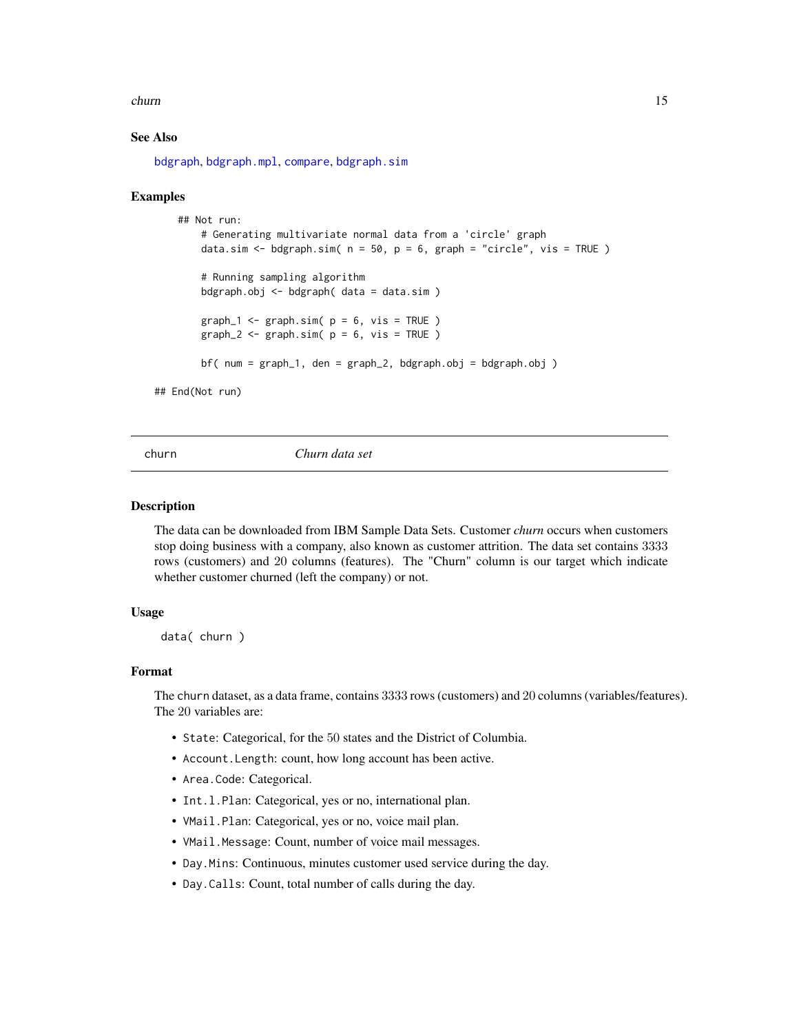#### <span id="page-14-0"></span>churn 15

## See Also

[bdgraph](#page-4-1), [bdgraph.mpl](#page-7-1), [compare](#page-15-1), [bdgraph.sim](#page-10-1)

#### Examples

```
## Not run:
        # Generating multivariate normal data from a 'circle' graph
        data.sim <- bdgraph.sim(n = 50, p = 6, graph = "circle", vis = TRUE)
        # Running sampling algorithm
        bdgraph.obj <- bdgraph( data = data.sim )
        graph_1 \leftarrow graph.size n = 6, vis = TRUE )
        graph_2 \leq \text{graph}.\text{sim}(p = 6, \text{vis} = \text{TRUE})bf( num = graph_1, den = graph_2, bdgraph.obj = bdgraph.obj )
## End(Not run)
```
churn *Churn data set*

#### Description

The data can be downloaded from IBM Sample Data Sets. Customer *churn* occurs when customers stop doing business with a company, also known as customer attrition. The data set contains 3333 rows (customers) and 20 columns (features). The "Churn" column is our target which indicate whether customer churned (left the company) or not.

#### Usage

data( churn )

#### Format

The churn dataset, as a data frame, contains 3333 rows (customers) and 20 columns (variables/features). The 20 variables are:

- State: Categorical, for the 50 states and the District of Columbia.
- Account.Length: count, how long account has been active.
- Area.Code: Categorical.
- Int.l.Plan: Categorical, yes or no, international plan.
- VMail.Plan: Categorical, yes or no, voice mail plan.
- VMail.Message: Count, number of voice mail messages.
- Day.Mins: Continuous, minutes customer used service during the day.
- Day.Calls: Count, total number of calls during the day.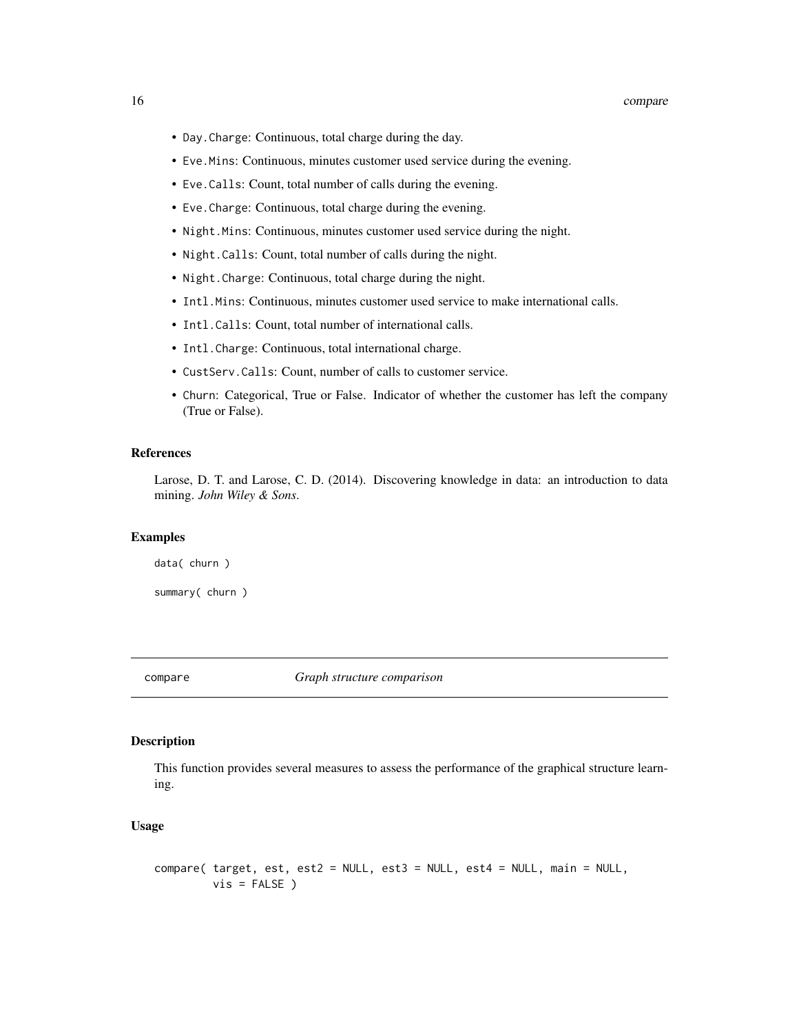#### <span id="page-15-0"></span>16 compare

- Day.Charge: Continuous, total charge during the day.
- Eve.Mins: Continuous, minutes customer used service during the evening.
- Eve.Calls: Count, total number of calls during the evening.
- Eve.Charge: Continuous, total charge during the evening.
- Night.Mins: Continuous, minutes customer used service during the night.
- Night.Calls: Count, total number of calls during the night.
- Night.Charge: Continuous, total charge during the night.
- Intl.Mins: Continuous, minutes customer used service to make international calls.
- Intl.Calls: Count, total number of international calls.
- Intl.Charge: Continuous, total international charge.
- CustServ.Calls: Count, number of calls to customer service.
- Churn: Categorical, True or False. Indicator of whether the customer has left the company (True or False).

## References

Larose, D. T. and Larose, C. D. (2014). Discovering knowledge in data: an introduction to data mining. *John Wiley & Sons*.

## Examples

data( churn )

summary( churn )

<span id="page-15-1"></span>compare *Graph structure comparison*

#### **Description**

This function provides several measures to assess the performance of the graphical structure learning.

#### Usage

```
compare( target, est, est2 = NULL, est3 = NULL, est4 = NULL, main = NULL,
        vis = FALSE)
```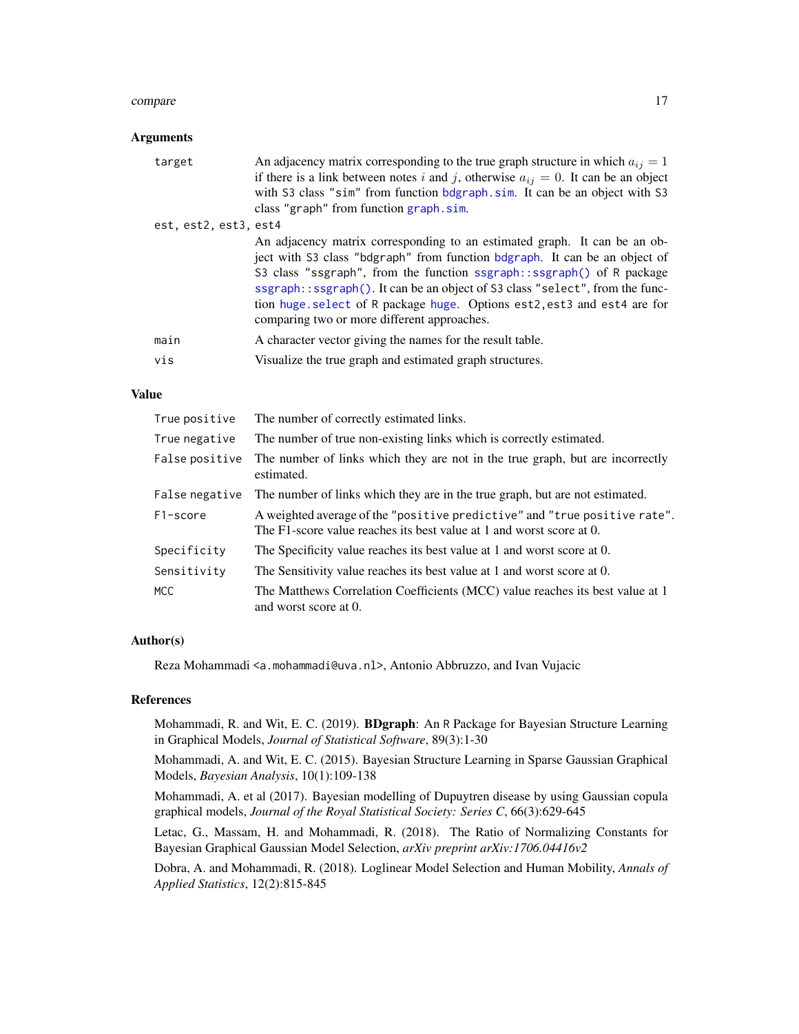#### <span id="page-16-0"></span>compare the compare that the compare the compare the compare the compare that  $17$

## Arguments

| target                | An adjacency matrix corresponding to the true graph structure in which $a_{ij} = 1$                                                                                                                                                                                                                                                                                                                                                        |
|-----------------------|--------------------------------------------------------------------------------------------------------------------------------------------------------------------------------------------------------------------------------------------------------------------------------------------------------------------------------------------------------------------------------------------------------------------------------------------|
|                       | if there is a link between notes i and j, otherwise $a_{ij} = 0$ . It can be an object                                                                                                                                                                                                                                                                                                                                                     |
|                       | with S3 class "sim" from function bdgraph.sim. It can be an object with S3                                                                                                                                                                                                                                                                                                                                                                 |
|                       | class "graph" from function graph.sim.                                                                                                                                                                                                                                                                                                                                                                                                     |
| est, est2, est3, est4 |                                                                                                                                                                                                                                                                                                                                                                                                                                            |
|                       | An adjacency matrix corresponding to an estimated graph. It can be an ob-<br>ject with S3 class "bdgraph" from function bdgraph. It can be an object of<br>S3 class "ssgraph", from the function ssgraph::ssgraph() of R package<br>ssgraph::ssgraph(). It can be an object of S3 class "select", from the func-<br>tion huge select of R package huge. Options est2, est3 and est4 are for<br>comparing two or more different approaches. |
| main                  | A character vector giving the names for the result table.                                                                                                                                                                                                                                                                                                                                                                                  |
| vis                   | Visualize the true graph and estimated graph structures.                                                                                                                                                                                                                                                                                                                                                                                   |
|                       |                                                                                                                                                                                                                                                                                                                                                                                                                                            |

## Value

| True positive  | The number of correctly estimated links.                                                                                                          |
|----------------|---------------------------------------------------------------------------------------------------------------------------------------------------|
| True negative  | The number of true non-existing links which is correctly estimated.                                                                               |
| False positive | The number of links which they are not in the true graph, but are incorrectly<br>estimated.                                                       |
| False negative | The number of links which they are in the true graph, but are not estimated.                                                                      |
| F1-score       | A weighted average of the "positive predictive" and "true positive rate".<br>The F1-score value reaches its best value at 1 and worst score at 0. |
| Specificity    | The Specificity value reaches its best value at 1 and worst score at 0.                                                                           |
| Sensitivity    | The Sensitivity value reaches its best value at 1 and worst score at 0.                                                                           |
| <b>MCC</b>     | The Matthews Correlation Coefficients (MCC) value reaches its best value at 1<br>and worst score at 0.                                            |

#### Author(s)

Reza Mohammadi <a.mohammadi@uva.nl>, Antonio Abbruzzo, and Ivan Vujacic

#### References

Mohammadi, R. and Wit, E. C. (2019). BDgraph: An R Package for Bayesian Structure Learning in Graphical Models, *Journal of Statistical Software*, 89(3):1-30

Mohammadi, A. and Wit, E. C. (2015). Bayesian Structure Learning in Sparse Gaussian Graphical Models, *Bayesian Analysis*, 10(1):109-138

Mohammadi, A. et al (2017). Bayesian modelling of Dupuytren disease by using Gaussian copula graphical models, *Journal of the Royal Statistical Society: Series C*, 66(3):629-645

Letac, G., Massam, H. and Mohammadi, R. (2018). The Ratio of Normalizing Constants for Bayesian Graphical Gaussian Model Selection, *arXiv preprint arXiv:1706.04416v2*

Dobra, A. and Mohammadi, R. (2018). Loglinear Model Selection and Human Mobility, *Annals of Applied Statistics*, 12(2):815-845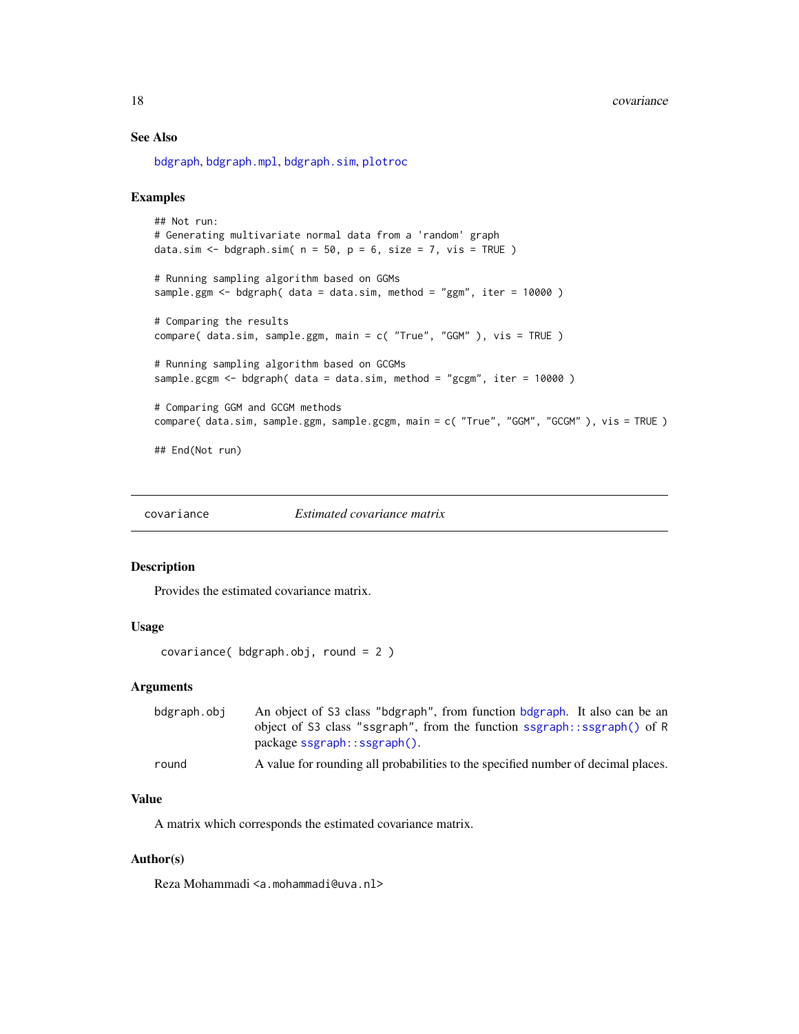## <span id="page-17-0"></span>See Also

[bdgraph](#page-4-1), [bdgraph.mpl](#page-7-1), [bdgraph.sim](#page-10-1), [plotroc](#page-30-1)

## Examples

```
## Not run:
# Generating multivariate normal data from a 'random' graph
data.sim <- bdgraph.sim(n = 50, p = 6, size = 7, vis = TRUE)
# Running sampling algorithm based on GGMs
sample.ggm <- bdgraph( data = data.sim, method = "ggm", iter = 10000)
# Comparing the results
compare( data.sim, sample.ggm, main = c( "True", "GGM" ), vis = TRUE )
# Running sampling algorithm based on GCGMs
sample.gcgm \leq bdgraph( data = data.sim, method = "gcgm", iter = 10000)
# Comparing GGM and GCGM methods
compare( data.sim, sample.ggm, sample.gcgm, main = c( "True", "GGM", "GCGM" ), vis = TRUE )
## End(Not run)
```
<span id="page-17-1"></span>

covariance *Estimated covariance matrix*

## Description

Provides the estimated covariance matrix.

### Usage

```
covariance( bdgraph.obj, round = 2 )
```
## Arguments

| bdgraph.obj | An object of S3 class "bdgraph", from function bdgraph. It also can be an         |
|-------------|-----------------------------------------------------------------------------------|
|             | object of S3 class "ssgraph", from the function ssgraph::ssgraph() of R           |
|             | $package$ sgraph:: $ssgraph()$ .                                                  |
| round       | A value for rounding all probabilities to the specified number of decimal places. |

#### Value

A matrix which corresponds the estimated covariance matrix.

#### Author(s)

Reza Mohammadi <a.mohammadi@uva.nl>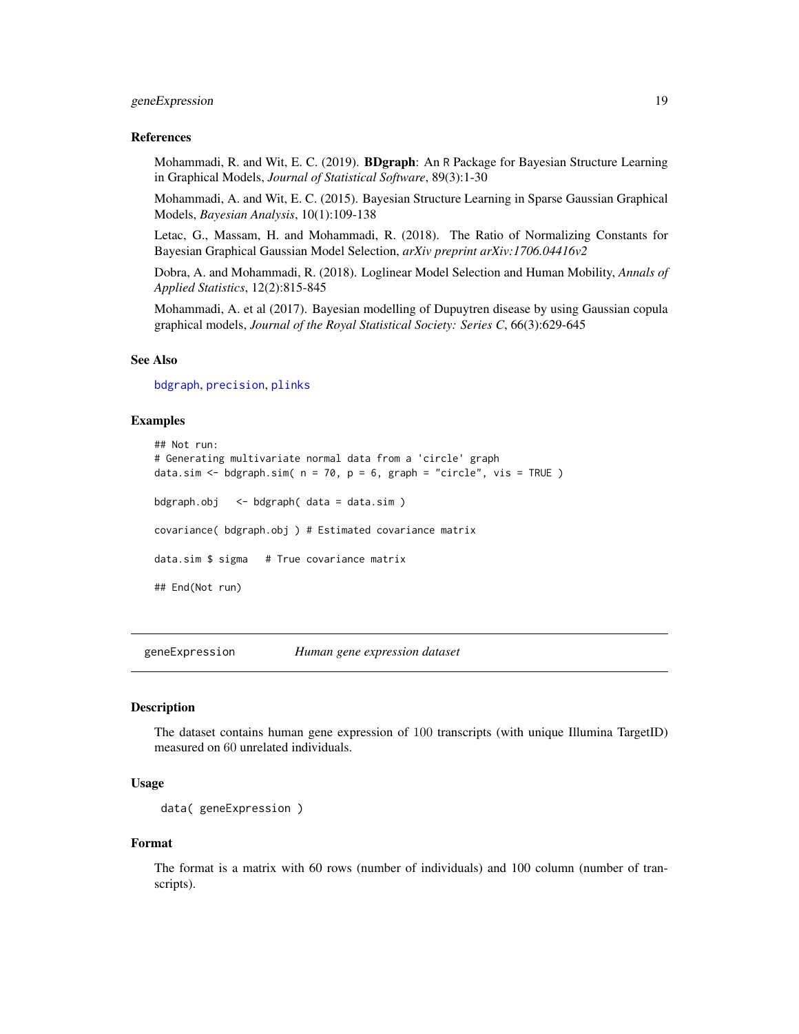## <span id="page-18-0"></span>geneExpression 19

#### References

Mohammadi, R. and Wit, E. C. (2019). BDgraph: An R Package for Bayesian Structure Learning in Graphical Models, *Journal of Statistical Software*, 89(3):1-30

Mohammadi, A. and Wit, E. C. (2015). Bayesian Structure Learning in Sparse Gaussian Graphical Models, *Bayesian Analysis*, 10(1):109-138

Letac, G., Massam, H. and Mohammadi, R. (2018). The Ratio of Normalizing Constants for Bayesian Graphical Gaussian Model Selection, *arXiv preprint arXiv:1706.04416v2*

Dobra, A. and Mohammadi, R. (2018). Loglinear Model Selection and Human Mobility, *Annals of Applied Statistics*, 12(2):815-845

Mohammadi, A. et al (2017). Bayesian modelling of Dupuytren disease by using Gaussian copula graphical models, *Journal of the Royal Statistical Society: Series C*, 66(3):629-645

### See Also

[bdgraph](#page-4-1), [precision](#page-32-1), [plinks](#page-24-1)

#### Examples

```
## Not run:
# Generating multivariate normal data from a 'circle' graph
data.sim <- bdgraph.sim(n = 70, p = 6, graph = "circle", vis = TRUE)
bdgraph.obj <- bdgraph( data = data.sim )
covariance( bdgraph.obj ) # Estimated covariance matrix
data.sim $ sigma # True covariance matrix
## End(Not run)
```
geneExpression *Human gene expression dataset*

#### Description

The dataset contains human gene expression of 100 transcripts (with unique Illumina TargetID) measured on 60 unrelated individuals.

## Usage

```
data( geneExpression )
```
#### Format

The format is a matrix with 60 rows (number of individuals) and 100 column (number of transcripts).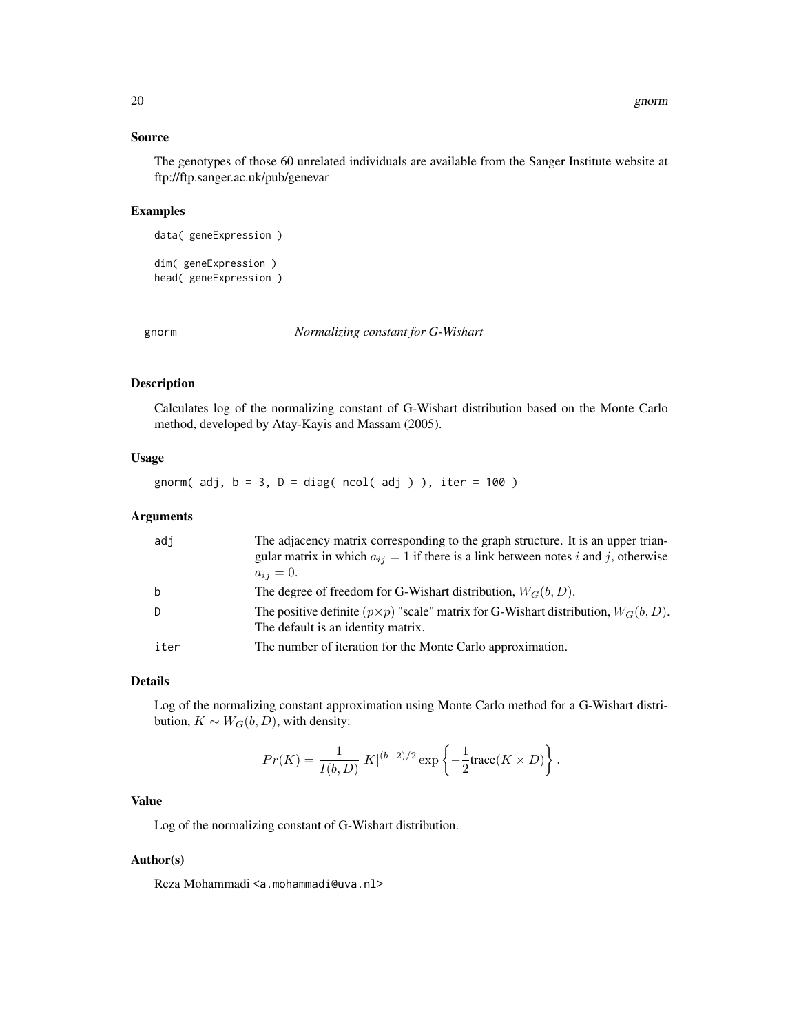## <span id="page-19-0"></span>Source

The genotypes of those 60 unrelated individuals are available from the Sanger Institute website at ftp://ftp.sanger.ac.uk/pub/genevar

## Examples

```
data( geneExpression )
```
dim( geneExpression ) head( geneExpression )

<span id="page-19-1"></span>gnorm *Normalizing constant for G-Wishart*

#### Description

Calculates log of the normalizing constant of G-Wishart distribution based on the Monte Carlo method, developed by Atay-Kayis and Massam (2005).

## Usage

gnorm( $adj, b = 3, D = diag(ncol(adj))$ , iter = 100)

## Arguments

| adi         | The adjacency matrix corresponding to the graph structure. It is an upper trian-<br>gular matrix in which $a_{ij} = 1$ if there is a link between notes i and j, otherwise<br>$a_{ij} = 0.$ |
|-------------|---------------------------------------------------------------------------------------------------------------------------------------------------------------------------------------------|
| $\mathbf b$ | The degree of freedom for G-Wishart distribution, $W_G(b, D)$ .                                                                                                                             |
| D           | The positive definite $(p \times p)$ "scale" matrix for G-Wishart distribution, $W_G(b, D)$ .<br>The default is an identity matrix.                                                         |
| iter        | The number of iteration for the Monte Carlo approximation.                                                                                                                                  |

#### Details

Log of the normalizing constant approximation using Monte Carlo method for a G-Wishart distribution,  $K \sim W_G(b, D)$ , with density:

$$
Pr(K) = \frac{1}{I(b, D)} |K|^{(b-2)/2} \exp \left\{-\frac{1}{2} \text{trace}(K \times D)\right\}.
$$

## Value

Log of the normalizing constant of G-Wishart distribution.

#### Author(s)

Reza Mohammadi <a.mohammadi@uva.nl>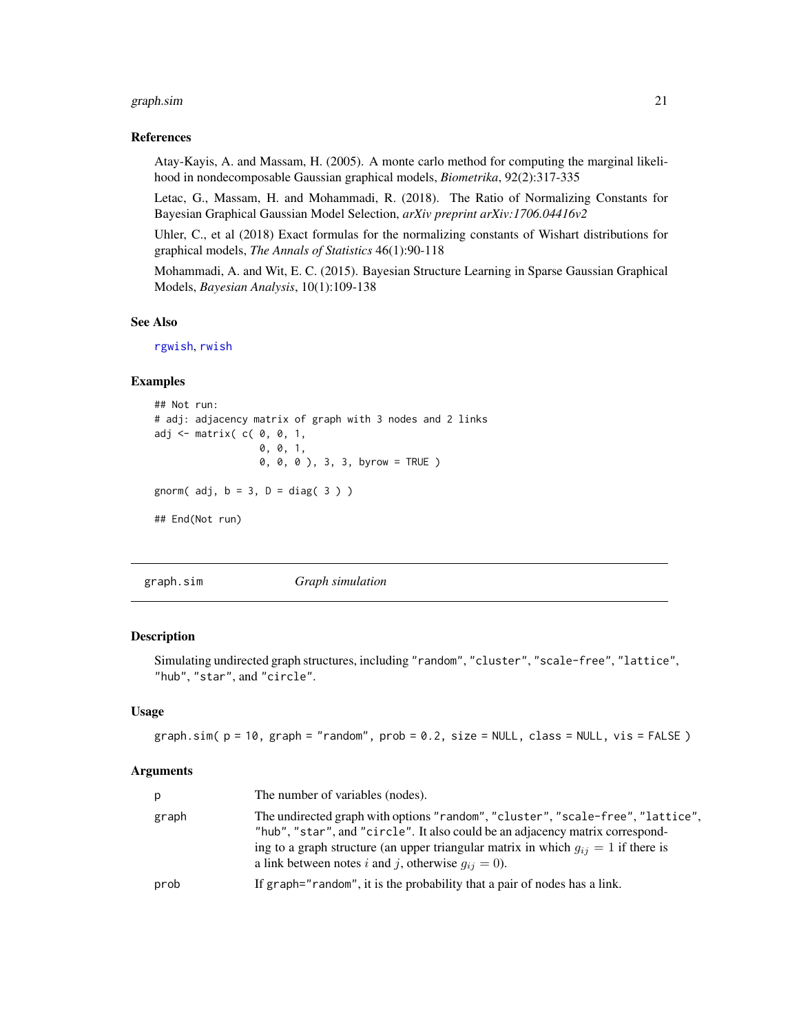#### <span id="page-20-0"></span>graph.sim 21

#### References

Atay-Kayis, A. and Massam, H. (2005). A monte carlo method for computing the marginal likelihood in nondecomposable Gaussian graphical models, *Biometrika*, 92(2):317-335

Letac, G., Massam, H. and Mohammadi, R. (2018). The Ratio of Normalizing Constants for Bayesian Graphical Gaussian Model Selection, *arXiv preprint arXiv:1706.04416v2*

Uhler, C., et al (2018) Exact formulas for the normalizing constants of Wishart distributions for graphical models, *The Annals of Statistics* 46(1):90-118

Mohammadi, A. and Wit, E. C. (2015). Bayesian Structure Learning in Sparse Gaussian Graphical Models, *Bayesian Analysis*, 10(1):109-138

## See Also

[rgwish](#page-36-1), [rwish](#page-38-1)

#### Examples

```
## Not run:
# adj: adjacency matrix of graph with 3 nodes and 2 links
adj \leq matrix( c( 0, 0, 1,
                  0, 0, 1,
                  0, 0, 0 ), 3, 3, byrow = TRUE )
gnorm(adj, b = 3, D = diag(3))
## End(Not run)
```
<span id="page-20-1"></span>graph.sim *Graph simulation*

## Description

Simulating undirected graph structures, including "random", "cluster", "scale-free", "lattice", "hub", "star", and "circle".

## Usage

```
graph.sim(p = 10, graph = "random", prob = 0.2, size = NULL, class = NULL, vis = FALSE)
```
#### Arguments

| p.    | The number of variables (nodes).                                                                                                                                                                                                                                                                                      |
|-------|-----------------------------------------------------------------------------------------------------------------------------------------------------------------------------------------------------------------------------------------------------------------------------------------------------------------------|
| graph | The undirected graph with options "random", "cluster", "scale-free", "lattice",<br>"hub", "star", and "circle". It also could be an adjacency matrix correspond-<br>ing to a graph structure (an upper triangular matrix in which $g_{ij} = 1$ if there is<br>a link between notes i and j, otherwise $q_{ij} = 0$ ). |
| prob  | If graph="random", it is the probability that a pair of nodes has a link.                                                                                                                                                                                                                                             |
|       |                                                                                                                                                                                                                                                                                                                       |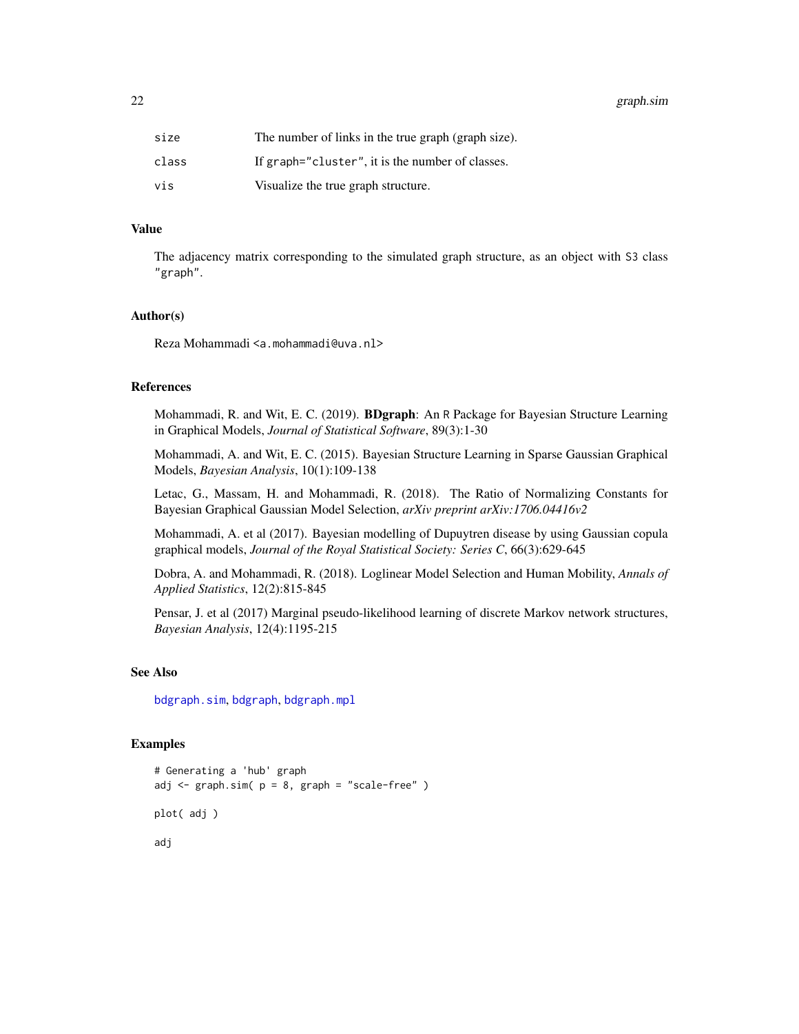<span id="page-21-0"></span>22 graph.sim

| size  | The number of links in the true graph (graph size). |
|-------|-----------------------------------------------------|
| class | If graph="cluster", it is the number of classes.    |
| vis   | Visualize the true graph structure.                 |

## Value

The adjacency matrix corresponding to the simulated graph structure, as an object with S3 class "graph".

#### Author(s)

Reza Mohammadi <a.mohammadi@uva.nl>

## References

Mohammadi, R. and Wit, E. C. (2019). BDgraph: An R Package for Bayesian Structure Learning in Graphical Models, *Journal of Statistical Software*, 89(3):1-30

Mohammadi, A. and Wit, E. C. (2015). Bayesian Structure Learning in Sparse Gaussian Graphical Models, *Bayesian Analysis*, 10(1):109-138

Letac, G., Massam, H. and Mohammadi, R. (2018). The Ratio of Normalizing Constants for Bayesian Graphical Gaussian Model Selection, *arXiv preprint arXiv:1706.04416v2*

Mohammadi, A. et al (2017). Bayesian modelling of Dupuytren disease by using Gaussian copula graphical models, *Journal of the Royal Statistical Society: Series C*, 66(3):629-645

Dobra, A. and Mohammadi, R. (2018). Loglinear Model Selection and Human Mobility, *Annals of Applied Statistics*, 12(2):815-845

Pensar, J. et al (2017) Marginal pseudo-likelihood learning of discrete Markov network structures, *Bayesian Analysis*, 12(4):1195-215

#### See Also

[bdgraph.sim](#page-10-1), [bdgraph](#page-4-1), [bdgraph.mpl](#page-7-1)

#### Examples

```
# Generating a 'hub' graph
adj \leq graph.sim( p = 8, graph = "scale-free" )
plot( adj )
adj
```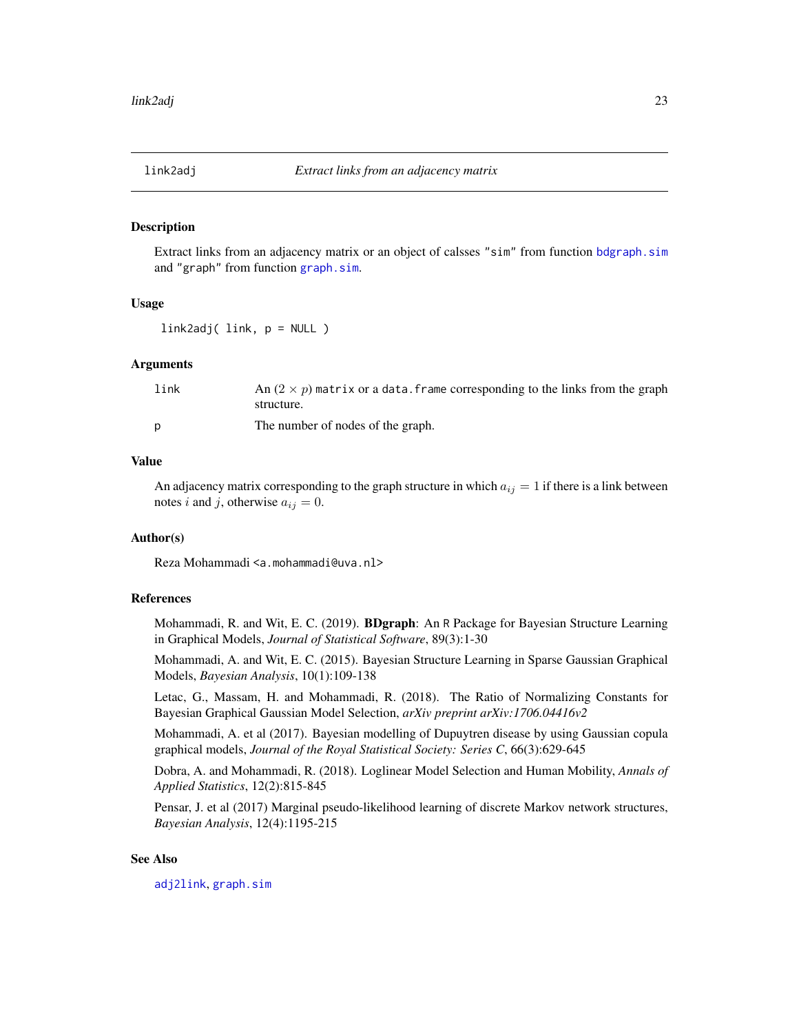<span id="page-22-1"></span><span id="page-22-0"></span>

#### Description

Extract links from an adjacency matrix or an object of calsses "sim" from function [bdgraph.sim](#page-10-1) and "graph" from function [graph.sim](#page-20-1).

#### Usage

link2adj( link, p = NULL )

## Arguments

| link | An $(2 \times p)$ matrix or a data. frame corresponding to the links from the graph<br>structure. |
|------|---------------------------------------------------------------------------------------------------|
| D    | The number of nodes of the graph.                                                                 |

#### Value

An adjacency matrix corresponding to the graph structure in which  $a_{ij} = 1$  if there is a link between notes i and j, otherwise  $a_{ij} = 0$ .

## Author(s)

Reza Mohammadi <a.mohammadi@uva.nl>

#### References

Mohammadi, R. and Wit, E. C. (2019). **BDgraph**: An R Package for Bayesian Structure Learning in Graphical Models, *Journal of Statistical Software*, 89(3):1-30

Mohammadi, A. and Wit, E. C. (2015). Bayesian Structure Learning in Sparse Gaussian Graphical Models, *Bayesian Analysis*, 10(1):109-138

Letac, G., Massam, H. and Mohammadi, R. (2018). The Ratio of Normalizing Constants for Bayesian Graphical Gaussian Model Selection, *arXiv preprint arXiv:1706.04416v2*

Mohammadi, A. et al (2017). Bayesian modelling of Dupuytren disease by using Gaussian copula graphical models, *Journal of the Royal Statistical Society: Series C*, 66(3):629-645

Dobra, A. and Mohammadi, R. (2018). Loglinear Model Selection and Human Mobility, *Annals of Applied Statistics*, 12(2):815-845

Pensar, J. et al (2017) Marginal pseudo-likelihood learning of discrete Markov network structures, *Bayesian Analysis*, 12(4):1195-215

## See Also

[adj2link](#page-3-1), [graph.sim](#page-20-1)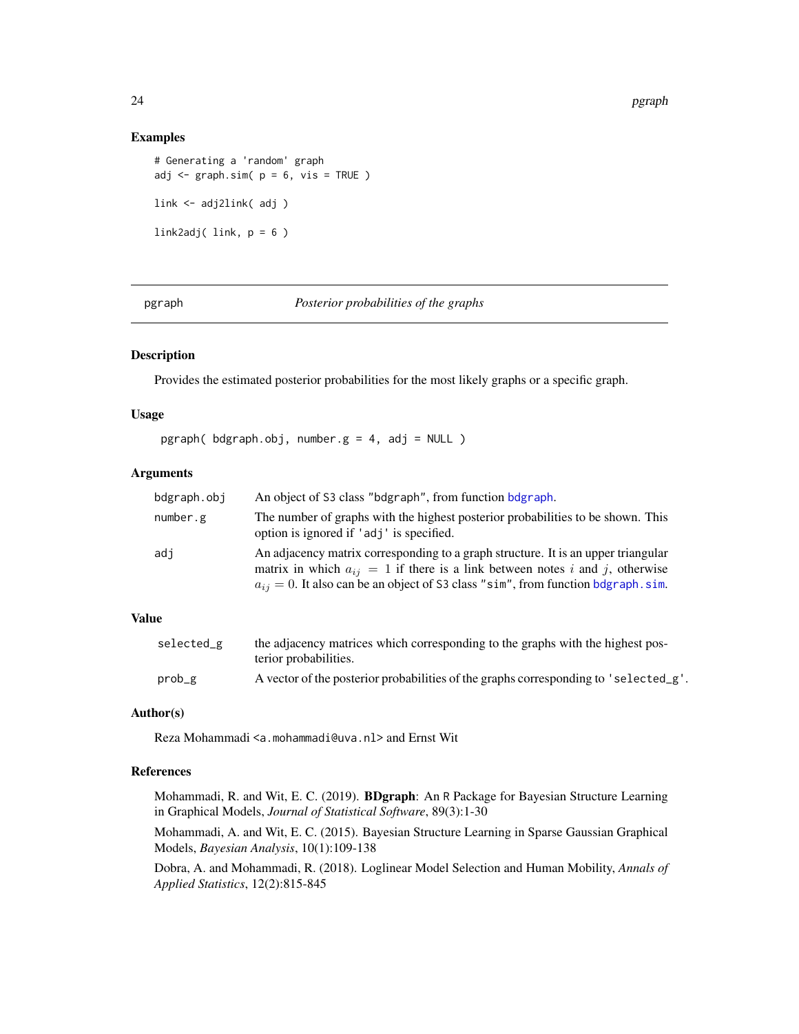## Examples

```
# Generating a 'random' graph
adj \leq graph.sim( p = 6, vis = TRUE )
link <- adj2link( adj )
link2adj( link, p = 6 )
```
pgraph *Posterior probabilities of the graphs*

## Description

Provides the estimated posterior probabilities for the most likely graphs or a specific graph.

#### Usage

pgraph( bdgraph.obj, number.g = 4, adj = NULL )

## Arguments

| bdgraph.obj | An object of S3 class "bdgraph", from function bdgraph.                                                                                                                                                                                                         |
|-------------|-----------------------------------------------------------------------------------------------------------------------------------------------------------------------------------------------------------------------------------------------------------------|
| number.g    | The number of graphs with the highest posterior probabilities to be shown. This<br>option is ignored if 'adj' is specified.                                                                                                                                     |
| adi         | An adjacency matrix corresponding to a graph structure. It is an upper triangular<br>matrix in which $a_{ij} = 1$ if there is a link between notes i and j, otherwise<br>$a_{ij} = 0$ . It also can be an object of S3 class "sim", from function bdgraph. sim. |

## Value

| selected_g | the adjacency matrices which corresponding to the graphs with the highest pos-<br>terior probabilities. |
|------------|---------------------------------------------------------------------------------------------------------|
| prob_g     | A vector of the posterior probabilities of the graphs corresponding to 'selected_g'.                    |

#### Author(s)

Reza Mohammadi <a.mohammadi@uva.nl> and Ernst Wit

## References

Mohammadi, R. and Wit, E. C. (2019). BDgraph: An R Package for Bayesian Structure Learning in Graphical Models, *Journal of Statistical Software*, 89(3):1-30

Mohammadi, A. and Wit, E. C. (2015). Bayesian Structure Learning in Sparse Gaussian Graphical Models, *Bayesian Analysis*, 10(1):109-138

Dobra, A. and Mohammadi, R. (2018). Loglinear Model Selection and Human Mobility, *Annals of Applied Statistics*, 12(2):815-845

<span id="page-23-0"></span>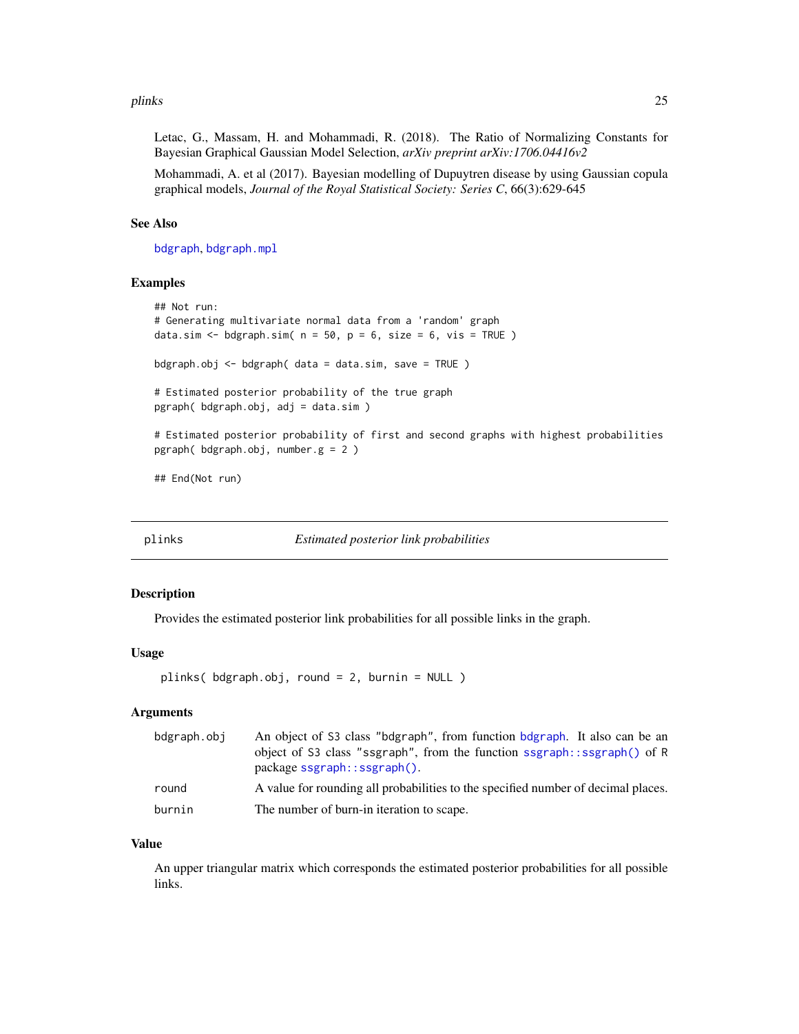#### <span id="page-24-0"></span>plinks 25

Letac, G., Massam, H. and Mohammadi, R. (2018). The Ratio of Normalizing Constants for Bayesian Graphical Gaussian Model Selection, *arXiv preprint arXiv:1706.04416v2*

Mohammadi, A. et al (2017). Bayesian modelling of Dupuytren disease by using Gaussian copula graphical models, *Journal of the Royal Statistical Society: Series C*, 66(3):629-645

#### See Also

[bdgraph](#page-4-1), [bdgraph.mpl](#page-7-1)

#### Examples

```
## Not run:
# Generating multivariate normal data from a 'random' graph
data.sim <- bdgraph.sim(n = 50, p = 6, size = 6, vis = TRUE)
bdgraph.obj \leq bdgraph( data = data.sim, save = TRUE )
# Estimated posterior probability of the true graph
pgraph( bdgraph.obj, adj = data.sim )
# Estimated posterior probability of first and second graphs with highest probabilities
pgraph( bdgraph.obj, number.g = 2 )
```
## End(Not run)

<span id="page-24-1"></span>plinks *Estimated posterior link probabilities*

#### Description

Provides the estimated posterior link probabilities for all possible links in the graph.

## Usage

plinks( bdgraph.obj, round = 2, burnin = NULL )

## **Arguments**

| bdgraph.obj | An object of S3 class "bdgraph", from function bdgraph. It also can be an<br>object of S3 class "ssgraph", from the function ssgraph::ssgraph() of R<br>$package$ sgraph:: $ssgraph()$ . |
|-------------|------------------------------------------------------------------------------------------------------------------------------------------------------------------------------------------|
| round       | A value for rounding all probabilities to the specified number of decimal places.                                                                                                        |
| burnin      | The number of burn-in iteration to scape.                                                                                                                                                |

#### Value

An upper triangular matrix which corresponds the estimated posterior probabilities for all possible links.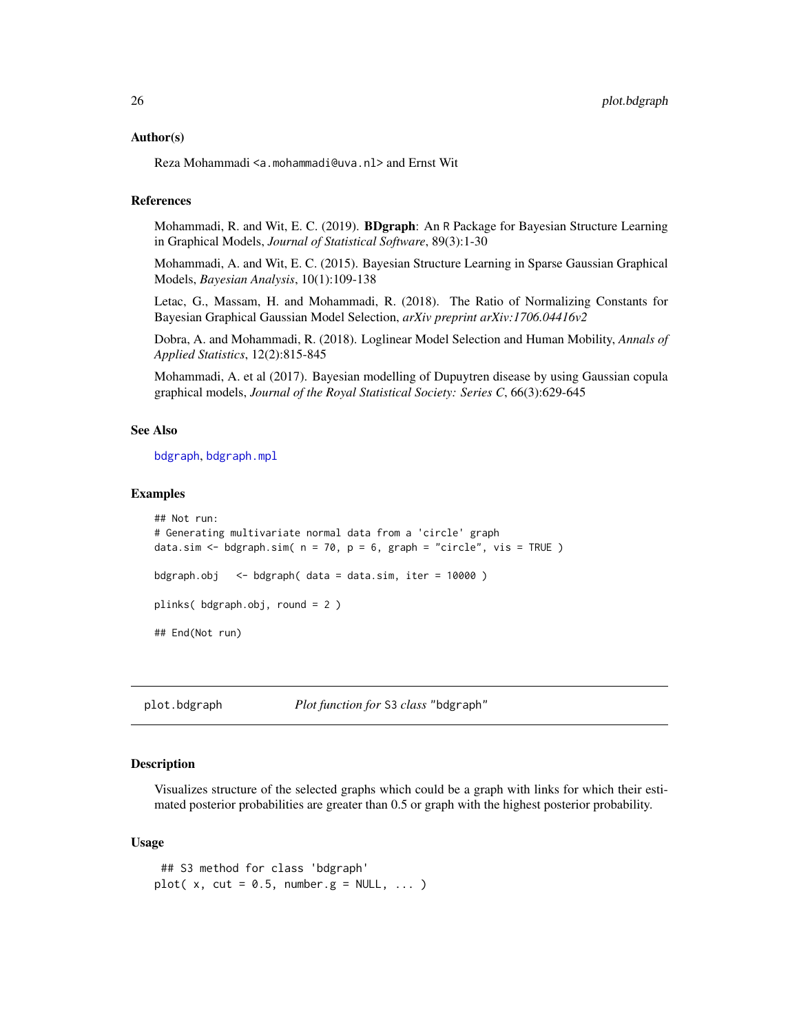#### <span id="page-25-0"></span>Author(s)

Reza Mohammadi <a.mohammadi@uva.nl> and Ernst Wit

## References

Mohammadi, R. and Wit, E. C. (2019). **BDgraph**: An R Package for Bayesian Structure Learning in Graphical Models, *Journal of Statistical Software*, 89(3):1-30

Mohammadi, A. and Wit, E. C. (2015). Bayesian Structure Learning in Sparse Gaussian Graphical Models, *Bayesian Analysis*, 10(1):109-138

Letac, G., Massam, H. and Mohammadi, R. (2018). The Ratio of Normalizing Constants for Bayesian Graphical Gaussian Model Selection, *arXiv preprint arXiv:1706.04416v2*

Dobra, A. and Mohammadi, R. (2018). Loglinear Model Selection and Human Mobility, *Annals of Applied Statistics*, 12(2):815-845

Mohammadi, A. et al (2017). Bayesian modelling of Dupuytren disease by using Gaussian copula graphical models, *Journal of the Royal Statistical Society: Series C*, 66(3):629-645

#### See Also

[bdgraph](#page-4-1), [bdgraph.mpl](#page-7-1)

## Examples

```
## Not run:
# Generating multivariate normal data from a 'circle' graph
data.sim \leq bdgraph.sim( n = 70, p = 6, graph = "circle", vis = TRUE )
bdgraph.obj \leq bdgraph( data = data.sim, iter = 10000)
plinks( bdgraph.obj, round = 2 )
## End(Not run)
```
plot.bdgraph *Plot function for* S3 *class* "bdgraph"

#### **Description**

Visualizes structure of the selected graphs which could be a graph with links for which their estimated posterior probabilities are greater than 0.5 or graph with the highest posterior probability.

#### Usage

```
## S3 method for class 'bdgraph'
plot(x, cut = 0.5, number.g = NULL, ... )
```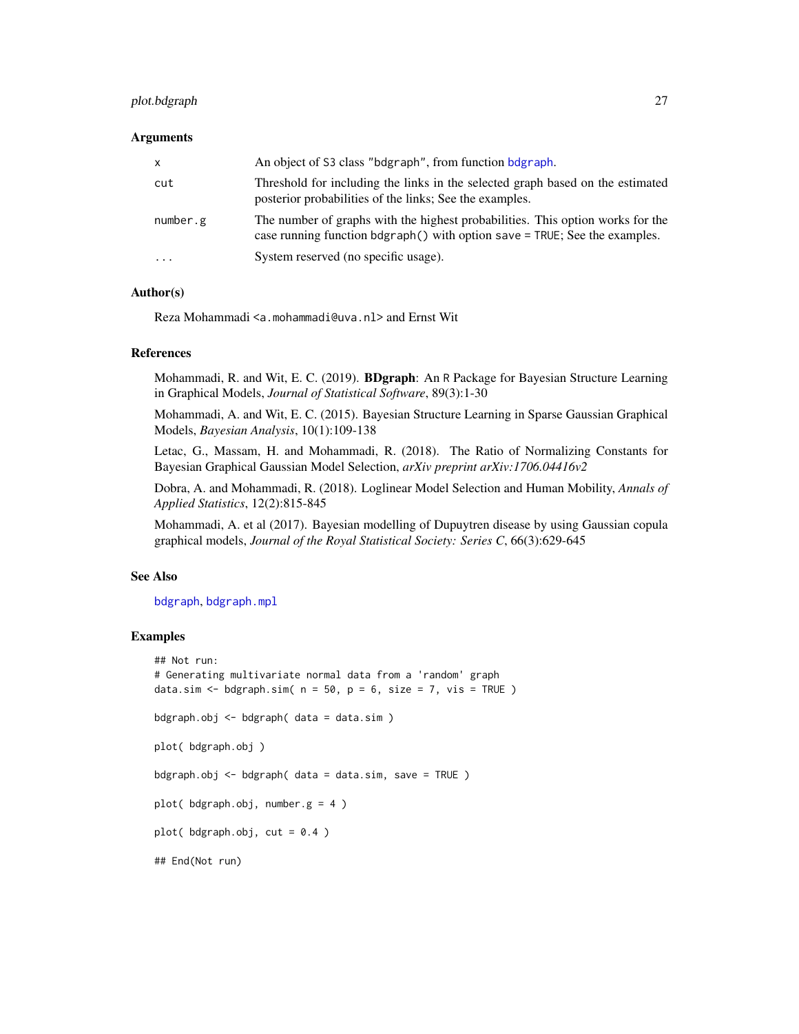## <span id="page-26-0"></span>plot.bdgraph 27

#### **Arguments**

| $\mathsf{X}$            | An object of S3 class "bdgraph", from function bdgraph.                                                                                                               |
|-------------------------|-----------------------------------------------------------------------------------------------------------------------------------------------------------------------|
| cut                     | Threshold for including the links in the selected graph based on the estimated<br>posterior probabilities of the links; See the examples.                             |
| number.g                | The number of graphs with the highest probabilities. This option works for the<br>case running function $b\text{dgraph}()$ with option save = TRUE; See the examples. |
| $\cdot$ $\cdot$ $\cdot$ | System reserved (no specific usage).                                                                                                                                  |

## Author(s)

Reza Mohammadi <a.mohammadi@uva.nl> and Ernst Wit

## References

Mohammadi, R. and Wit, E. C. (2019). BDgraph: An R Package for Bayesian Structure Learning in Graphical Models, *Journal of Statistical Software*, 89(3):1-30

Mohammadi, A. and Wit, E. C. (2015). Bayesian Structure Learning in Sparse Gaussian Graphical Models, *Bayesian Analysis*, 10(1):109-138

Letac, G., Massam, H. and Mohammadi, R. (2018). The Ratio of Normalizing Constants for Bayesian Graphical Gaussian Model Selection, *arXiv preprint arXiv:1706.04416v2*

Dobra, A. and Mohammadi, R. (2018). Loglinear Model Selection and Human Mobility, *Annals of Applied Statistics*, 12(2):815-845

Mohammadi, A. et al (2017). Bayesian modelling of Dupuytren disease by using Gaussian copula graphical models, *Journal of the Royal Statistical Society: Series C*, 66(3):629-645

## See Also

[bdgraph](#page-4-1), [bdgraph.mpl](#page-7-1)

#### Examples

```
## Not run:
# Generating multivariate normal data from a 'random' graph
data.sim <- bdgraph.sim(n = 50, p = 6, size = 7, vis = TRUE)
bdgraph.obj <- bdgraph( data = data.sim )
plot( bdgraph.obj )
bdgraph.obj \leq bdgraph( data = data.sim, save = TRUE )
plot( bdgraph.obj, number.g = 4 )
plot( bdgraph.obj, cut = 0.4 )
## End(Not run)
```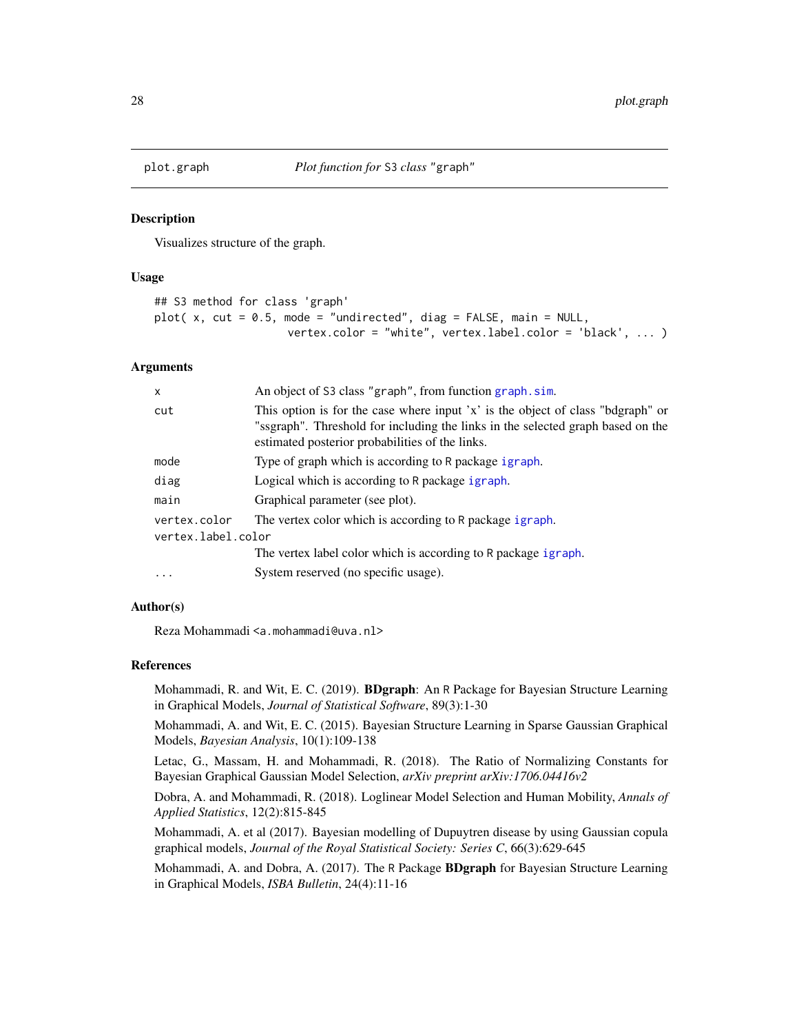<span id="page-27-0"></span>

#### Description

Visualizes structure of the graph.

#### Usage

```
## S3 method for class 'graph'
plot(x, cut = 0.5, mode = "undirected", diag = FALSE, main = NULL,
                    vertex.color = "white", vertex.label.color = 'black', ... )
```
#### Arguments

| $\mathsf{x}$       | An object of S3 class "graph", from function graph.sim.                                                                                                                                                               |  |
|--------------------|-----------------------------------------------------------------------------------------------------------------------------------------------------------------------------------------------------------------------|--|
| cut                | This option is for the case where input 'x' is the object of class "bdgraph" or<br>"ssgraph". Threshold for including the links in the selected graph based on the<br>estimated posterior probabilities of the links. |  |
| mode               | Type of graph which is according to R package igraph.                                                                                                                                                                 |  |
| diag               | Logical which is according to R package igraph.                                                                                                                                                                       |  |
| main               | Graphical parameter (see plot).                                                                                                                                                                                       |  |
| vertex.color       | The vertex color which is according to R package igraph.                                                                                                                                                              |  |
| vertex.label.color |                                                                                                                                                                                                                       |  |
|                    | The vertex label color which is according to R package igraph.                                                                                                                                                        |  |
| $\ddotsc$          | System reserved (no specific usage).                                                                                                                                                                                  |  |

## Author(s)

Reza Mohammadi <a.mohammadi@uva.nl>

## References

Mohammadi, R. and Wit, E. C. (2019). BDgraph: An R Package for Bayesian Structure Learning in Graphical Models, *Journal of Statistical Software*, 89(3):1-30

Mohammadi, A. and Wit, E. C. (2015). Bayesian Structure Learning in Sparse Gaussian Graphical Models, *Bayesian Analysis*, 10(1):109-138

Letac, G., Massam, H. and Mohammadi, R. (2018). The Ratio of Normalizing Constants for Bayesian Graphical Gaussian Model Selection, *arXiv preprint arXiv:1706.04416v2*

Dobra, A. and Mohammadi, R. (2018). Loglinear Model Selection and Human Mobility, *Annals of Applied Statistics*, 12(2):815-845

Mohammadi, A. et al (2017). Bayesian modelling of Dupuytren disease by using Gaussian copula graphical models, *Journal of the Royal Statistical Society: Series C*, 66(3):629-645

Mohammadi, A. and Dobra, A. (2017). The R Package **BDgraph** for Bayesian Structure Learning in Graphical Models, *ISBA Bulletin*, 24(4):11-16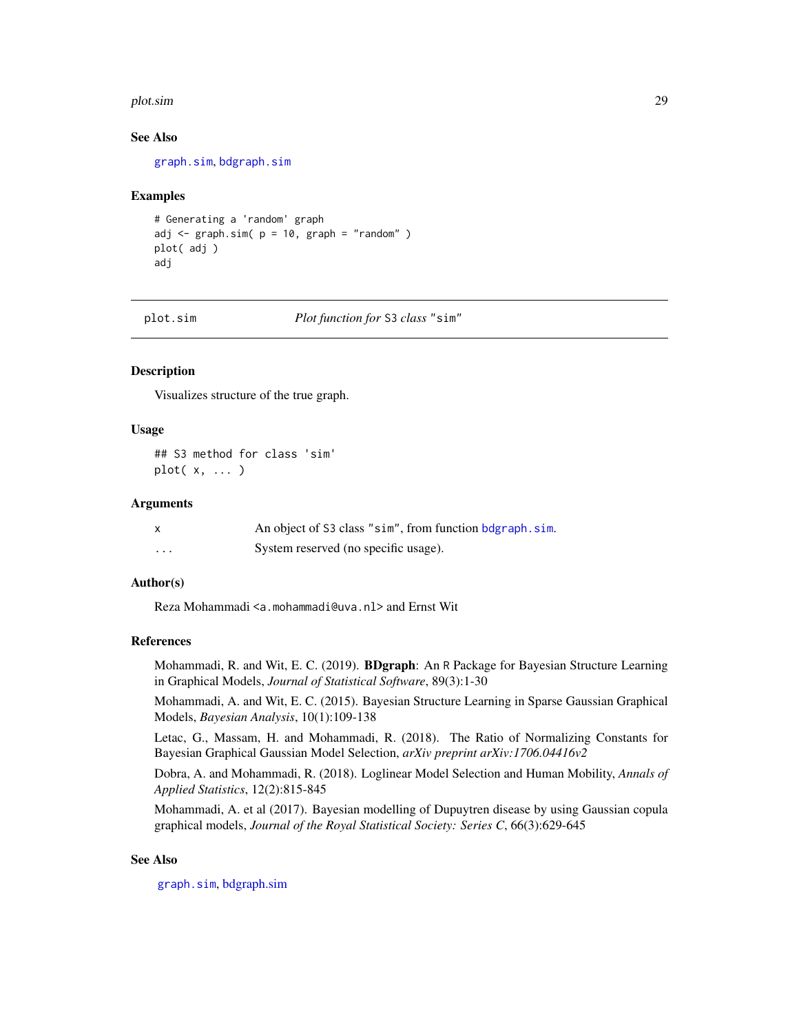#### <span id="page-28-0"></span>plot.sim 29

#### See Also

[graph.sim](#page-20-1), [bdgraph.sim](#page-10-1)

#### Examples

```
# Generating a 'random' graph
adj <- graph.sim(p = 10, graph = "random")plot( adj )
adj
```
plot.sim *Plot function for* S3 *class* "sim"

## Description

Visualizes structure of the true graph.

#### Usage

## S3 method for class 'sim' plot( x, ... )

## Arguments

| $\mathsf{x}$ | An object of S3 class "sim", from function bdgraph, sim. |
|--------------|----------------------------------------------------------|
| .            | System reserved (no specific usage).                     |

## Author(s)

Reza Mohammadi <a.mohammadi@uva.nl> and Ernst Wit

#### References

Mohammadi, R. and Wit, E. C. (2019). BDgraph: An R Package for Bayesian Structure Learning in Graphical Models, *Journal of Statistical Software*, 89(3):1-30

Mohammadi, A. and Wit, E. C. (2015). Bayesian Structure Learning in Sparse Gaussian Graphical Models, *Bayesian Analysis*, 10(1):109-138

Letac, G., Massam, H. and Mohammadi, R. (2018). The Ratio of Normalizing Constants for Bayesian Graphical Gaussian Model Selection, *arXiv preprint arXiv:1706.04416v2*

Dobra, A. and Mohammadi, R. (2018). Loglinear Model Selection and Human Mobility, *Annals of Applied Statistics*, 12(2):815-845

Mohammadi, A. et al (2017). Bayesian modelling of Dupuytren disease by using Gaussian copula graphical models, *Journal of the Royal Statistical Society: Series C*, 66(3):629-645

## See Also

[graph.sim](#page-20-1), [bdgraph.sim](#page-10-1)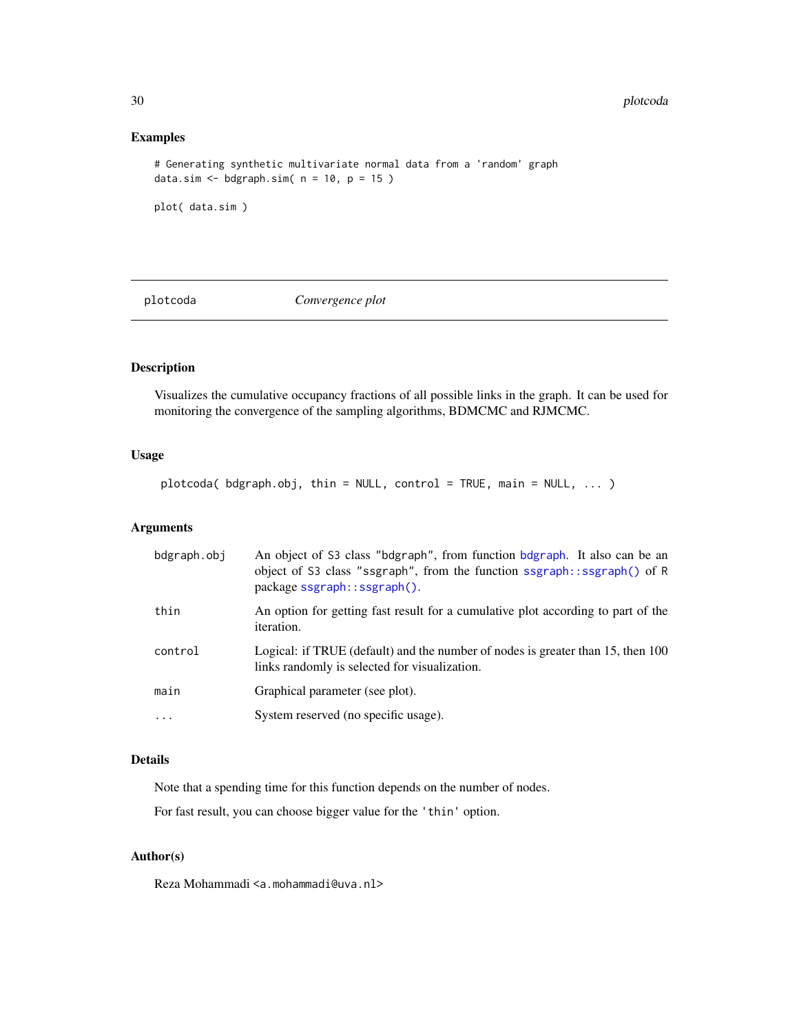## Examples

```
# Generating synthetic multivariate normal data from a 'random' graph
data.sim \leq bdgraph.sim( n = 10, p = 15 )
```

```
plot( data.sim )
```
<span id="page-29-1"></span>plotcoda *Convergence plot*

## Description

Visualizes the cumulative occupancy fractions of all possible links in the graph. It can be used for monitoring the convergence of the sampling algorithms, BDMCMC and RJMCMC.

## Usage

plotcoda( bdgraph.obj, thin = NULL, control = TRUE, main = NULL, ... )

## Arguments

| bdgraph.obj | An object of S3 class "bdgraph", from function bdgraph. It also can be an<br>object of S3 class "ssgraph", from the function ssgraph::ssgraph() of R<br>package ssgraph::ssgraph(). |
|-------------|-------------------------------------------------------------------------------------------------------------------------------------------------------------------------------------|
| thin        | An option for getting fast result for a cumulative plot according to part of the<br>iteration.                                                                                      |
| control     | Logical: if TRUE (default) and the number of nodes is greater than 15, then 100<br>links randomly is selected for visualization.                                                    |
| main        | Graphical parameter (see plot).                                                                                                                                                     |
| $\ddotsc$   | System reserved (no specific usage).                                                                                                                                                |

## Details

Note that a spending time for this function depends on the number of nodes.

For fast result, you can choose bigger value for the 'thin' option.

## Author(s)

Reza Mohammadi <a.mohammadi@uva.nl>

<span id="page-29-0"></span>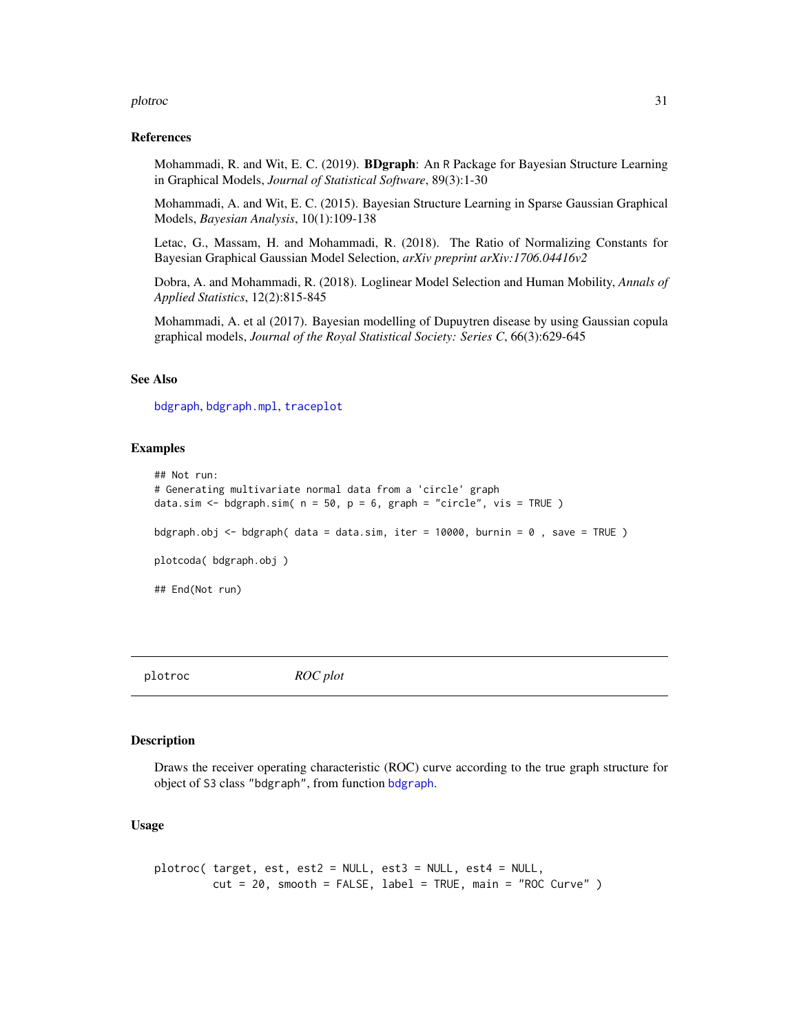#### <span id="page-30-0"></span>plotroc 31

#### References

Mohammadi, R. and Wit, E. C. (2019). BDgraph: An R Package for Bayesian Structure Learning in Graphical Models, *Journal of Statistical Software*, 89(3):1-30

Mohammadi, A. and Wit, E. C. (2015). Bayesian Structure Learning in Sparse Gaussian Graphical Models, *Bayesian Analysis*, 10(1):109-138

Letac, G., Massam, H. and Mohammadi, R. (2018). The Ratio of Normalizing Constants for Bayesian Graphical Gaussian Model Selection, *arXiv preprint arXiv:1706.04416v2*

Dobra, A. and Mohammadi, R. (2018). Loglinear Model Selection and Human Mobility, *Annals of Applied Statistics*, 12(2):815-845

Mohammadi, A. et al (2017). Bayesian modelling of Dupuytren disease by using Gaussian copula graphical models, *Journal of the Royal Statistical Society: Series C*, 66(3):629-645

## See Also

[bdgraph](#page-4-1), [bdgraph.mpl](#page-7-1), [traceplot](#page-43-1)

#### Examples

```
## Not run:
# Generating multivariate normal data from a 'circle' graph
data.sim <- bdgraph.sim(n = 50, p = 6, graph = "circle", vis = TRUE )
bdgraph.obj <- bdgraph( data = data.sim, iter = 10000, burnin = 0 , save = TRUE )
plotcoda( bdgraph.obj )
## End(Not run)
```
<span id="page-30-1"></span>plotroc *ROC plot*

#### Description

Draws the receiver operating characteristic (ROC) curve according to the true graph structure for object of S3 class "bdgraph", from function [bdgraph](#page-4-1).

#### Usage

```
plotroc( target, est, est2 = NULL, est3 = NULL, est4 = NULL,
        cut = 20, smooth = FALSE, label = TRUE, main = "ROC Curve")
```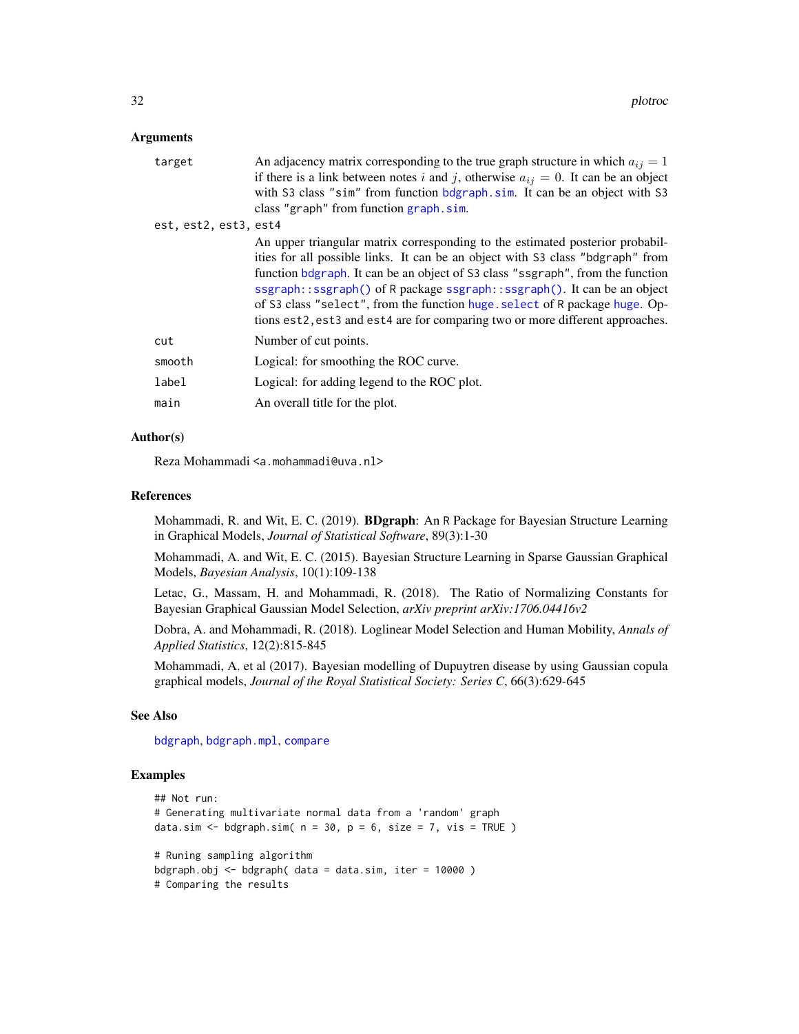#### <span id="page-31-0"></span>**Arguments**

| target                | An adjacency matrix corresponding to the true graph structure in which $a_{ij} = 1$<br>if there is a link between notes i and j, otherwise $a_{ij} = 0$ . It can be an object<br>with S3 class "sim" from function bdgraph.sim. It can be an object with S3<br>class "graph" from function graph.sim.                                                                                                                                                                                        |
|-----------------------|----------------------------------------------------------------------------------------------------------------------------------------------------------------------------------------------------------------------------------------------------------------------------------------------------------------------------------------------------------------------------------------------------------------------------------------------------------------------------------------------|
| est, est2, est3, est4 | An upper triangular matrix corresponding to the estimated posterior probabil-<br>ities for all possible links. It can be an object with S3 class "bdgraph" from<br>function bdgraph. It can be an object of S3 class "ssgraph", from the function<br>ssgraph::ssgraph() of R package ssgraph::ssgraph(). It can be an object<br>of S3 class "select", from the function huge. select of R package huge. Op-<br>tions est2, est3 and est4 are for comparing two or more different approaches. |
| cut                   | Number of cut points.                                                                                                                                                                                                                                                                                                                                                                                                                                                                        |
| smooth                | Logical: for smoothing the ROC curve.                                                                                                                                                                                                                                                                                                                                                                                                                                                        |
| label                 | Logical: for adding legend to the ROC plot.                                                                                                                                                                                                                                                                                                                                                                                                                                                  |
| main                  | An overall title for the plot.                                                                                                                                                                                                                                                                                                                                                                                                                                                               |
|                       |                                                                                                                                                                                                                                                                                                                                                                                                                                                                                              |

## Author(s)

Reza Mohammadi <a.mohammadi@uva.nl>

#### References

Mohammadi, R. and Wit, E. C. (2019). BDgraph: An R Package for Bayesian Structure Learning in Graphical Models, *Journal of Statistical Software*, 89(3):1-30

Mohammadi, A. and Wit, E. C. (2015). Bayesian Structure Learning in Sparse Gaussian Graphical Models, *Bayesian Analysis*, 10(1):109-138

Letac, G., Massam, H. and Mohammadi, R. (2018). The Ratio of Normalizing Constants for Bayesian Graphical Gaussian Model Selection, *arXiv preprint arXiv:1706.04416v2*

Dobra, A. and Mohammadi, R. (2018). Loglinear Model Selection and Human Mobility, *Annals of Applied Statistics*, 12(2):815-845

Mohammadi, A. et al (2017). Bayesian modelling of Dupuytren disease by using Gaussian copula graphical models, *Journal of the Royal Statistical Society: Series C*, 66(3):629-645

## See Also

[bdgraph](#page-4-1), [bdgraph.mpl](#page-7-1), [compare](#page-15-1)

## Examples

```
## Not run:
# Generating multivariate normal data from a 'random' graph
data.sim <- bdgraph.sim(n = 30, p = 6, size = 7, vis = TRUE)
# Runing sampling algorithm
bdgraph.obj \leq bdgraph( data = data.sim, iter = 10000 )
# Comparing the results
```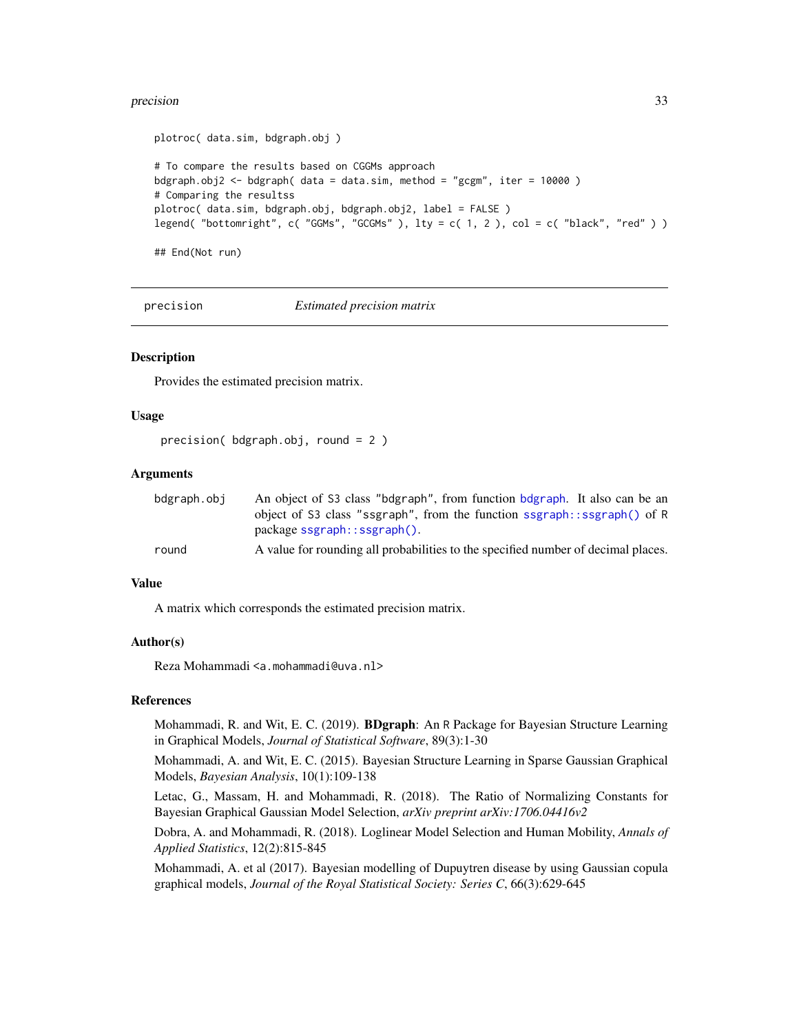#### <span id="page-32-0"></span>precision 33

```
plotroc( data.sim, bdgraph.obj )
# To compare the results based on CGGMs approach
bdgraph.obj2 <- bdgraph( data = data.sim, method = "gcgm", iter = 10000)
# Comparing the resultss
plotroc( data.sim, bdgraph.obj, bdgraph.obj2, label = FALSE )
legend( "bottomright", c( "GGMs", "GCGMs"), lty = c(1, 2), col = c( "black", "red"))
```
## End(Not run)

<span id="page-32-1"></span>

precision *Estimated precision matrix*

## Description

Provides the estimated precision matrix.

#### Usage

```
precision( bdgraph.obj, round = 2 )
```
## Arguments

| bdgraph.obi | An object of S3 class "bdgraph", from function bdgraph. It also can be an         |
|-------------|-----------------------------------------------------------------------------------|
|             | object of S3 class "ssgraph", from the function ssgraph::ssgraph() of R           |
|             | $package$ sgraph:: $ssgraph()$ .                                                  |
| round       | A value for rounding all probabilities to the specified number of decimal places. |

## Value

A matrix which corresponds the estimated precision matrix.

#### Author(s)

Reza Mohammadi <a.mohammadi@uva.nl>

#### References

Mohammadi, R. and Wit, E. C. (2019). BDgraph: An R Package for Bayesian Structure Learning in Graphical Models, *Journal of Statistical Software*, 89(3):1-30

Mohammadi, A. and Wit, E. C. (2015). Bayesian Structure Learning in Sparse Gaussian Graphical Models, *Bayesian Analysis*, 10(1):109-138

Letac, G., Massam, H. and Mohammadi, R. (2018). The Ratio of Normalizing Constants for Bayesian Graphical Gaussian Model Selection, *arXiv preprint arXiv:1706.04416v2*

Dobra, A. and Mohammadi, R. (2018). Loglinear Model Selection and Human Mobility, *Annals of Applied Statistics*, 12(2):815-845

Mohammadi, A. et al (2017). Bayesian modelling of Dupuytren disease by using Gaussian copula graphical models, *Journal of the Royal Statistical Society: Series C*, 66(3):629-645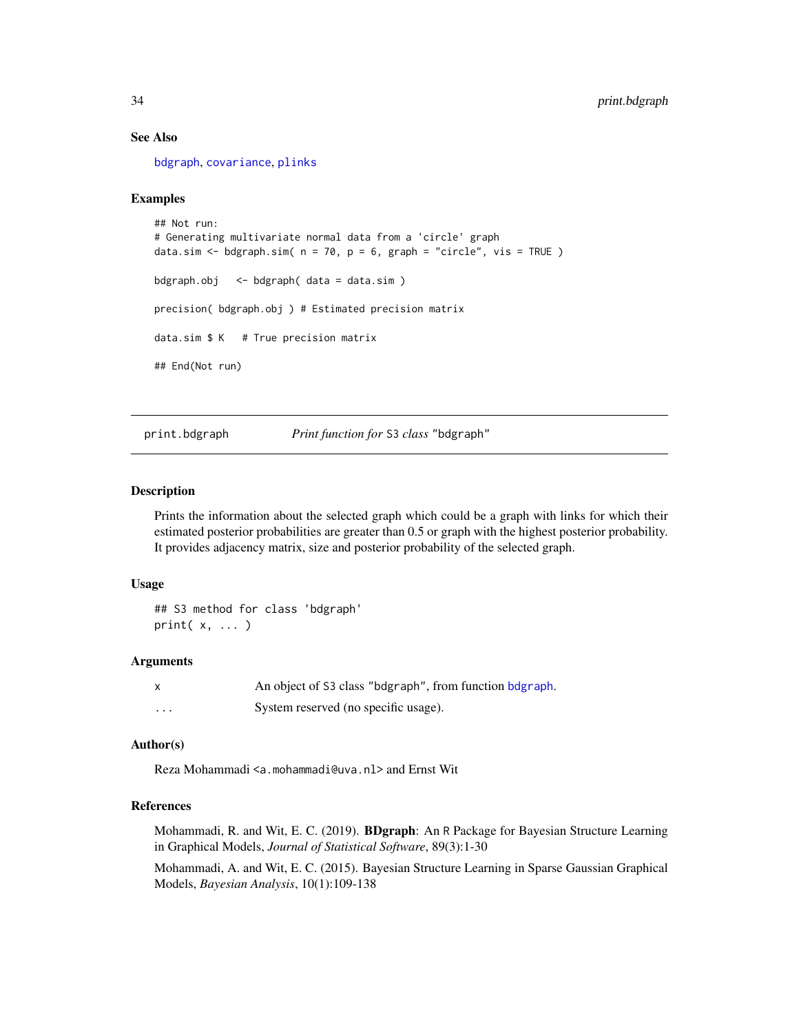## See Also

[bdgraph](#page-4-1), [covariance](#page-17-1), [plinks](#page-24-1)

## Examples

```
## Not run:
# Generating multivariate normal data from a 'circle' graph
data.sim <- bdgraph.sim(n = 70, p = 6, graph = "circle", vis = TRUE)
bdgraph.obj <- bdgraph( data = data.sim )
precision( bdgraph.obj ) # Estimated precision matrix
data.sim $ K # True precision matrix
## End(Not run)
```
print.bdgraph *Print function for* S3 *class* "bdgraph"

#### Description

Prints the information about the selected graph which could be a graph with links for which their estimated posterior probabilities are greater than 0.5 or graph with the highest posterior probability. It provides adjacency matrix, size and posterior probability of the selected graph.

#### Usage

```
## S3 method for class 'bdgraph'
print( x, ... )
```
#### Arguments

| $\mathsf{x}$      | An object of S3 class "bdgraph", from function bdgraph. |
|-------------------|---------------------------------------------------------|
| $\cdot\cdot\cdot$ | System reserved (no specific usage).                    |

## Author(s)

Reza Mohammadi <a.mohammadi@uva.nl> and Ernst Wit

## References

Mohammadi, R. and Wit, E. C. (2019). BDgraph: An R Package for Bayesian Structure Learning in Graphical Models, *Journal of Statistical Software*, 89(3):1-30

Mohammadi, A. and Wit, E. C. (2015). Bayesian Structure Learning in Sparse Gaussian Graphical Models, *Bayesian Analysis*, 10(1):109-138

<span id="page-33-0"></span>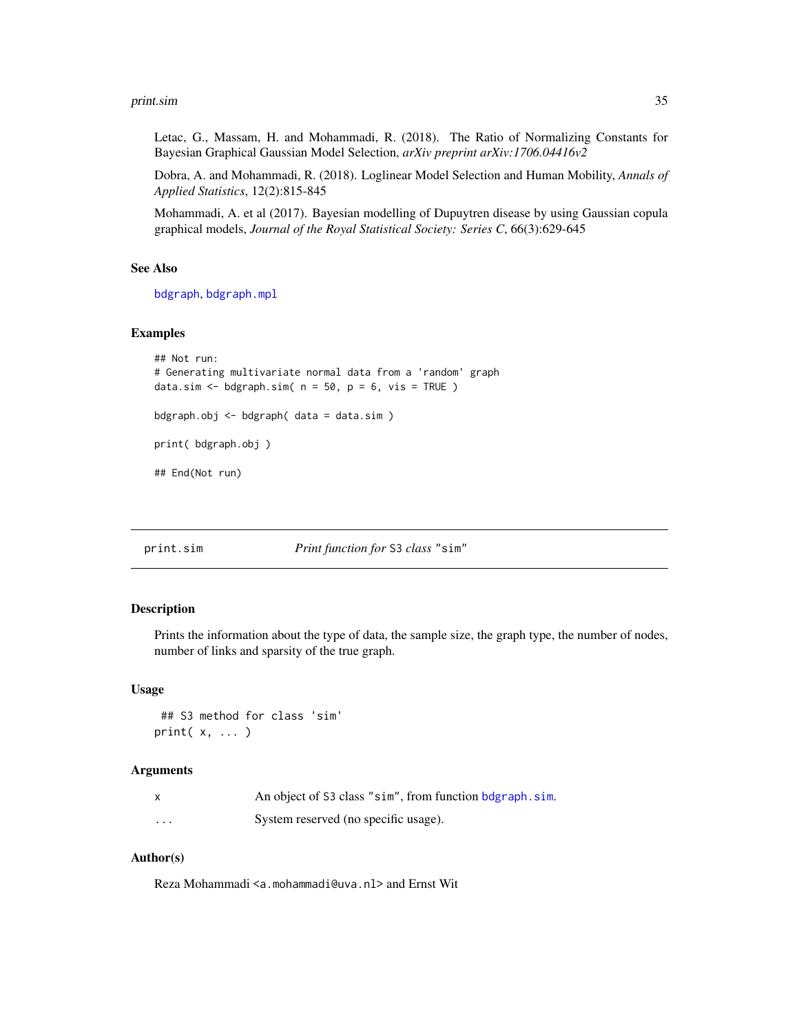#### <span id="page-34-0"></span>print.sim 35

Letac, G., Massam, H. and Mohammadi, R. (2018). The Ratio of Normalizing Constants for Bayesian Graphical Gaussian Model Selection, *arXiv preprint arXiv:1706.04416v2*

Dobra, A. and Mohammadi, R. (2018). Loglinear Model Selection and Human Mobility, *Annals of Applied Statistics*, 12(2):815-845

Mohammadi, A. et al (2017). Bayesian modelling of Dupuytren disease by using Gaussian copula graphical models, *Journal of the Royal Statistical Society: Series C*, 66(3):629-645

#### See Also

[bdgraph](#page-4-1), [bdgraph.mpl](#page-7-1)

#### Examples

```
## Not run:
# Generating multivariate normal data from a 'random' graph
data.sim <- bdgraph.sim(n = 50, p = 6, vis = TRUE)
bdgraph.obj <- bdgraph( data = data.sim )
print( bdgraph.obj )
## End(Not run)
```
print.sim *Print function for* S3 *class* "sim"

#### Description

Prints the information about the type of data, the sample size, the graph type, the number of nodes, number of links and sparsity of the true graph.

## Usage

```
## S3 method for class 'sim'
print( x, ... )
```
#### Arguments

|          | An object of S3 class "sim", from function bdgraph, sim. |
|----------|----------------------------------------------------------|
| $\cdots$ | System reserved (no specific usage).                     |

## Author(s)

Reza Mohammadi <a.mohammadi@uva.nl> and Ernst Wit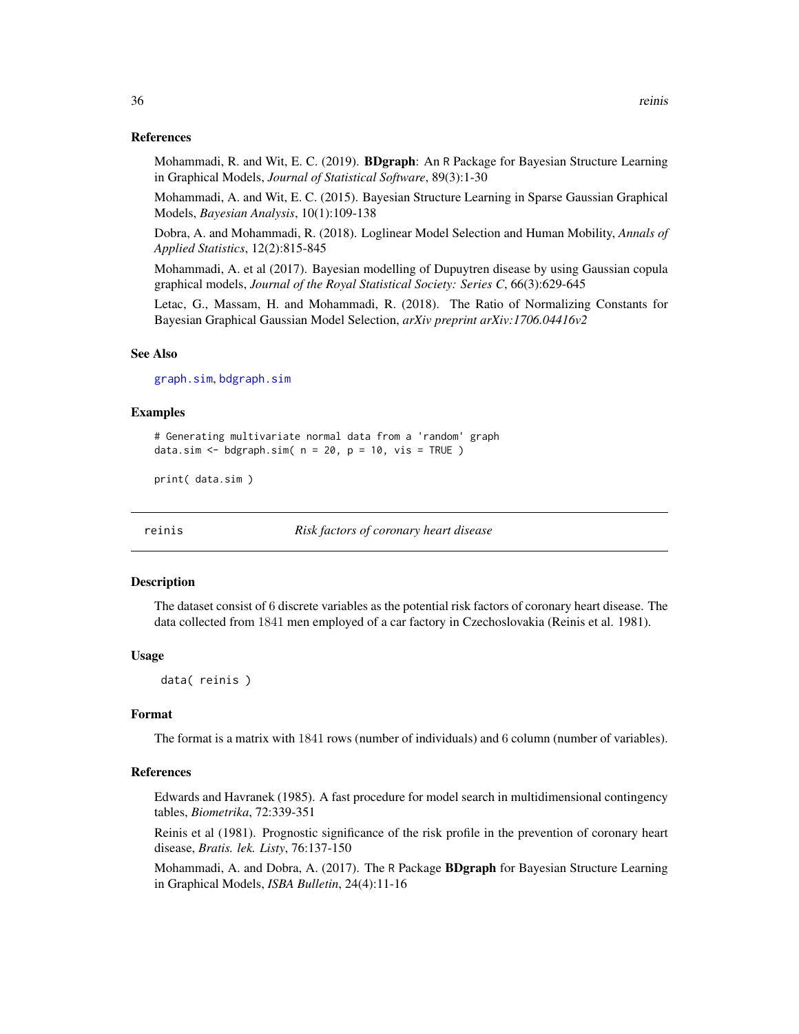#### <span id="page-35-0"></span>References

Mohammadi, R. and Wit, E. C. (2019). **BDgraph**: An R Package for Bayesian Structure Learning in Graphical Models, *Journal of Statistical Software*, 89(3):1-30

Mohammadi, A. and Wit, E. C. (2015). Bayesian Structure Learning in Sparse Gaussian Graphical Models, *Bayesian Analysis*, 10(1):109-138

Dobra, A. and Mohammadi, R. (2018). Loglinear Model Selection and Human Mobility, *Annals of Applied Statistics*, 12(2):815-845

Mohammadi, A. et al (2017). Bayesian modelling of Dupuytren disease by using Gaussian copula graphical models, *Journal of the Royal Statistical Society: Series C*, 66(3):629-645

Letac, G., Massam, H. and Mohammadi, R. (2018). The Ratio of Normalizing Constants for Bayesian Graphical Gaussian Model Selection, *arXiv preprint arXiv:1706.04416v2*

#### See Also

[graph.sim](#page-20-1), [bdgraph.sim](#page-10-1)

#### Examples

# Generating multivariate normal data from a 'random' graph data.sim  $\leq$  bdgraph.sim(  $n = 20$ ,  $p = 10$ , vis = TRUE )

print( data.sim )

reinis *Risk factors of coronary heart disease*

#### Description

The dataset consist of 6 discrete variables as the potential risk factors of coronary heart disease. The data collected from 1841 men employed of a car factory in Czechoslovakia (Reinis et al. 1981).

#### Usage

data( reinis )

#### Format

The format is a matrix with 1841 rows (number of individuals) and 6 column (number of variables).

#### References

Edwards and Havranek (1985). A fast procedure for model search in multidimensional contingency tables, *Biometrika*, 72:339-351

Reinis et al (1981). Prognostic significance of the risk profile in the prevention of coronary heart disease, *Bratis. lek. Listy*, 76:137-150

Mohammadi, A. and Dobra, A. (2017). The R Package **BDgraph** for Bayesian Structure Learning in Graphical Models, *ISBA Bulletin*, 24(4):11-16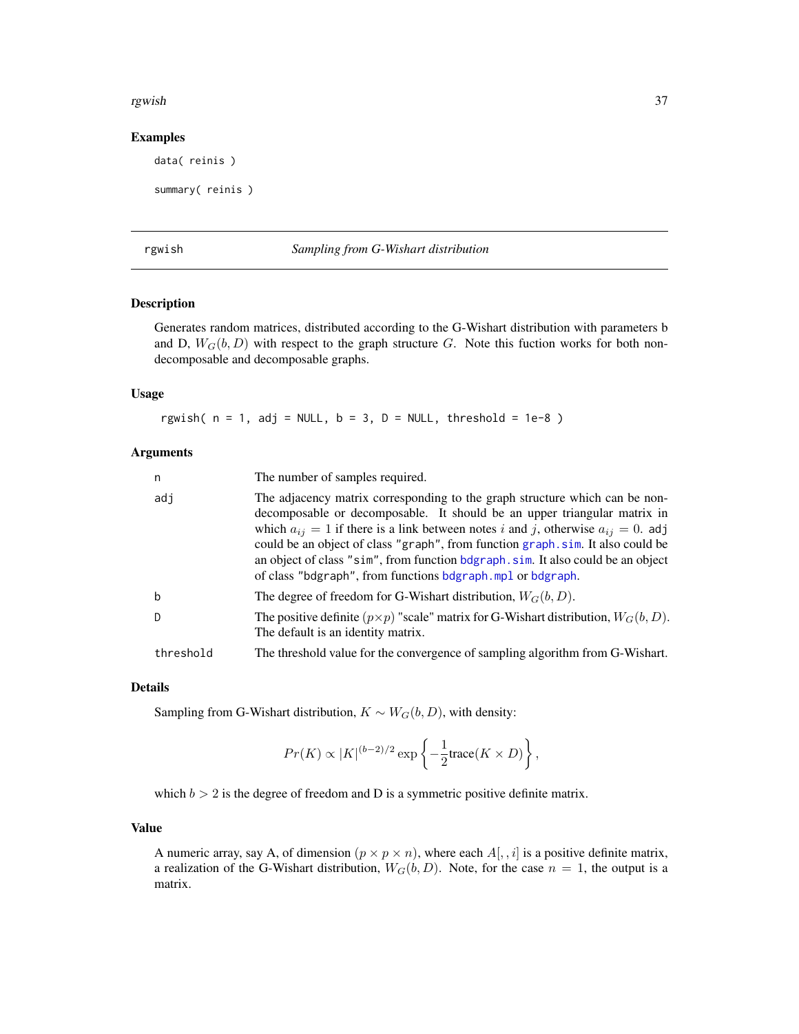#### <span id="page-36-0"></span>rgwish 37

#### Examples

data( reinis )

```
summary( reinis )
```
#### <span id="page-36-1"></span>rgwish *Sampling from G-Wishart distribution*

#### Description

Generates random matrices, distributed according to the G-Wishart distribution with parameters b and D,  $W_G(b, D)$  with respect to the graph structure G. Note this fuction works for both nondecomposable and decomposable graphs.

## Usage

rgwish(  $n = 1$ , adj = NULL,  $b = 3$ ,  $D =$  NULL, threshold = 1e-8 )

## Arguments

| n         | The number of samples required.                                                                                                                                                                                                                                                                                                                                                                                                                                                          |
|-----------|------------------------------------------------------------------------------------------------------------------------------------------------------------------------------------------------------------------------------------------------------------------------------------------------------------------------------------------------------------------------------------------------------------------------------------------------------------------------------------------|
| adi       | The adjacency matrix corresponding to the graph structure which can be non-<br>decomposable or decomposable. It should be an upper triangular matrix in<br>which $a_{ij} = 1$ if there is a link between notes i and j, otherwise $a_{ij} = 0$ . adj<br>could be an object of class "graph", from function graph.sim. It also could be<br>an object of class "sim", from function bdgraph. sim. It also could be an object<br>of class "bdgraph", from functions bdgraph.mpl or bdgraph. |
| b         | The degree of freedom for G-Wishart distribution, $W_G(b, D)$ .                                                                                                                                                                                                                                                                                                                                                                                                                          |
| D.        | The positive definite $(p \times p)$ "scale" matrix for G-Wishart distribution, $W_G(b, D)$ .<br>The default is an identity matrix.                                                                                                                                                                                                                                                                                                                                                      |
| threshold | The threshold value for the convergence of sampling algorithm from G-Wishart.                                                                                                                                                                                                                                                                                                                                                                                                            |

#### Details

Sampling from G-Wishart distribution,  $K \sim W_G(b, D)$ , with density:

$$
Pr(K) \propto |K|^{(b-2)/2} \exp \left\{-\frac{1}{2} \text{trace}(K \times D)\right\},\,
$$

which  $b > 2$  is the degree of freedom and D is a symmetric positive definite matrix.

## Value

A numeric array, say A, of dimension  $(p \times p \times n)$ , where each  $A[, i]$  is a positive definite matrix, a realization of the G-Wishart distribution,  $W_G(b, D)$ . Note, for the case  $n = 1$ , the output is a matrix.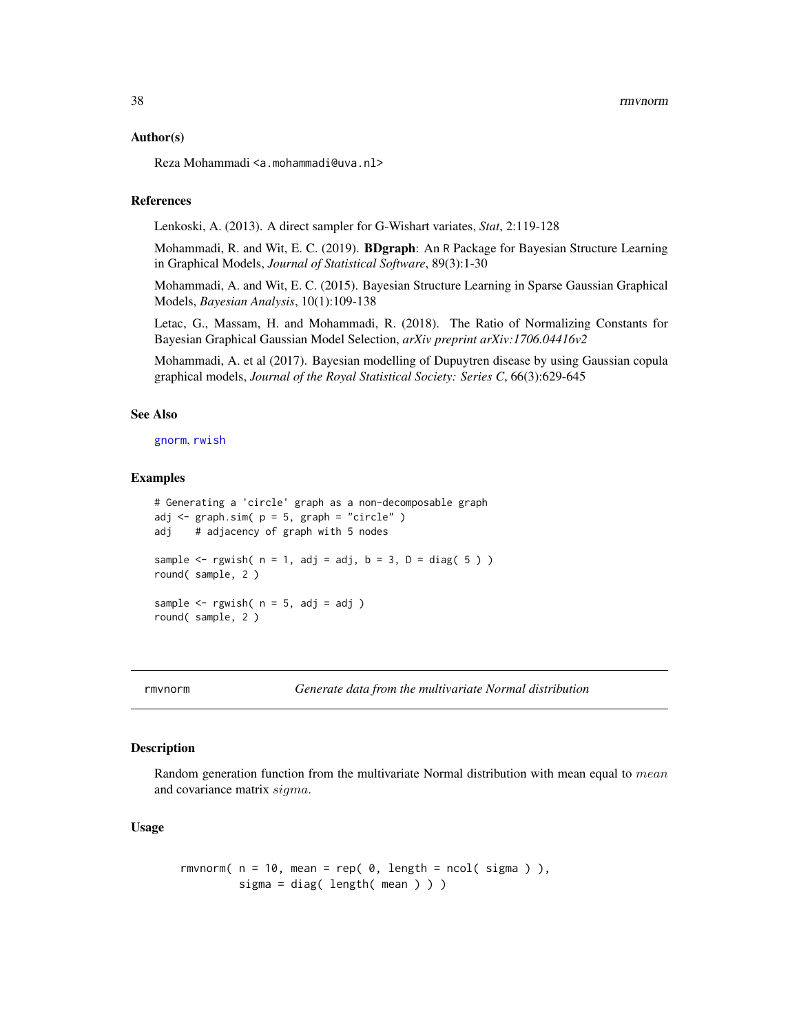#### <span id="page-37-0"></span>Author(s)

Reza Mohammadi <a.mohammadi@uva.nl>

## References

Lenkoski, A. (2013). A direct sampler for G-Wishart variates, *Stat*, 2:119-128

Mohammadi, R. and Wit, E. C. (2019). BDgraph: An R Package for Bayesian Structure Learning in Graphical Models, *Journal of Statistical Software*, 89(3):1-30

Mohammadi, A. and Wit, E. C. (2015). Bayesian Structure Learning in Sparse Gaussian Graphical Models, *Bayesian Analysis*, 10(1):109-138

Letac, G., Massam, H. and Mohammadi, R. (2018). The Ratio of Normalizing Constants for Bayesian Graphical Gaussian Model Selection, *arXiv preprint arXiv:1706.04416v2*

Mohammadi, A. et al (2017). Bayesian modelling of Dupuytren disease by using Gaussian copula graphical models, *Journal of the Royal Statistical Society: Series C*, 66(3):629-645

#### See Also

[gnorm](#page-19-1), [rwish](#page-38-1)

#### Examples

```
# Generating a 'circle' graph as a non-decomposable graph
adj \leq graph.sim( p = 5, graph = "circle" )
adj # adjacency of graph with 5 nodes
sample \leq rgwish( n = 1, adj = adj, b = 3, D = diag(5))
round( sample, 2 )
sample \leq rgwish( n = 5, adj = adj )
round( sample, 2 )
```
rmvnorm *Generate data from the multivariate Normal distribution*

#### Description

Random generation function from the multivariate Normal distribution with mean equal to mean and covariance matrix sigma.

#### Usage

```
rmvnorm(n = 10, mean = rep(0, length = ncol(sigma)),
        sigma = diag( length( mean ) ) )
```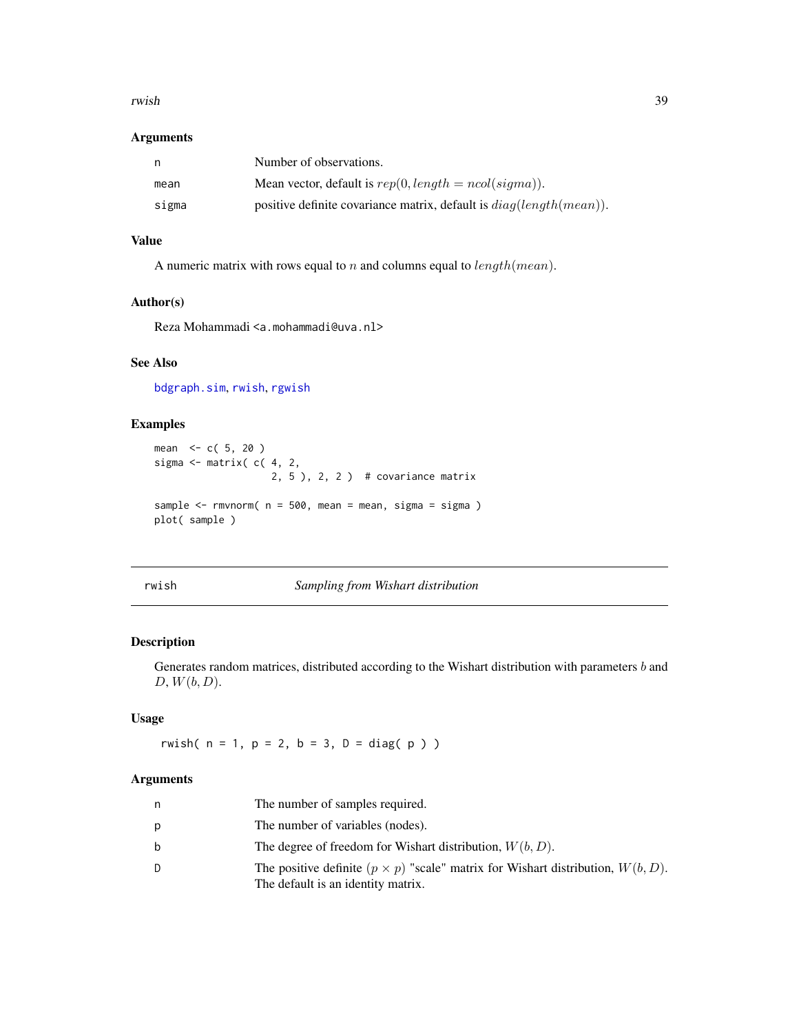#### <span id="page-38-0"></span>rwish 39

## Arguments

| n,    | Number of observations.                                                |
|-------|------------------------------------------------------------------------|
| mean  | Mean vector, default is $rep(0, length = ncol(signa)).$                |
| sigma | positive definite covariance matrix, default is $diag(length(mean))$ . |

## Value

A numeric matrix with rows equal to  $n$  and columns equal to  $length(mean)$ .

## Author(s)

Reza Mohammadi <a.mohammadi@uva.nl>

## See Also

[bdgraph.sim](#page-10-1), [rwish](#page-38-1), [rgwish](#page-36-1)

## Examples

```
mean <-c(5, 20)sigma \leq matrix( c( 4, 2,
                    2, 5 ), 2, 2 ) # covariance matrix
sample \leq - rmvnorm( n = 500, mean = mean, sigma = sigma )
plot( sample )
```
<span id="page-38-1"></span>rwish *Sampling from Wishart distribution*

#### Description

Generates random matrices, distributed according to the Wishart distribution with parameters  $b$  and  $D, W(b, D).$ 

## Usage

rwish(  $n = 1$ ,  $p = 2$ ,  $b = 3$ ,  $D = diag(p)$ )

## Arguments

| n | The number of samples required.                                                                                                 |
|---|---------------------------------------------------------------------------------------------------------------------------------|
| p | The number of variables (nodes).                                                                                                |
| b | The degree of freedom for Wishart distribution, $W(b, D)$ .                                                                     |
| D | The positive definite $(p \times p)$ "scale" matrix for Wishart distribution, $W(b, D)$ .<br>The default is an identity matrix. |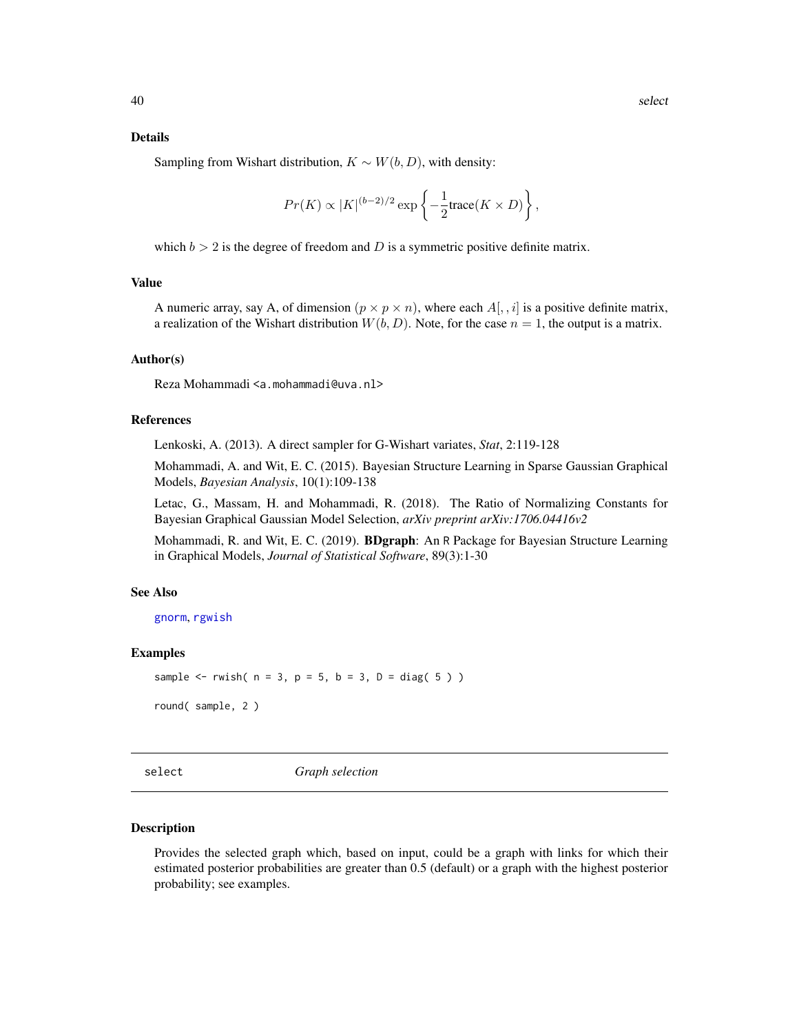#### <span id="page-39-0"></span>Details

Sampling from Wishart distribution,  $K \sim W(b, D)$ , with density:

$$
Pr(K) \propto |K|^{(b-2)/2} \exp \left\{-\frac{1}{2} \text{trace}(K \times D)\right\},\,
$$

which  $b > 2$  is the degree of freedom and D is a symmetric positive definite matrix.

#### Value

A numeric array, say A, of dimension  $(p \times p \times n)$ , where each  $A[, i]$  is a positive definite matrix, a realization of the Wishart distribution  $W(b, D)$ . Note, for the case  $n = 1$ , the output is a matrix.

#### Author(s)

Reza Mohammadi <a.mohammadi@uva.nl>

## References

Lenkoski, A. (2013). A direct sampler for G-Wishart variates, *Stat*, 2:119-128

Mohammadi, A. and Wit, E. C. (2015). Bayesian Structure Learning in Sparse Gaussian Graphical Models, *Bayesian Analysis*, 10(1):109-138

Letac, G., Massam, H. and Mohammadi, R. (2018). The Ratio of Normalizing Constants for Bayesian Graphical Gaussian Model Selection, *arXiv preprint arXiv:1706.04416v2*

Mohammadi, R. and Wit, E. C. (2019). **BDgraph**: An R Package for Bayesian Structure Learning in Graphical Models, *Journal of Statistical Software*, 89(3):1-30

#### See Also

[gnorm](#page-19-1), [rgwish](#page-36-1)

#### Examples

```
sample \le- rwish( n = 3, p = 5, b = 3, D = diag( 5 ) )
```
round( sample, 2 )

select *Graph selection*

#### Description

Provides the selected graph which, based on input, could be a graph with links for which their estimated posterior probabilities are greater than 0.5 (default) or a graph with the highest posterior probability; see examples.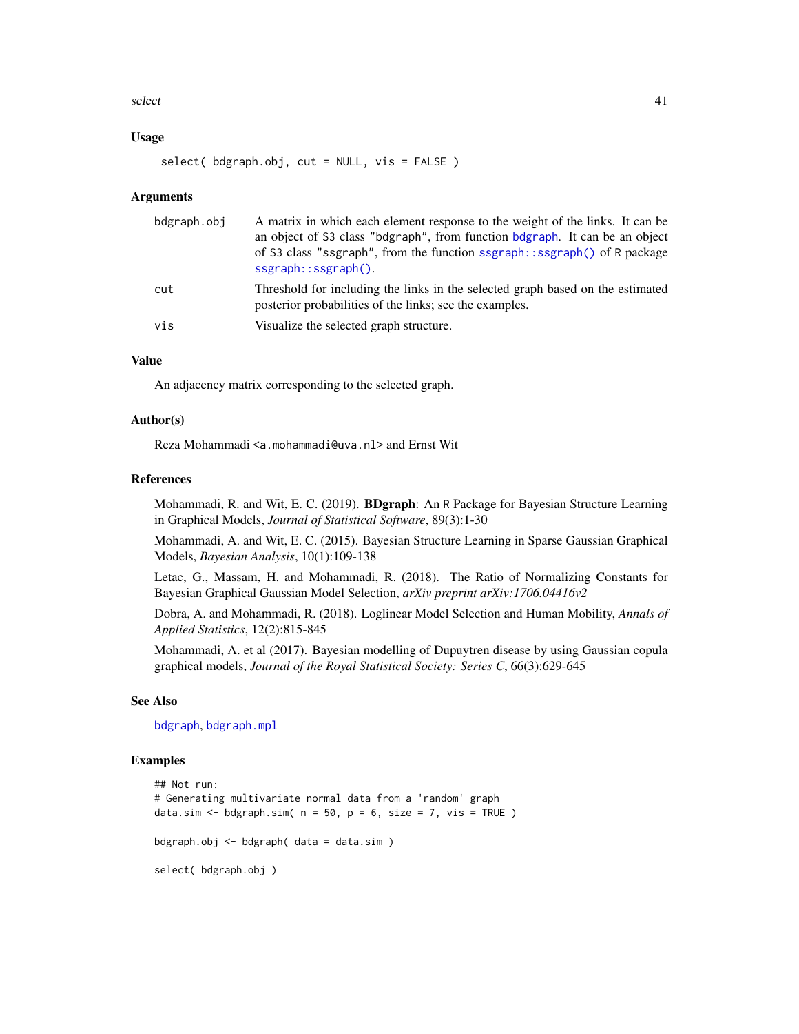#### <span id="page-40-0"></span> $s$ elect  $41$

#### Usage

select( bdgraph.obj, cut = NULL, vis = FALSE )

#### Arguments

| bdgraph.obj | A matrix in which each element response to the weight of the links. It can be<br>an object of S3 class "bdgraph", from function bdgraph. It can be an object<br>of S3 class "ssgraph", from the function ssgraph::ssgraph() of R package<br>$ssgraph::ssgraph()$ . |
|-------------|--------------------------------------------------------------------------------------------------------------------------------------------------------------------------------------------------------------------------------------------------------------------|
| cut         | Threshold for including the links in the selected graph based on the estimated<br>posterior probabilities of the links; see the examples.                                                                                                                          |
| vis         | Visualize the selected graph structure.                                                                                                                                                                                                                            |

#### Value

An adjacency matrix corresponding to the selected graph.

#### Author(s)

Reza Mohammadi <a.mohammadi@uva.nl> and Ernst Wit

#### References

Mohammadi, R. and Wit, E. C. (2019). BDgraph: An R Package for Bayesian Structure Learning in Graphical Models, *Journal of Statistical Software*, 89(3):1-30

Mohammadi, A. and Wit, E. C. (2015). Bayesian Structure Learning in Sparse Gaussian Graphical Models, *Bayesian Analysis*, 10(1):109-138

Letac, G., Massam, H. and Mohammadi, R. (2018). The Ratio of Normalizing Constants for Bayesian Graphical Gaussian Model Selection, *arXiv preprint arXiv:1706.04416v2*

Dobra, A. and Mohammadi, R. (2018). Loglinear Model Selection and Human Mobility, *Annals of Applied Statistics*, 12(2):815-845

Mohammadi, A. et al (2017). Bayesian modelling of Dupuytren disease by using Gaussian copula graphical models, *Journal of the Royal Statistical Society: Series C*, 66(3):629-645

## See Also

[bdgraph](#page-4-1), [bdgraph.mpl](#page-7-1)

#### Examples

```
## Not run:
# Generating multivariate normal data from a 'random' graph
data.sim \leq bdgraph.sim( n = 50, p = 6, size = 7, vis = TRUE )
bdgraph.obj <- bdgraph( data = data.sim )
select( bdgraph.obj )
```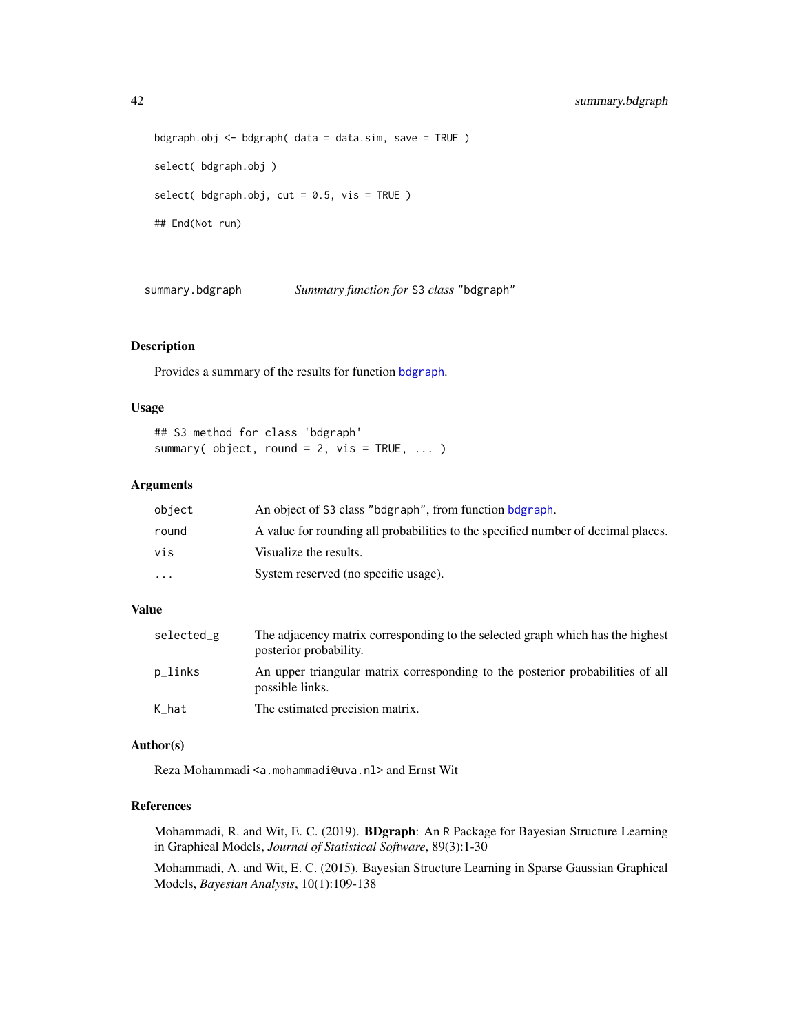```
bdgraph.obj \leq bdgraph( data = data.sim, save = TRUE )
select( bdgraph.obj )
select( bdgraph.obj, cut = 0.5, vis = TRUE )
## End(Not run)
```
<span id="page-41-1"></span>summary.bdgraph *Summary function for* S3 *class* "bdgraph"

## Description

Provides a summary of the results for function [bdgraph](#page-4-1).

## Usage

```
## S3 method for class 'bdgraph'
summary( object, round = 2, vis = TRUE, ... )
```
## Arguments

| object  | An object of S3 class "bdgraph", from function bdgraph.                           |
|---------|-----------------------------------------------------------------------------------|
| round   | A value for rounding all probabilities to the specified number of decimal places. |
| vis     | Visualize the results.                                                            |
| $\cdot$ | System reserved (no specific usage).                                              |

## Value

| selected_g | The adjacency matrix corresponding to the selected graph which has the highest<br>posterior probability. |
|------------|----------------------------------------------------------------------------------------------------------|
| p_links    | An upper triangular matrix corresponding to the posterior probabilities of all<br>possible links.        |
| K_hat      | The estimated precision matrix.                                                                          |

#### Author(s)

Reza Mohammadi <a.mohammadi@uva.nl> and Ernst Wit

## References

Mohammadi, R. and Wit, E. C. (2019). BDgraph: An R Package for Bayesian Structure Learning in Graphical Models, *Journal of Statistical Software*, 89(3):1-30

Mohammadi, A. and Wit, E. C. (2015). Bayesian Structure Learning in Sparse Gaussian Graphical Models, *Bayesian Analysis*, 10(1):109-138

<span id="page-41-0"></span>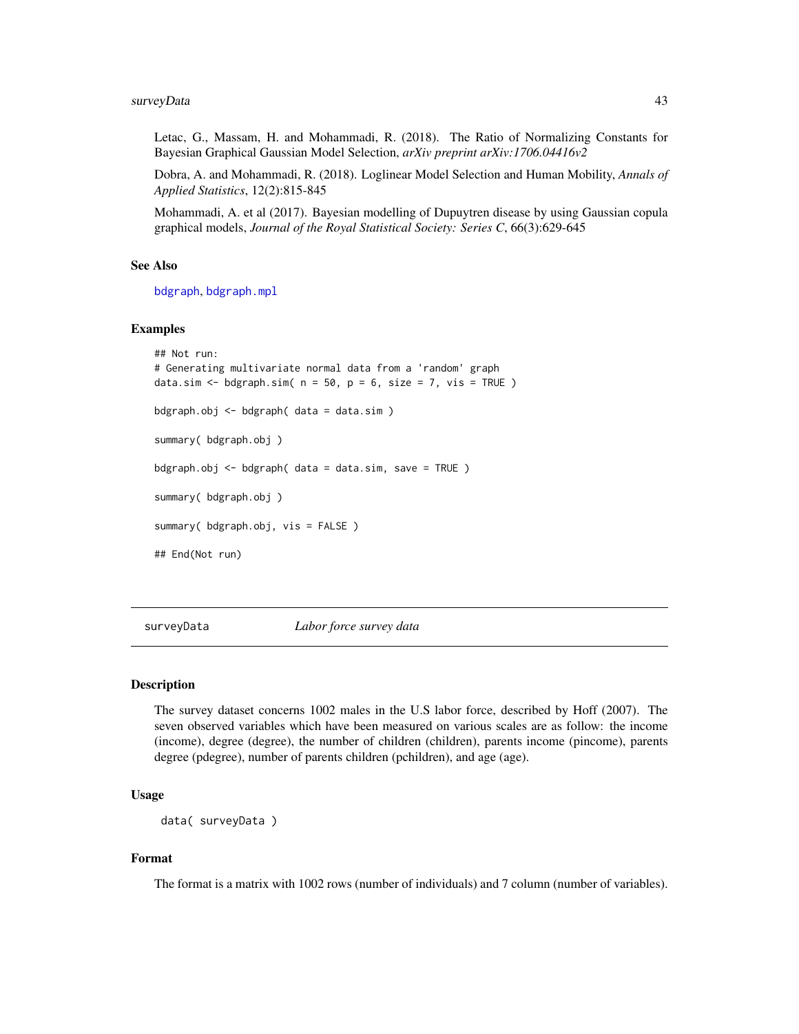<span id="page-42-0"></span>Letac, G., Massam, H. and Mohammadi, R. (2018). The Ratio of Normalizing Constants for Bayesian Graphical Gaussian Model Selection, *arXiv preprint arXiv:1706.04416v2*

Dobra, A. and Mohammadi, R. (2018). Loglinear Model Selection and Human Mobility, *Annals of Applied Statistics*, 12(2):815-845

Mohammadi, A. et al (2017). Bayesian modelling of Dupuytren disease by using Gaussian copula graphical models, *Journal of the Royal Statistical Society: Series C*, 66(3):629-645

## See Also

[bdgraph](#page-4-1), [bdgraph.mpl](#page-7-1)

#### Examples

```
## Not run:
# Generating multivariate normal data from a 'random' graph
data.sim <- bdgraph.sim(n = 50, p = 6, size = 7, vis = TRUE)
bdgraph.obj <- bdgraph( data = data.sim )
summary( bdgraph.obj )
bdgraph.obj <- bdgraph( data = data.sim, save = TRUE )
summary( bdgraph.obj )
summary( bdgraph.obj, vis = FALSE )
## End(Not run)
```
surveyData *Labor force survey data*

#### Description

The survey dataset concerns 1002 males in the U.S labor force, described by Hoff (2007). The seven observed variables which have been measured on various scales are as follow: the income (income), degree (degree), the number of children (children), parents income (pincome), parents degree (pdegree), number of parents children (pchildren), and age (age).

## Usage

```
data( surveyData )
```
#### Format

The format is a matrix with 1002 rows (number of individuals) and 7 column (number of variables).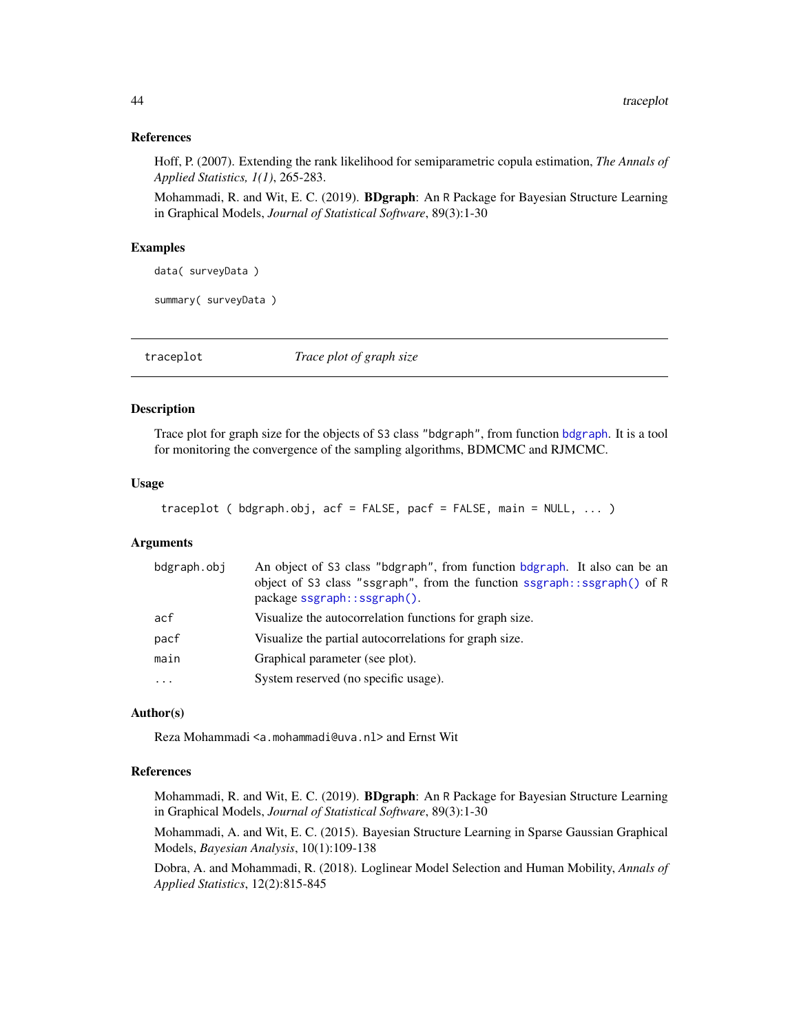#### <span id="page-43-0"></span>References

Hoff, P. (2007). Extending the rank likelihood for semiparametric copula estimation, *The Annals of Applied Statistics, 1(1)*, 265-283.

Mohammadi, R. and Wit, E. C. (2019). BDgraph: An R Package for Bayesian Structure Learning in Graphical Models, *Journal of Statistical Software*, 89(3):1-30

#### Examples

data( surveyData )

summary( surveyData )

<span id="page-43-1"></span>traceplot *Trace plot of graph size*

## **Description**

Trace plot for graph size for the objects of S3 class "bdgraph", from function [bdgraph](#page-4-1). It is a tool for monitoring the convergence of the sampling algorithms, BDMCMC and RJMCMC.

#### Usage

```
traceplot ( bdgraph.obj, acf = FALSE, pacf = FALSE, main = NULL, ... )
```
#### **Arguments**

| bdgraph.obj | An object of S3 class "bdgraph", from function bdgraph. It also can be an<br>object of S3 class "ssgraph", from the function ssgraph::ssgraph() of R<br>package ssgraph::ssgraph(). |
|-------------|-------------------------------------------------------------------------------------------------------------------------------------------------------------------------------------|
| acf         | Visualize the autocorrelation functions for graph size.                                                                                                                             |
| pacf        | Visualize the partial autocorrelations for graph size.                                                                                                                              |
| main        | Graphical parameter (see plot).                                                                                                                                                     |
|             | System reserved (no specific usage).                                                                                                                                                |

#### Author(s)

Reza Mohammadi <a.mohammadi@uva.nl> and Ernst Wit

### References

Mohammadi, R. and Wit, E. C. (2019). BDgraph: An R Package for Bayesian Structure Learning in Graphical Models, *Journal of Statistical Software*, 89(3):1-30

Mohammadi, A. and Wit, E. C. (2015). Bayesian Structure Learning in Sparse Gaussian Graphical Models, *Bayesian Analysis*, 10(1):109-138

Dobra, A. and Mohammadi, R. (2018). Loglinear Model Selection and Human Mobility, *Annals of Applied Statistics*, 12(2):815-845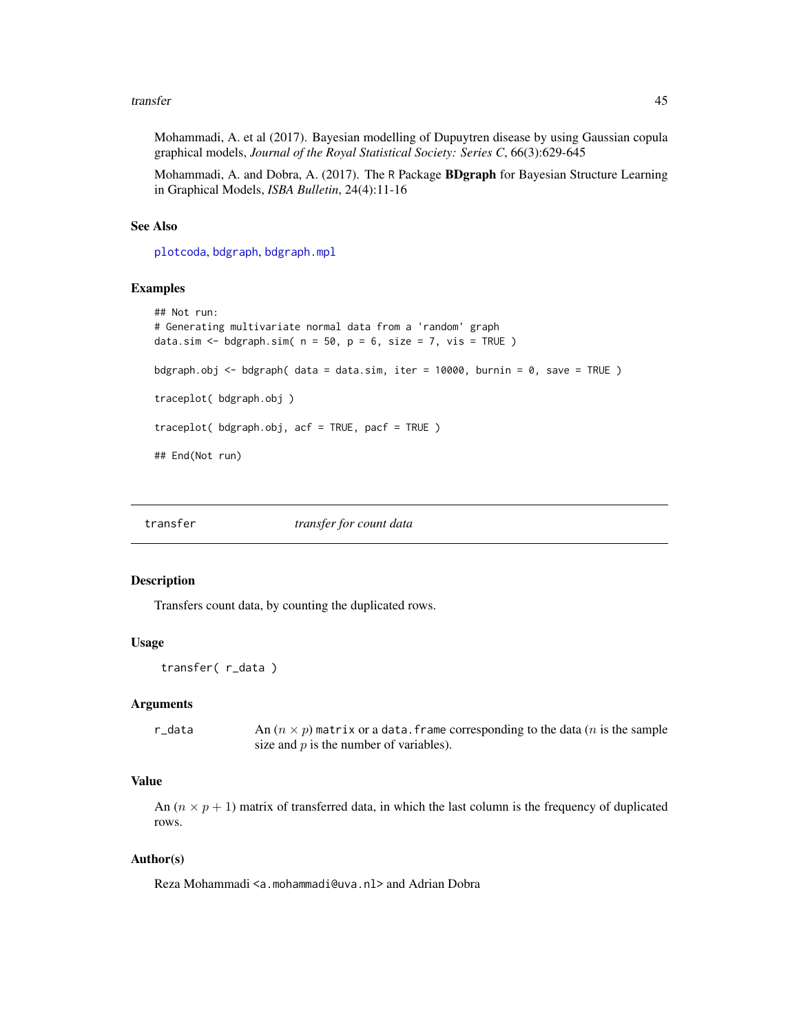#### <span id="page-44-0"></span>transfer and the contract of the contract of the contract of the contract of the contract of the contract of the contract of the contract of the contract of the contract of the contract of the contract of the contract of t

Mohammadi, A. et al (2017). Bayesian modelling of Dupuytren disease by using Gaussian copula graphical models, *Journal of the Royal Statistical Society: Series C*, 66(3):629-645

Mohammadi, A. and Dobra, A. (2017). The R Package BDgraph for Bayesian Structure Learning in Graphical Models, *ISBA Bulletin*, 24(4):11-16

#### See Also

[plotcoda](#page-29-1), [bdgraph](#page-4-1), [bdgraph.mpl](#page-7-1)

#### Examples

```
## Not run:
# Generating multivariate normal data from a 'random' graph
data.sim \leq bdgraph.sim( n = 50, p = 6, size = 7, vis = TRUE )
bdgraph.obj <- bdgraph( data = data.sim, iter = 10000, burnin = 0, save = TRUE )
traceplot( bdgraph.obj )
traceplot( bdgraph.obj, acf = TRUE, pacf = TRUE )
## End(Not run)
```
transfer *transfer for count data*

## Description

Transfers count data, by counting the duplicated rows.

#### Usage

```
transfer( r_data )
```
## Arguments

r\_data An  $(n \times p)$  matrix or a data. frame corresponding to the data (*n* is the sample size and  $p$  is the number of variables).

## Value

An  $(n \times p + 1)$  matrix of transferred data, in which the last column is the frequency of duplicated rows.

#### Author(s)

Reza Mohammadi <a.mohammadi@uva.nl> and Adrian Dobra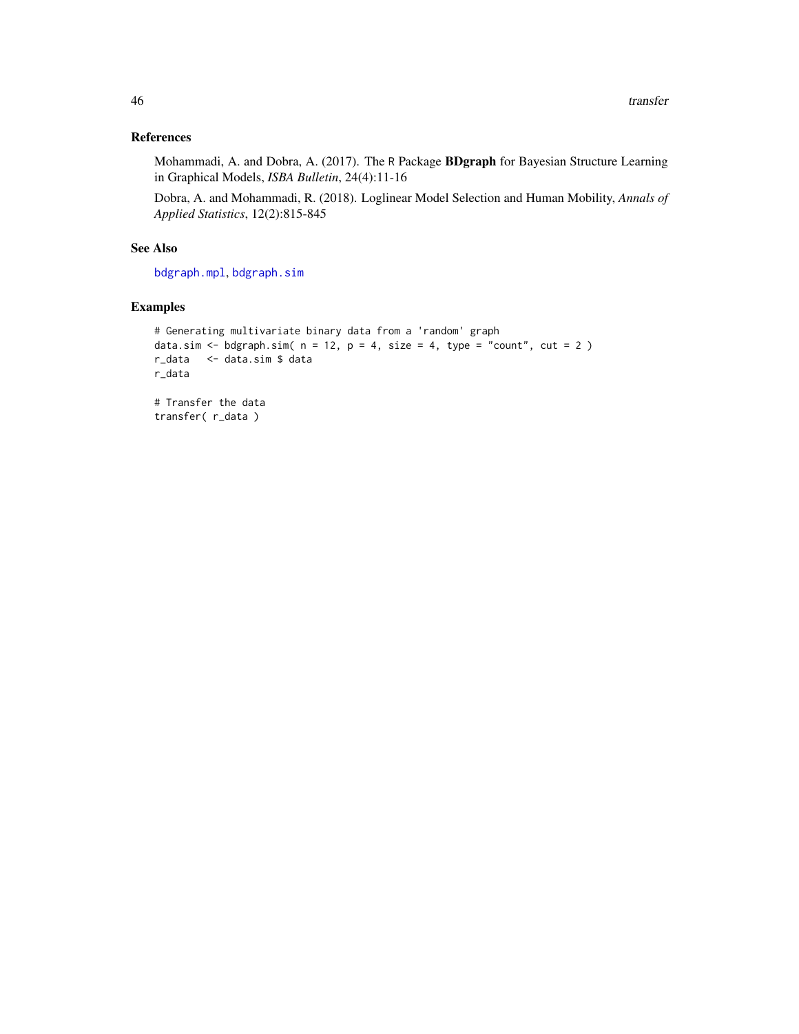## References

Mohammadi, A. and Dobra, A. (2017). The R Package BDgraph for Bayesian Structure Learning in Graphical Models, *ISBA Bulletin*, 24(4):11-16

Dobra, A. and Mohammadi, R. (2018). Loglinear Model Selection and Human Mobility, *Annals of Applied Statistics*, 12(2):815-845

## See Also

[bdgraph.mpl](#page-7-1), [bdgraph.sim](#page-10-1)

## Examples

```
# Generating multivariate binary data from a 'random' graph
data.sim <- bdgraph.sim(n = 12, p = 4, size = 4, type = "count", cut = 2)
r_data <- data.sim $ data
r_data
# Transfer the data
transfer( r_data )
```
<span id="page-45-0"></span>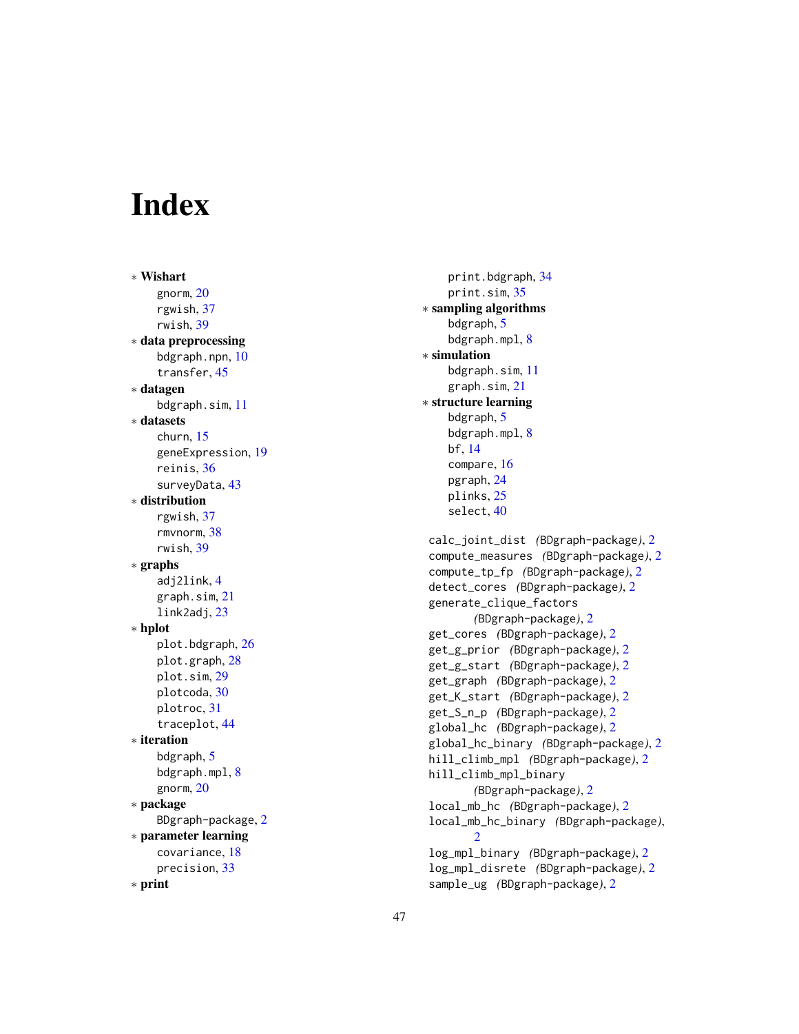# <span id="page-46-0"></span>**Index**

∗ Wishart gnorm , [20](#page-19-0) rgwish , [37](#page-36-0) rwish , [39](#page-38-0) ∗ data preprocessing bdgraph.npn, [10](#page-9-0) transfer , [45](#page-44-0) ∗ datagen bdgraph.sim , [11](#page-10-0) ∗ datasets churn , [15](#page-14-0) geneExpression , [19](#page-18-0) reinis , [36](#page-35-0) surveyData , [43](#page-42-0) ∗ distribution rgwish , [37](#page-36-0) rmvnorm , [38](#page-37-0) rwish , [39](#page-38-0) ∗ graphs adj2link , [4](#page-3-0) graph.sim , [21](#page-20-0) link2adj , [23](#page-22-0) ∗ hplot plot.bdgraph, [26](#page-25-0) plot.graph , [28](#page-27-0) plot.sim , [29](#page-28-0) plotcoda , [30](#page-29-0) plotroc , [31](#page-30-0) traceplot , [44](#page-43-0) ∗ iteration bdgraph , [5](#page-4-0) bdgraph.mpl, [8](#page-7-0) gnorm , [20](#page-19-0) ∗ package BDgraph-package , [2](#page-1-0) ∗ parameter learning covariance , [18](#page-17-0) precision , [33](#page-32-0) ∗ print

print.bdgraph, <mark>[34](#page-33-0)</mark> print.sim , [35](#page-34-0) ∗ sampling algorithms bdgraph, <mark>[5](#page-4-0)</mark> bdgraph.mpl,<mark>[8](#page-7-0)</mark> ∗ simulation bdgraph.sim , [11](#page-10-0) graph.sim , [21](#page-20-0) ∗ structure learning bdgraph, [5](#page-4-0) bdgraph.mpl,<mark>[8](#page-7-0)</mark> bf , [14](#page-13-0) compare , [16](#page-15-0) pgraph , [24](#page-23-0) plinks , [25](#page-24-0) select , [40](#page-39-0) calc\_joint\_dist *(*BDgraph-package *)* , [2](#page-1-0) compute\_measures *(*BDgraph-package *)* , [2](#page-1-0) compute\_tp\_fp *(*BDgraph-package *)* , [2](#page-1-0) detect\_cores *(*BDgraph-package *)* , [2](#page-1-0) generate\_clique\_factors *(*BDgraph-package*)* , [2](#page-1-0) get\_cores *(*BDgraph-package *)* , [2](#page-1-0) get\_g\_prior *(*BDgraph-package *)* , [2](#page-1-0) get\_g\_start *(*BDgraph-package *)* , [2](#page-1-0) get\_graph *(*BDgraph-package *)* , [2](#page-1-0) get\_K\_start *(*BDgraph-package *)* , [2](#page-1-0) get\_S\_n\_p *(*BDgraph-package *)* , [2](#page-1-0) global\_hc *(*BDgraph-package *)* , [2](#page-1-0) global\_hc\_binary *(*BDgraph-package *)* , [2](#page-1-0) hill\_climb\_mpl *(*BDgraph-package *)* , [2](#page-1-0) hill\_climb\_mpl\_binary *(*BDgraph-package *)* , [2](#page-1-0) local\_mb\_hc *(*BDgraph-package *)* , [2](#page-1-0) local\_mb\_hc\_binary *(*BDgraph-package *)* ,  $\mathfrak{D}$ log\_mpl\_binary *(*BDgraph-package *)* , [2](#page-1-0) log\_mpl\_disrete *(*BDgraph-package *)* , [2](#page-1-0) sample\_ug *(*BDgraph-package *)* , [2](#page-1-0)